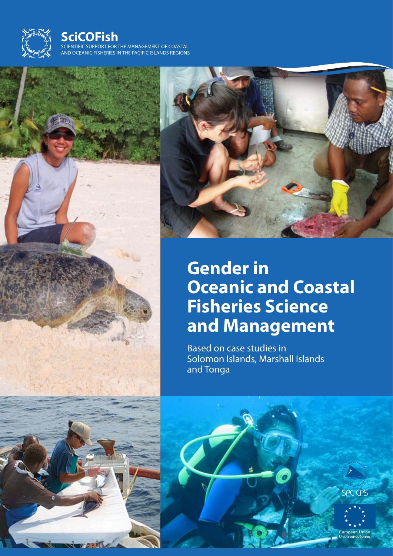

# **SciCOFish**

scientific support for the management of coastal and oceanic fisheries in the pacific islands regions





# **Gender in Oceanic and Coastal Fisheries Science and Management**

Based on case studies in Solomon Islands, Marshall Islands and Tonga

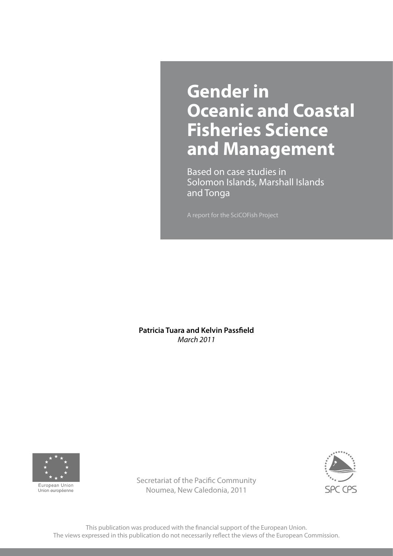# **Gender in Oceanic and Coastal Fisheries Science and Management**

Based on case studies in Solomon Islands, Marshall Islands and Tonga

**Patricia Tuara and Kelvin Passfield** *March 2011*





Secretariat of the Pacific Community Noumea, New Caledonia, 2011

This publication was produced with the financial support of the European Union. The views expressed in this publication do not necessarily reflect the views of the European Commission.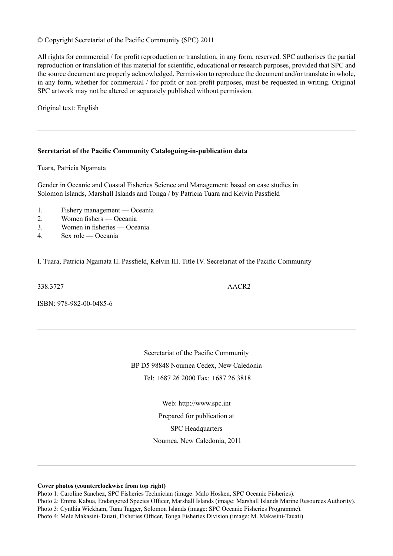### © Copyright Secretariat of the Pacific Community (SPC) 2011

All rights for commercial / for profit reproduction or translation, in any form, reserved. SPC authorises the partial reproduction or translation of this material for scientific, educational or research purposes, provided that SPC and the source document are properly acknowledged. Permission to reproduce the document and/or translate in whole, in any form, whether for commercial / for profit or non-profit purposes, must be requested in writing. Original SPC artwork may not be altered or separately published without permission.

Original text: English

### **Secretariat of the Pacific Community Cataloguing-in-publication data**

Tuara, Patricia Ngamata

Gender in Oceanic and Coastal Fisheries Science and Management: based on case studies in Solomon Islands, Marshall Islands and Tonga / by Patricia Tuara and Kelvin Passfield

- 1. Fishery management Oceania
- 2. Women fishers Oceania
- 3. Women in fisheries Oceania
- 4. Sex role Oceania

I. Tuara, Patricia Ngamata II. Passfield, Kelvin III. Title IV. Secretariat of the Pacific Community

338.3727 AACR2

ISBN: 978-982-00-0485-6

Secretariat of the Pacific Community BP D5 98848 Noumea Cedex, New Caledonia Tel: +687 26 2000 Fax: +687 26 3818

> Web: http://www.spc.int Prepared for publication at SPC Headquarters

Noumea, New Caledonia, 2011

**Cover photos (counterclockwise from top right)**

Photo 1: Caroline Sanchez, SPC Fisheries Technician (image: Malo Hosken, SPC Oceanic Fisheries).

Photo 2: Emma Kabua, Endangered Species Officer, Marshall Islands (image: Marshall Islands Marine Resources Authority).

Photo 3: Cynthia Wickham, Tuna Tagger, Solomon Islands (image: SPC Oceanic Fisheries Programme).

Photo 4: Mele Makasini-Tauati, Fisheries Officer, Tonga Fisheries Division (image: M. Makasini-Tauati).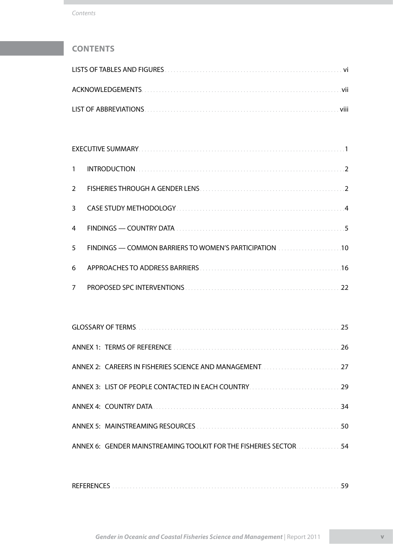# **Contents**

| $\mathbf{1}$   |                                                                                                                        |  |
|----------------|------------------------------------------------------------------------------------------------------------------------|--|
| $\overline{2}$ |                                                                                                                        |  |
| $\mathbf{3}$   |                                                                                                                        |  |
| 4              |                                                                                                                        |  |
| 5              | FINDINGS — COMMON BARRIERS TO WOMEN'S PARTICIPATION [10] [10] [10] FINDINGS — COMMON BARRIERS TO WOMEN'S PARTICIPATION |  |
| 6              |                                                                                                                        |  |
| $\overline{7}$ |                                                                                                                        |  |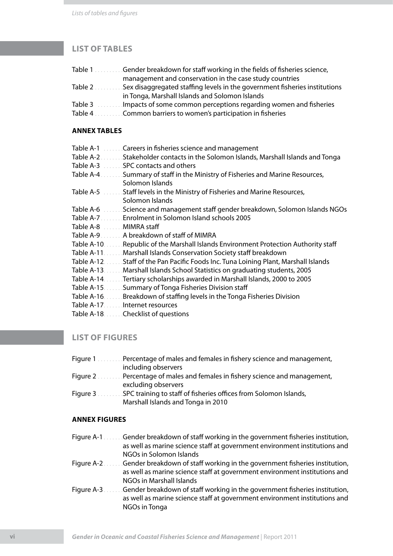# **list of tables**

| Table 1 Gender breakdown for staff working in the fields of fisheries science,                                 |
|----------------------------------------------------------------------------------------------------------------|
| management and conservation in the case study countries                                                        |
| Table 2 Sex disaggregated staffing levels in the government fisheries institutions                             |
| in Tonga, Marshall Islands and Solomon Islands                                                                 |
| Table 3 Changista School and Table 3 and Table 3 and Table 3 and Table 7 and Table 7 and Table 7 and Table 7 a |
| Table 4 <b>Summult Common barriers to women's participation in fisheries</b>                                   |

### **Annex Tables**

| Table A-1<br>Careers in fisheries science and management                                |
|-----------------------------------------------------------------------------------------|
| Table A-2<br>Stakeholder contacts in the Solomon Islands, Marshall Islands and Tonga    |
| Table A-3<br>SPC contacts and others                                                    |
| Table A-4<br>Summary of staff in the Ministry of Fisheries and Marine Resources,        |
| Solomon Islands                                                                         |
| Table A-5<br>Staff levels in the Ministry of Fisheries and Marine Resources,            |
| Solomon Islands                                                                         |
| Science and management staff gender breakdown, Solomon Islands NGOs<br>Table A-6        |
| Enrolment in Solomon Island schools 2005<br>Table A-7.                                  |
| Table A-8<br>MIMRA staff                                                                |
| A breakdown of staff of MIMRA<br>Table A-9                                              |
| Table A-10.<br>Republic of the Marshall Islands Environment Protection Authority staff  |
| Table A-11.<br>Marshall Islands Conservation Society staff breakdown                    |
| Table A-12.<br>Staff of the Pan Pacific Foods Inc. Tuna Loining Plant, Marshall Islands |
| Table A-13.<br>Marshall Islands School Statistics on graduating students, 2005          |
| Table A-14.<br>Tertiary scholarships awarded in Marshall Islands, 2000 to 2005          |
| Table A-15.<br>Summary of Tonga Fisheries Division staff                                |
| Table A-16.<br>Breakdown of staffing levels in the Tonga Fisheries Division             |
| Table A-17.<br>Internet resources                                                       |
| Table A-18.<br>Checklist of questions                                                   |
|                                                                                         |

# **list of figures**

- Figure 1. . . . . . . . . Percentage of males and females in fishery science and management, including observers
- Figure 2 . . . . . . . . Percentage of males and females in fishery science and management, excluding observers
- Figure 3 . . . . . . . . SPC training to staff of fisheries offices from Solomon Islands, Marshall Islands and Tonga in 2010

### **Annex figures**

- Figure A-1. . . . . . . Gender breakdown of staff working in the government fisheries institution, as well as marine science staff at government environment institutions and NGOs in Solomon Islands
- Figure A-2. . . . . . Gender breakdown of staff working in the government fisheries institution, as well as marine science staff at government environment institutions and NGOs in Marshall Islands
- Figure A-3. . . . . . . Gender breakdown of staff working in the government fisheries institution, as well as marine science staff at government environment institutions and NGOs in Tonga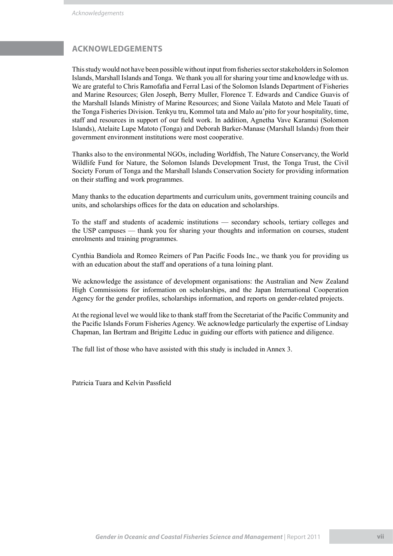# **ACKNOWLEDGEMENTS**

This study would not have been possible without input from fisheries sector stakeholders in Solomon Islands, Marshall Islands and Tonga. We thank you all for sharing your time and knowledge with us. We are grateful to Chris Ramofafia and Ferral Lasi of the Solomon Islands Department of Fisheries and Marine Resources; Glen Joseph, Berry Muller, Florence T. Edwards and Candice Guavis of the Marshall Islands Ministry of Marine Resources; and Sione Vailala Matoto and Mele Tauati of the Tonga Fisheries Division. Tenkyu tru, Kommol tata and Malo au'pito for your hospitality, time, staff and resources in support of our field work. In addition, Agnetha Vave Karamui (Solomon Islands), Atelaite Lupe Matoto (Tonga) and Deborah Barker-Manase (Marshall Islands) from their government environment institutions were most cooperative.

Thanks also to the environmental NGOs, including Worldfish, The Nature Conservancy, the World Wildlife Fund for Nature, the Solomon Islands Development Trust, the Tonga Trust, the Civil Society Forum of Tonga and the Marshall Islands Conservation Society for providing information on their staffing and work programmes.

Many thanks to the education departments and curriculum units, government training councils and units, and scholarships offices for the data on education and scholarships.

To the staff and students of academic institutions — secondary schools, tertiary colleges and the USP campuses — thank you for sharing your thoughts and information on courses, student enrolments and training programmes.

Cynthia Bandiola and Romeo Reimers of Pan Pacific Foods Inc., we thank you for providing us with an education about the staff and operations of a tuna loining plant.

We acknowledge the assistance of development organisations: the Australian and New Zealand High Commissions for information on scholarships, and the Japan International Cooperation Agency for the gender profiles, scholarships information, and reports on gender-related projects.

At the regional level we would like to thank staff from the Secretariat of the Pacific Community and the Pacific Islands Forum Fisheries Agency. We acknowledge particularly the expertise of Lindsay Chapman, Ian Bertram and Brigitte Leduc in guiding our efforts with patience and diligence.

The full list of those who have assisted with this study is included in Annex 3.

Patricia Tuara and Kelvin Passfield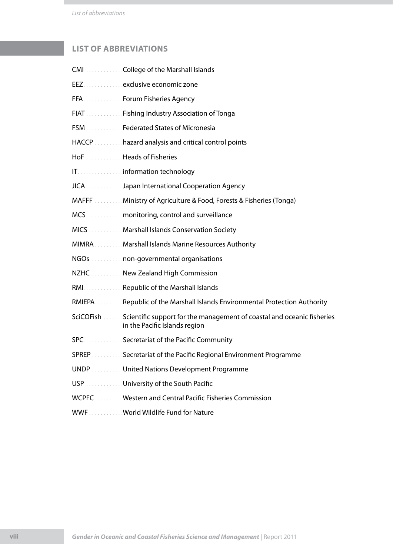*List of abbreviations*

# **LIST OF ABBREVIATIONS**

| CMI College of the Marshall Islands                                                                               |
|-------------------------------------------------------------------------------------------------------------------|
| EEZ. exclusive economic zone                                                                                      |
| FFA  Forum Fisheries Agency                                                                                       |
| FIAT Manufacture  Fishing Industry Association of Tonga                                                           |
| FSM Federated States of Micronesia                                                                                |
| HACCP <b>Manufation</b> hazard analysis and critical control points                                               |
| HoF Heads of Fisheries                                                                                            |
| IT. information technology                                                                                        |
| JICA Japan International Cooperation Agency                                                                       |
| MAFFF Ministry of Agriculture & Food, Forests & Fisheries (Tonga)                                                 |
| MCS. monitoring, control and surveillance                                                                         |
| MICS  Marshall Islands Conservation Society                                                                       |
| MIMRA Marshall Islands Marine Resources Authority                                                                 |
| NGOs. non-governmental organisations                                                                              |
| NZHC <b>Matter Communist Property</b> NZHC Matter Commission                                                      |
| RMI. Republic of the Marshall Islands                                                                             |
| RMIEPA. Republic of the Marshall Islands Environmental Protection Authority                                       |
| SciCOFish Scientific support for the management of coastal and oceanic fisheries<br>in the Pacific Islands region |
| SPC. Secretariat of the Pacific Community                                                                         |
| SPREP Secretariat of the Pacific Regional Environment Programme                                                   |
| UNDP United Nations Development Programme                                                                         |
| USP University of the South Pacific                                                                               |
| WCPFC Western and Central Pacific Fisheries Commission                                                            |
| WWF World Wildlife Fund for Nature                                                                                |
|                                                                                                                   |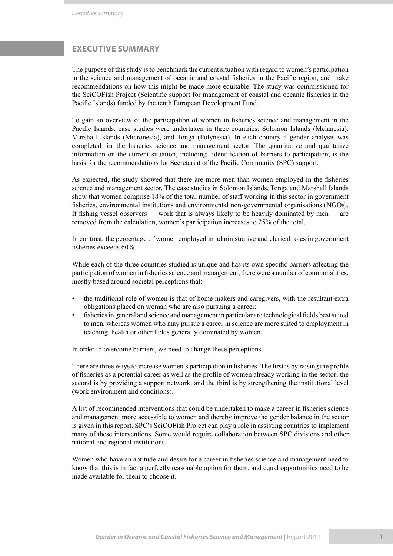# **EXECUTIVE SUMMARY**

The purpose of this study is to benchmark the current situation with regard to women's participation in the science and management of oceanic and coastal fisheries in the Pacific region, and make recommendations on how this might be made more equitable. The study was commissioned for the SciCOFish Project (Scientific support for management of coastal and oceanic fisheries in the Pacific Islands) funded by the tenth European Development Fund.

To gain an overview of the participation of women in fisheries science and management in the Pacific Islands, case studies were undertaken in three countries: Solomon Islands (Melanesia), Marshall Islands (Micronesia), and Tonga (Polynesia). In each country a gender analysis was completed for the fisheries science and management sector. The quantitative and qualitative information on the current situation, including identification of barriers to participation, is the basis for the recommendations for Secretariat of the Pacific Community (SPC) support.

As expected, the study showed that there are more men than women employed in the fisheries science and management sector. The case studies in Solomon Islands, Tonga and Marshall Islands show that women comprise 18% of the total number of staff working in this sector in government fisheries, environmental institutions and environmental non-governmental organisations (NGOs). If fishing vessel observers — work that is always likely to be heavily dominated by men — are removed from the calculation, women's participation increases to 25% of the total.

In contrast, the percentage of women employed in administrative and clerical roles in government fisheries exceeds 60%.

While each of the three countries studied is unique and has its own specific barriers affecting the participation of women in fisheries science and management, there were a number of commonalities, mostly based around societal perceptions that:

- the traditional role of women is that of home makers and caregivers, with the resultant extra obligations placed on woman who are also pursuing a career; •
- fisheries in general and science and management in particular are technological fields best suited to men, whereas women who may pursue a career in science are more suited to employment in teaching, health or other fields generally dominated by women. •

In order to overcome barriers, we need to change these perceptions.

There are three ways to increase women's participation in fisheries. The first is by raising the profile of fisheries as a potential career as well as the profile of women already working in the sector; the second is by providing a support network; and the third is by strengthening the institutional level (work environment and conditions).

A list of recommended interventions that could be undertaken to make a career in fisheries science and management more accessible to women and thereby improve the gender balance in the sector is given in this report. SPC's SciCOFish Project can play a role in assisting countries to implement many of these interventions. Some would require collaboration between SPC divisions and other national and regional institutions.

Women who have an aptitude and desire for a career in fisheries science and management need to know that this is in fact a perfectly reasonable option for them, and equal opportunities need to be made available for them to choose it.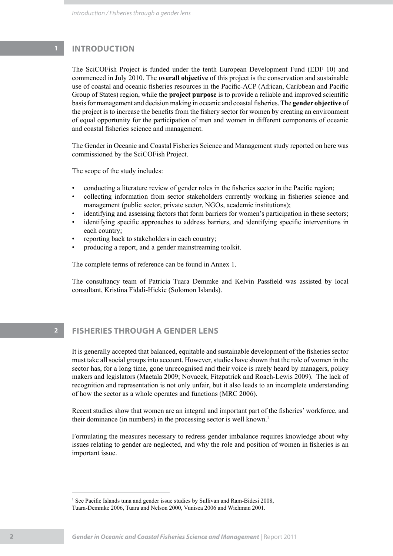# **1 INTRODUCTION**

The SciCOFish Project is funded under the tenth European Development Fund (EDF 10) and commenced in July 2010. The **overall objective** of this project is the conservation and sustainable use of coastal and oceanic fisheries resources in the Pacific-ACP (African, Caribbean and Pacific Group of States) region, while the **project purpose** is to provide a reliable and improved scientific basis for management and decision making in oceanic and coastal fisheries. The **gender objective** of the project is to increase the benefits from the fishery sector for women by creating an environment of equal opportunity for the participation of men and women in different components of oceanic and coastal fisheries science and management.

The Gender in Oceanic and Coastal Fisheries Science and Management study reported on here was commissioned by the SciCOFish Project.

The scope of the study includes:

- conducting a literature review of gender roles in the fisheries sector in the Pacific region; •
- collecting information from sector stakeholders currently working in fisheries science and management (public sector, private sector, NGOs, academic institutions); •
- identifying and assessing factors that form barriers for women's participation in these sectors; •
- identifying specific approaches to address barriers, and identifying specific interventions in each country; •
- reporting back to stakeholders in each country; •
- producing a report, and a gender mainstreaming toolkit. •

The complete terms of reference can be found in Annex 1.

The consultancy team of Patricia Tuara Demmke and Kelvin Passfield was assisted by local consultant, Kristina Fidali-Hickie (Solomon Islands).

# **2 FISHERIES THROUGH A GENDER LENS**

It is generally accepted that balanced, equitable and sustainable development of the fisheries sector must take all social groups into account. However, studies have shown that the role of women in the sector has, for a long time, gone unrecognised and their voice is rarely heard by managers, policy makers and legislators (Maetala 2009; Novacek, Fitzpatrick and Roach-Lewis 2009). The lack of recognition and representation is not only unfair, but it also leads to an incomplete understanding of how the sector as a whole operates and functions (MRC 2006).

Recent studies show that women are an integral and important part of the fisheries' workforce, and their dominance (in numbers) in the processing sector is well known.<sup>1</sup>

Formulating the measures necessary to redress gender imbalance requires knowledge about why issues relating to gender are neglected, and why the role and position of women in fisheries is an important issue.

<sup>&</sup>lt;sup>1</sup> See Pacific Islands tuna and gender issue studies by Sullivan and Ram-Bidesi 2008, Tuara-Demmke 2006, Tuara and Nelson 2000, Vunisea 2006 and Wichman 2001.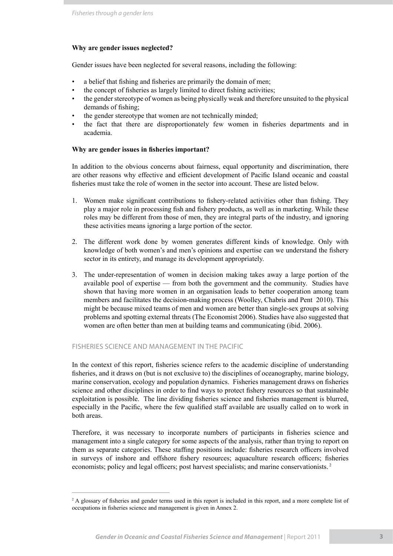### **Why are gender issues neglected?**

Gender issues have been neglected for several reasons, including the following:

- a belief that fishing and fisheries are primarily the domain of men; •
- the concept of fisheries as largely limited to direct fishing activities; •
- the gender stereotype of women as being physically weak and therefore unsuited to the physical demands of fishing; •
- the gender stereotype that women are not technically minded; •
- the fact that there are disproportionately few women in fisheries departments and in academia. •

### **Why are gender issues in fisheries important?**

In addition to the obvious concerns about fairness, equal opportunity and discrimination, there are other reasons why effective and efficient development of Pacific Island oceanic and coastal fisheries must take the role of women in the sector into account. These are listed below.

- Women make significant contributions to fishery-related activities other than fishing. They 1. play a major role in processing fish and fishery products, as well as in marketing. While these roles may be different from those of men, they are integral parts of the industry, and ignoring these activities means ignoring a large portion of the sector.
- The different work done by women generates different kinds of knowledge. Only with 2. knowledge of both women's and men's opinions and expertise can we understand the fishery sector in its entirety, and manage its development appropriately.
- The under-representation of women in decision making takes away a large portion of the 3. available pool of expertise — from both the government and the community. Studies have shown that having more women in an organisation leads to better cooperation among team members and facilitates the decision-making process (Woolley, Chabris and Pent 2010). This might be because mixed teams of men and women are better than single-sex groups at solving problems and spotting external threats (The Economist 2006). Studies have also suggested that women are often better than men at building teams and communicating (ibid. 2006).

### fisheries science AND MANAGEMENT IN THE PACIFIC

In the context of this report, fisheries science refers to the academic discipline of understanding fisheries, and it draws on (but is not exclusive to) the disciplines of oceanography, marine biology, marine conservation, ecology and population dynamics. Fisheries management draws on fisheries science and other disciplines in order to find ways to protect fishery resources so that sustainable exploitation is possible. The line dividing fisheries science and fisheries management is blurred, especially in the Pacific, where the few qualified staff available are usually called on to work in both areas.

Therefore, it was necessary to incorporate numbers of participants in fisheries science and management into a single category for some aspects of the analysis, rather than trying to report on them as separate categories. These staffing positions include: fisheries research officers involved in surveys of inshore and offshore fishery resources; aquaculture research officers; fisheries economists; policy and legal officers; post harvest specialists; and marine conservationists. 2

<sup>&</sup>lt;sup>2</sup> A glossary of fisheries and gender terms used in this report is included in this report, and a more complete list of occupations in fisheries science and management is given in Annex 2.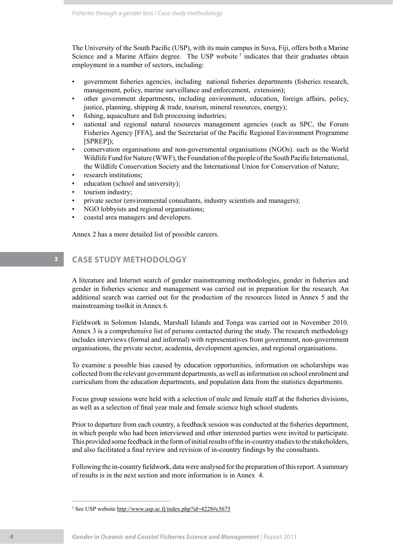The University of the South Pacific (USP), with its main campus in Suva, Fiji, offers both a Marine Science and a Marine Affairs degree. The USP website<sup>3</sup> indicates that their graduates obtain employment in a number of sectors, including:

- government fisheries agencies, including national fisheries departments (fisheries research, management, policy, marine surveillance and enforcement, extension); •
- other government departments, including environment, education, foreign affairs, policy, justice, planning, shipping  $&$  trade, tourism, mineral resources, energy); •
- fishing, aquaculture and fish processing industries; •
- national and regional natural resources management agencies (such as SPC, the Forum Fisheries Agency [FFA], and the Secretariat of the Pacific Regional Environment Programme [SPREP]); •
- conservation organisations and non-governmental organisations (NGOs). such as the World Wildlife Fund for Nature (WWF), the Foundation of the people of the South Pacific International, the Wildlife Conservation Society and the International Union for Conservation of Nature; •
- research institutions; •
- education (school and university); •
- tourism industry; •
- private sector (environmental consultants, industry scientists and managers); •
- NGO lobbyists and regional organisations; •
- coastal area managers and developers. •

Annex 2 has a more detailed list of possible careers.

# **3 CASE STUDY METHODOLOGY**

A literature and Internet search of gender mainstreaming methodologies, gender in fisheries and gender in fisheries science and management was carried out in preparation for the research. An additional search was carried out for the production of the resources listed in Annex 5 and the mainstreaming toolkit in Annex 6.

Fieldwork in Solomon Islands, Marshall Islands and Tonga was carried out in November 2010. Annex 3 is a comprehensive list of persons contacted during the study. The research methodology includes interviews (formal and informal) with representatives from government, non-government organisations, the private sector, academia, development agencies, and regional organisations.

To examine a possible bias caused by education opportunities, information on scholarships was collected from the relevant government departments, as well as information on school enrolment and curriculum from the education departments, and population data from the statistics departments.

Focus group sessions were held with a selection of male and female staff at the fisheries divisions, as well as a selection of final year male and female science high school students.

Prior to departure from each country, a feedback session was conducted at the fisheries department, in which people who had been interviewed and other interested parties were invited to participate. This provided some feedback in the form of initial results of the in-country studies to the stakeholders, and also facilitated a final review and revision of in-country findings by the consultants.

Following the in-country fieldwork, data were analysed for the preparation of this report. A summary of results is in the next section and more information is in Annex 4.

<sup>&</sup>lt;sup>3</sup> See USP website http://www.usp.ac.fj/index.php?id=4228#c5675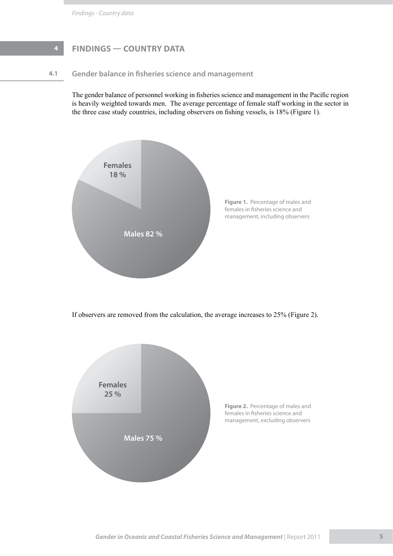# **4 FINDINGS — COUNTRY DATA**

## **4.1 Gender balance in fisheries science and management**

The gender balance of personnel working in fisheries science and management in the Pacific region is heavily weighted towards men. The average percentage of female staff working in the sector in the three case study countries, including observers on fishing vessels, is 18% (Figure 1).



If observers are removed from the calculation, the average increases to 25% (Figure 2).

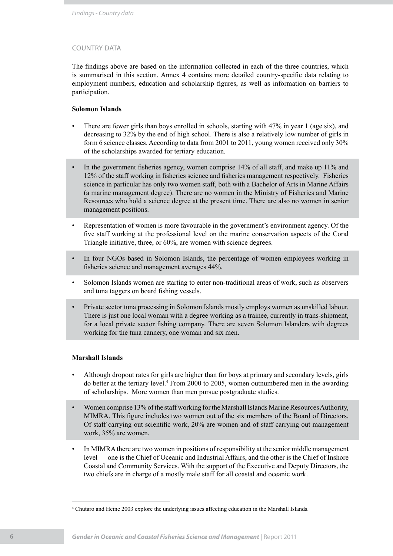### country data

The findings above are based on the information collected in each of the three countries, which is summarised in this section. Annex 4 contains more detailed country-specific data relating to employment numbers, education and scholarship figures, as well as information on barriers to participation.

### **Solomon Islands**

- There are fewer girls than boys enrolled in schools, starting with 47% in year 1 (age six), and decreasing to 32% by the end of high school. There is also a relatively low number of girls in form 6 science classes. According to data from 2001 to 2011, young women received only 30% of the scholarships awarded for tertiary education. •
- In the government fisheries agency, women comprise 14% of all staff, and make up 11% and 12% of the staff working in fisheries science and fisheries management respectively. Fisheries science in particular has only two women staff, both with a Bachelor of Arts in Marine Affairs (a marine management degree). There are no women in the Ministry of Fisheries and Marine Resources who hold a science degree at the present time. There are also no women in senior management positions. •
- Representation of women is more favourable in the government's environment agency. Of the five staff working at the professional level on the marine conservation aspects of the Coral Triangle initiative, three, or 60%, are women with science degrees. •
- In four NGOs based in Solomon Islands, the percentage of women employees working in fisheries science and management averages 44%. •
- Solomon Islands women are starting to enter non-traditional areas of work, such as observers and tuna taggers on board fishing vessels. •
- Private sector tuna processing in Solomon Islands mostly employs women as unskilled labour. There is just one local woman with a degree working as a trainee, currently in trans-shipment, for a local private sector fishing company. There are seven Solomon Islanders with degrees working for the tuna cannery, one woman and six men. •

### **Marshall Islands**

- Although dropout rates for girls are higher than for boys at primary and secondary levels, girls do better at the tertiary level.<sup>4</sup> From 2000 to 2005, women outnumbered men in the awarding of scholarships. More women than men pursue postgraduate studies. •
- Women comprise 13% of the staff working for the Marshall Islands Marine Resources Authority, MIMRA. This figure includes two women out of the six members of the Board of Directors. Of staff carrying out scientific work, 20% are women and of staff carrying out management work, 35% are women. •
- In MIMRA there are two women in positions of responsibility at the senior middle management level — one is the Chief of Oceanic and Industrial Affairs, and the other is the Chief of Inshore Coastal and Community Services. With the support of the Executive and Deputy Directors, the two chiefs are in charge of a mostly male staff for all coastal and oceanic work. •

<sup>4</sup> Chutaro and Heine 2003 explore the underlying issues affecting education in the Marshall Islands.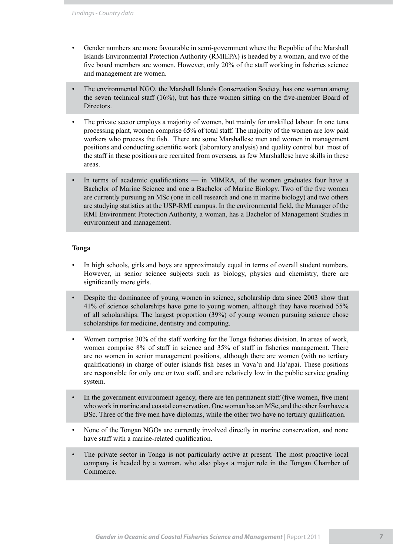- Gender numbers are more favourable in semi-government where the Republic of the Marshall Islands Environmental Protection Authority (RMIEPA) is headed by a woman, and two of the five board members are women. However, only 20% of the staff working in fisheries science and management are women. •
- The environmental NGO, the Marshall Islands Conservation Society, has one woman among the seven technical staff (16%), but has three women sitting on the five-member Board of Directors. •
- The private sector employs a majority of women, but mainly for unskilled labour. In one tuna processing plant, women comprise 65% of total staff. The majority of the women are low paid workers who process the fish. There are some Marshallese men and women in management positions and conducting scientific work (laboratory analysis) and quality control but most of the staff in these positions are recruited from overseas, as few Marshallese have skills in these areas. •
- In terms of academic qualifications in MIMRA, of the women graduates four have a Bachelor of Marine Science and one a Bachelor of Marine Biology. Two of the five women are currently pursuing an MSc (one in cell research and one in marine biology) and two others are studying statistics at the USP-RMI campus. In the environmental field, the Manager of the RMI Environment Protection Authority, a woman, has a Bachelor of Management Studies in environment and management. •

### **Tonga**

- In high schools, girls and boys are approximately equal in terms of overall student numbers. However, in senior science subjects such as biology, physics and chemistry, there are significantly more girls. •
- Despite the dominance of young women in science, scholarship data since 2003 show that 41% of science scholarships have gone to young women, although they have received 55% of all scholarships. The largest proportion (39%) of young women pursuing science chose scholarships for medicine, dentistry and computing. •
- Women comprise 30% of the staff working for the Tonga fisheries division. In areas of work, women comprise 8% of staff in science and 35% of staff in fisheries management. There are no women in senior management positions, although there are women (with no tertiary qualifications) in charge of outer islands fish bases in Vava'u and Ha'apai. These positions are responsible for only one or two staff, and are relatively low in the public service grading system. •
- In the government environment agency, there are ten permanent staff (five women, five men) who work in marine and coastal conservation. One woman has an MSc, and the other four have a BSc. Three of the five men have diplomas, while the other two have no tertiary qualification. •
- None of the Tongan NGOs are currently involved directly in marine conservation, and none have staff with a marine-related qualification. •
- The private sector in Tonga is not particularly active at present. The most proactive local company is headed by a woman, who also plays a major role in the Tongan Chamber of Commerce. •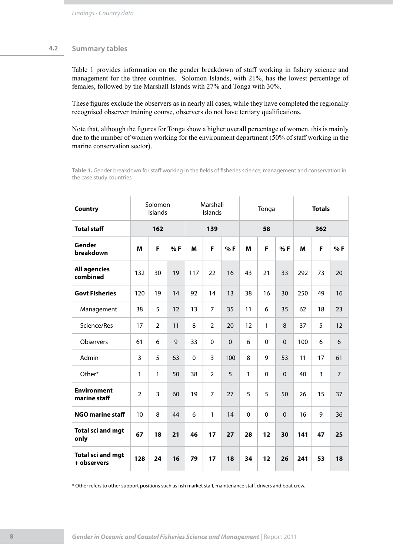### **4.2 Summary tables**

Table 1 provides information on the gender breakdown of staff working in fishery science and management for the three countries. Solomon Islands, with 21%, has the lowest percentage of females, followed by the Marshall Islands with 27% and Tonga with 30%.

These figures exclude the observers as in nearly all cases, while they have completed the regionally recognised observer training course, observers do not have tertiary qualifications.

Note that, although the figures for Tonga show a higher overall percentage of women, this is mainly due to the number of women working for the environment department (50% of staff working in the marine conservation sector).

**Table 1.** Gender breakdown for staff working in the fields of fisheries science, management and conservation in the case study countries

| <b>Country</b>                          |                | Solomon<br>Islands |    | Marshall<br>Islands |                |             |              | Tonga |             | <b>Totals</b> |    |                |  |
|-----------------------------------------|----------------|--------------------|----|---------------------|----------------|-------------|--------------|-------|-------------|---------------|----|----------------|--|
| <b>Total staff</b>                      |                | 162                |    | 139                 |                |             | 58           |       |             | 362           |    |                |  |
| Gender<br>breakdown                     | M              | F                  | %F | M                   | F              | %F          | M            | F     | %F          | M             | F  | %F             |  |
| <b>All agencies</b><br>combined         | 132            | 30                 | 19 | 117                 | 22             | 16          | 43           | 21    | 33          | 292           | 73 | 20             |  |
| <b>Govt Fisheries</b>                   | 120            | 19                 | 14 | 92                  | 14             | 13          | 38           | 16    | 30          | 250           | 49 | 16             |  |
| Management                              | 38             | 5                  | 12 | 13                  | $\overline{7}$ | 35          | 11           | 6     | 35          | 62            | 18 | 23             |  |
| Science/Res                             | 17             | $\overline{2}$     | 11 | 8                   | $\overline{2}$ | 20          | 12           | 1     | 8           | 37            | 5  | 12             |  |
| Observers                               | 61             | 6                  | 9  | 33                  | $\Omega$       | $\mathbf 0$ | 6            | 0     | $\mathbf 0$ | 100           | 6  | 6              |  |
| Admin                                   | 3              | 5                  | 63 | $\mathbf 0$         | 3              | 100         | 8            | 9     | 53          | 11            | 17 | 61             |  |
| Other*                                  | 1              | $\mathbf{1}$       | 50 | 38                  | $\overline{2}$ | 5           | $\mathbf{1}$ | 0     | $\mathbf 0$ | 40            | 3  | $\overline{7}$ |  |
| <b>Environment</b><br>marine staff      | $\overline{2}$ | 3                  | 60 | 19                  | $\overline{7}$ | 27          | 5            | 5     | 50          | 26            | 15 | 37             |  |
| <b>NGO marine staff</b>                 | 10             | 8                  | 44 | 6                   | $\mathbf{1}$   | 14          | $\mathbf 0$  | 0     | $\mathbf 0$ | 16            | 9  | 36             |  |
| <b>Total sci and mgt</b><br>only        | 67             | 18                 | 21 | 46                  | 17             | 27          | 28           | 12    | 30          | 141           | 47 | 25             |  |
| <b>Total sci and mgt</b><br>+ observers | 128            | 24                 | 16 | 79                  | 17             | 18          | 34           | 12    | 26          | 241           | 53 | 18             |  |

\* Other refers to other support positions such as fish market staff, maintenance staff, drivers and boat crew.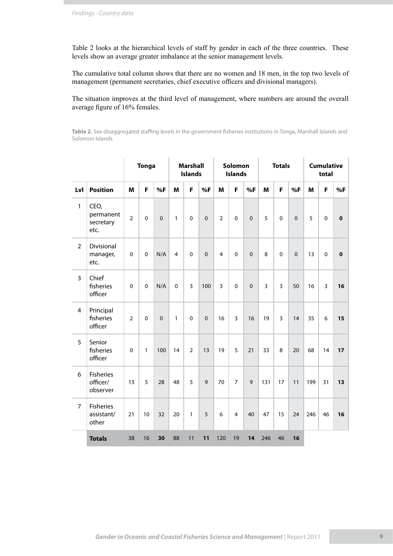Table 2 looks at the hierarchical levels of staff by gender in each of the three countries. These levels show an average greater imbalance at the senior management levels.

The cumulative total column shows that there are no women and 18 men, in the top two levels of management (permanent secretaries, chief executive officers and divisional managers).

The situation improves at the third level of management, where numbers are around the overall average figure of 16% females.

**Table 2.** Sex disaggregated staffing levels in the government fisheries institutions in Tonga, Marshall Islands and Solomon Islands

|                         |                                          |                | <b>Tonga</b> |           |                         | <b>Marshall</b><br><b>Islands</b> |             |                         | Solomon<br><b>Islands</b> |             |                | <b>Totals</b>  |             |     | <b>Cumulative</b><br>total |             |
|-------------------------|------------------------------------------|----------------|--------------|-----------|-------------------------|-----------------------------------|-------------|-------------------------|---------------------------|-------------|----------------|----------------|-------------|-----|----------------------------|-------------|
| Lvl                     | <b>Position</b>                          | M              | F            | %F        | M                       | F                                 | %F          | M                       | F                         | %F          | M              | F              | %F          | M   | F                          | %F          |
| $\mathbf{1}$            | CEO,<br>permanent<br>secretary<br>etc.   | $\overline{2}$ | $\pmb{0}$    | $\pmb{0}$ | $\mathbf{1}$            | $\pmb{0}$                         | $\pmb{0}$   | $\overline{2}$          | $\pmb{0}$                 | $\mathbf 0$ | 5              | $\pmb{0}$      | $\mathbf 0$ | 5   | $\pmb{0}$                  | $\pmb{0}$   |
| $\overline{2}$          | Divisional<br>manager,<br>etc.           | $\mathbf 0$    | $\mathbf 0$  | N/A       | $\overline{\mathbf{4}}$ | $\mathbf 0$                       | $\mathbf 0$ | $\overline{\mathbf{4}}$ | $\mathbf 0$               | $\mathbf 0$ | 8              | $\mathbf 0$    | $\mathbf 0$ | 13  | $\mathbf 0$                | $\mathbf 0$ |
| 3                       | Chief<br>fisheries<br>officer            | $\mathbf 0$    | $\mathbf 0$  | N/A       | $\pmb{0}$               | 3                                 | 100         | $\overline{3}$          | $\pmb{0}$                 | $\mathbf 0$ | $\overline{3}$ | $\overline{3}$ | 50          | 16  | 3                          | 16          |
| $\overline{\mathbf{4}}$ | Principal<br>fisheries<br>officer        | $\overline{2}$ | $\mathbf 0$  | $\pmb{0}$ | $\mathbf{1}$            | $\pmb{0}$                         | $\pmb{0}$   | 16                      | 3                         | 16          | 19             | $\overline{3}$ | 14          | 35  | 6                          | 15          |
| 5                       | Senior<br>fisheries<br>officer           | $\mathbf 0$    | $\mathbf{1}$ | 100       | 14                      | $\overline{2}$                    | 13          | 19                      | 5                         | 21          | 33             | 8              | 20          | 68  | 14                         | 17          |
| 6                       | <b>Fisheries</b><br>officer/<br>observer | 13             | 5            | 28        | 48                      | 5                                 | 9           | 70                      | $\overline{7}$            | $\mathsf 9$ | 131            | 17             | 11          | 199 | 31                         | 13          |
| $\overline{7}$          | <b>Fisheries</b><br>assistant/<br>other  | 21             | 10           | 32        | 20                      | $\mathbf{1}$                      | 5           | 6                       | $\overline{4}$            | 40          | 47             | 15             | 24          | 246 | 46                         | 16          |
|                         | <b>Totals</b>                            | 38             | 16           | 30        | 88                      | 11                                | 11          | 120                     | 19                        | 14          | 246            | 46             | 16          |     |                            |             |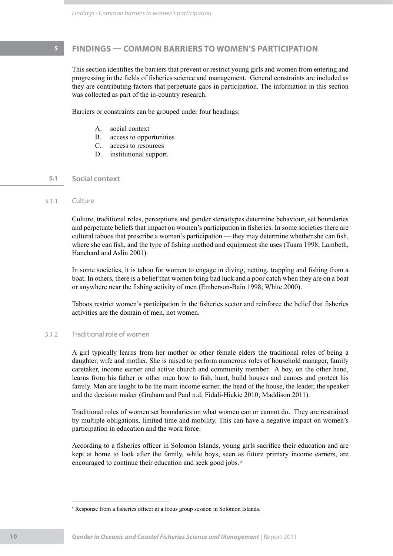# **5 FINDINGS — COMMON BARRIERS TO WOMEN'S PARTICIPATION**

This section identifies the barriers that prevent or restrict young girls and women from entering and progressing in the fields of fisheries science and management. General constraints are included as they are contributing factors that perpetuate gaps in participation. The information in this section was collected as part of the in-country research.

Barriers or constraints can be grouped under four headings:

- A. social context
- B. access to opportunities
- C. access to resources
- D. institutional support.

### **5.1 Social context**

### 5.1.1 Culture

Culture, traditional roles, perceptions and gender stereotypes determine behaviour, set boundaries and perpetuate beliefs that impact on women's participation in fisheries. In some societies there are cultural taboos that prescribe a woman's participation — they may determine whether she can fish, where she can fish, and the type of fishing method and equipment she uses (Tuara 1998; Lambeth, Hanchard and Aslin 2001).

In some societies, it is taboo for women to engage in diving, netting, trapping and fishing from a boat. In others, there is a belief that women bring bad luck and a poor catch when they are on a boat or anywhere near the fishing activity of men (Emberson-Bain 1998; White 2000).

Taboos restrict women's participation in the fisheries sector and reinforce the belief that fisheries activities are the domain of men, not women.

### 5.1.2 Traditional role of women

A girl typically learns from her mother or other female elders the traditional roles of being a daughter, wife and mother. She is raised to perform numerous roles of household manager, family caretaker, income earner and active church and community member. A boy, on the other hand, learns from his father or other men how to fish, hunt, build houses and canoes and protect his family. Men are taught to be the main income earner, the head of the house, the leader, the speaker and the decision maker (Graham and Paul n.d; Fidali-Hickie 2010; Maddison 2011).

Traditional roles of women set boundaries on what women can or cannot do. They are restrained by multiple obligations, limited time and mobility. This can have a negative impact on women's participation in education and the work force.

According to a fisheries officer in Solomon Islands, young girls sacrifice their education and are kept at home to look after the family, while boys, seen as future primary income earners, are encouraged to continue their education and seek good jobs.<sup>5</sup>

<sup>&</sup>lt;sup>5</sup> Response from a fisheries officer at a focus group session in Solomon Islands.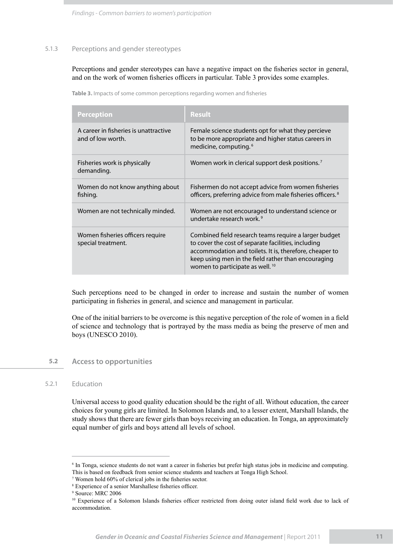*Findings - Common barriers to women's participation*

### 5.1.3 Perceptions and gender stereotypes

Perceptions and gender stereotypes can have a negative impact on the fisheries sector in general, and on the work of women fisheries officers in particular. Table 3 provides some examples.

**Table 3.** Impacts of some common perceptions regarding women and fisheries

| <b>Perception</b>                                          | <b>Result</b>                                                                                                                                                                                                                                                                 |
|------------------------------------------------------------|-------------------------------------------------------------------------------------------------------------------------------------------------------------------------------------------------------------------------------------------------------------------------------|
| A career in fisheries is unattractive<br>and of low worth. | Female science students opt for what they percieve<br>to be more appropriate and higher status careers in<br>medicine, computing. <sup>6</sup>                                                                                                                                |
| Fisheries work is physically<br>demanding.                 | Women work in clerical support desk positions. <sup>7</sup>                                                                                                                                                                                                                   |
| Women do not know anything about<br>fishing.               | Fishermen do not accept advice from women fisheries<br>officers, preferring advice from male fisheries officers. <sup>8</sup>                                                                                                                                                 |
| Women are not technically minded.                          | Women are not encouraged to understand science or<br>undertake research work. <sup>9</sup>                                                                                                                                                                                    |
| Women fisheries officers require<br>special treatment.     | Combined field research teams require a larger budget<br>to cover the cost of separate facilities, including<br>accommodation and toilets. It is, therefore, cheaper to<br>keep using men in the field rather than encouraging<br>women to participate as well. <sup>10</sup> |

Such perceptions need to be changed in order to increase and sustain the number of women participating in fisheries in general, and science and management in particular.

One of the initial barriers to be overcome is this negative perception of the role of women in a field of science and technology that is portrayed by the mass media as being the preserve of men and boys (UNESCO 2010).

### **5.2 Access to opportunities**

### 5.2.1 Education

Universal access to good quality education should be the right of all. Without education, the career choices for young girls are limited. In Solomon Islands and, to a lesser extent, Marshall Islands, the study shows that there are fewer girls than boys receiving an education. In Tonga, an approximately equal number of girls and boys attend all levels of school.

<sup>6</sup> In Tonga, science students do not want a career in fisheries but prefer high status jobs in medicine and computing. This is based on feedback from senior science students and teachers at Tonga High School.

<sup>7</sup> Women hold 60% of clerical jobs in the fisheries sector.

<sup>8</sup> Experience of a senior Marshallese fisheries officer.

<sup>9</sup> Source: MRC 2006

<sup>&</sup>lt;sup>10</sup> Experience of a Solomon Islands fisheries officer restricted from doing outer island field work due to lack of accommodation.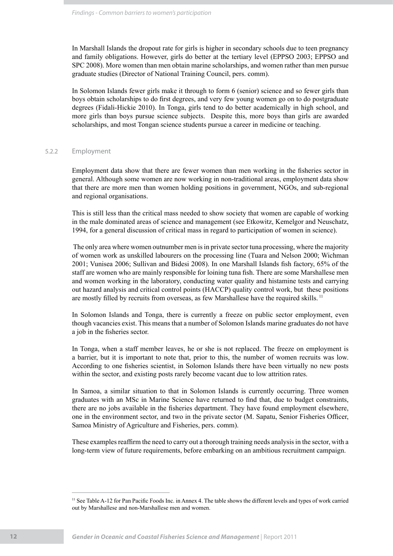In Marshall Islands the dropout rate for girls is higher in secondary schools due to teen pregnancy and family obligations. However, girls do better at the tertiary level (EPPSO 2003; EPPSO and SPC 2008). More women than men obtain marine scholarships, and women rather than men pursue graduate studies (Director of National Training Council, pers. comm).

In Solomon Islands fewer girls make it through to form 6 (senior) science and so fewer girls than boys obtain scholarships to do first degrees, and very few young women go on to do postgraduate degrees (Fidali-Hickie 2010). In Tonga, girls tend to do better academically in high school, and more girls than boys pursue science subjects. Despite this, more boys than girls are awarded scholarships, and most Tongan science students pursue a career in medicine or teaching.

### 5.2.2 Employment

Employment data show that there are fewer women than men working in the fisheries sector in general. Although some women are now working in non-traditional areas, employment data show that there are more men than women holding positions in government, NGOs, and sub-regional and regional organisations.

This is still less than the critical mass needed to show society that women are capable of working in the male dominated areas of science and management (see Etkowitz, Kemelgor and Neuschatz, 1994, for a general discussion of critical mass in regard to participation of women in science).

 The only area where women outnumber men is in private sector tuna processing, where the majority of women work as unskilled labourers on the processing line (Tuara and Nelson 2000; Wichman 2001; Vunisea 2006; Sullivan and Bidesi 2008). In one Marshall Islands fish factory, 65% of the staff are women who are mainly responsible for loining tuna fish. There are some Marshallese men and women working in the laboratory, conducting water quality and histamine tests and carrying out hazard analysis and critical control points (HACCP) quality control work, but these positions are mostly filled by recruits from overseas, as few Marshallese have the required skills. 11

In Solomon Islands and Tonga, there is currently a freeze on public sector employment, even though vacancies exist. This means that a number of Solomon Islands marine graduates do not have a job in the fisheries sector.

In Tonga, when a staff member leaves, he or she is not replaced. The freeze on employment is a barrier, but it is important to note that, prior to this, the number of women recruits was low. According to one fisheries scientist, in Solomon Islands there have been virtually no new posts within the sector, and existing posts rarely become vacant due to low attrition rates.

In Samoa, a similar situation to that in Solomon Islands is currently occurring. Three women graduates with an MSc in Marine Science have returned to find that, due to budget constraints, there are no jobs available in the fisheries department. They have found employment elsewhere, one in the environment sector, and two in the private sector (M. Sapatu, Senior Fisheries Officer, Samoa Ministry of Agriculture and Fisheries, pers. comm).

These examples reaffirm the need to carry out a thorough training needs analysis in the sector, with a long-term view of future requirements, before embarking on an ambitious recruitment campaign.

<sup>11</sup> See Table A-12 for Pan Pacific Foods Inc. in Annex 4. The table shows the different levels and types of work carried out by Marshallese and non-Marshallese men and women.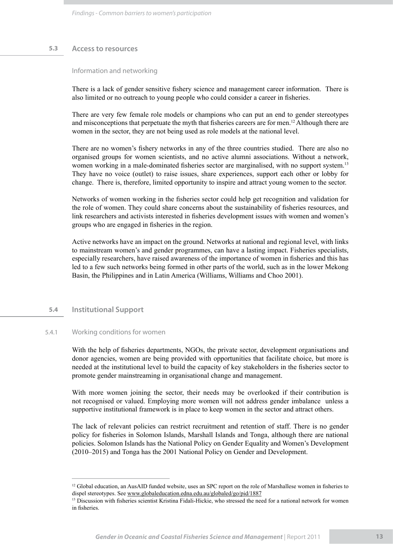### **5.3 Access to resources**

Information and networking

There is a lack of gender sensitive fishery science and management career information. There is also limited or no outreach to young people who could consider a career in fisheries.

There are very few female role models or champions who can put an end to gender stereotypes and misconceptions that perpetuate the myth that fisheries careers are for men.<sup>12</sup> Although there are women in the sector, they are not being used as role models at the national level.

There are no women's fishery networks in any of the three countries studied. There are also no organised groups for women scientists, and no active alumni associations. Without a network, women working in a male-dominated fisheries sector are marginalised, with no support system.13 They have no voice (outlet) to raise issues, share experiences, support each other or lobby for change. There is, therefore, limited opportunity to inspire and attract young women to the sector.

Networks of women working in the fisheries sector could help get recognition and validation for the role of women. They could share concerns about the sustainability of fisheries resources, and link researchers and activists interested in fisheries development issues with women and women's groups who are engaged in fisheries in the region.

Active networks have an impact on the ground. Networks at national and regional level, with links to mainstream women's and gender programmes, can have a lasting impact. Fisheries specialists, especially researchers, have raised awareness of the importance of women in fisheries and this has led to a few such networks being formed in other parts of the world, such as in the lower Mekong Basin, the Philippines and in Latin America (Williams, Williams and Choo 2001).

### **5.4 Institutional Support**

### 5.4.1 Working conditions for women

With the help of fisheries departments, NGOs, the private sector, development organisations and donor agencies, women are being provided with opportunities that facilitate choice, but more is needed at the institutional level to build the capacity of key stakeholders in the fisheries sector to promote gender mainstreaming in organisational change and management.

With more women joining the sector, their needs may be overlooked if their contribution is not recognised or valued. Employing more women will not address gender imbalance unless a supportive institutional framework is in place to keep women in the sector and attract others.

The lack of relevant policies can restrict recruitment and retention of staff. There is no gender policy for fisheries in Solomon Islands, Marshall Islands and Tonga, although there are national policies. Solomon Islands has the National Policy on Gender Equality and Women's Development (2010–2015) and Tonga has the 2001 National Policy on Gender and Development.

<sup>&</sup>lt;sup>12</sup> Global education, an AusAID funded website, uses an SPC report on the role of Marshallese women in fisheries to dispel stereotypes. See www.globaleducation.edna.edu.au/globaled/go/pid/1887

<sup>&</sup>lt;sup>13</sup> Discussion with fisheries scientist Kristina Fidali-Hickie, who stressed the need for a national network for women in fisheries.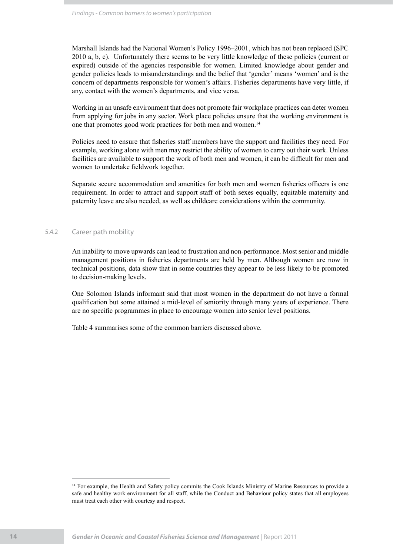Marshall Islands had the National Women's Policy 1996–2001, which has not been replaced (SPC 2010 a, b, c). Unfortunately there seems to be very little knowledge of these policies (current or expired) outside of the agencies responsible for women. Limited knowledge about gender and gender policies leads to misunderstandings and the belief that 'gender' means 'women' and is the concern of departments responsible for women's affairs. Fisheries departments have very little, if any, contact with the women's departments, and vice versa.

Working in an unsafe environment that does not promote fair workplace practices can deter women from applying for jobs in any sector. Work place policies ensure that the working environment is one that promotes good work practices for both men and women.14

Policies need to ensure that fisheries staff members have the support and facilities they need. For example, working alone with men may restrict the ability of women to carry out their work. Unless facilities are available to support the work of both men and women, it can be difficult for men and women to undertake fieldwork together.

Separate secure accommodation and amenities for both men and women fisheries officers is one requirement. In order to attract and support staff of both sexes equally, equitable maternity and paternity leave are also needed, as well as childcare considerations within the community.

### 5.4.2 Career path mobility

An inability to move upwards can lead to frustration and non-performance. Most senior and middle management positions in fisheries departments are held by men. Although women are now in technical positions, data show that in some countries they appear to be less likely to be promoted to decision-making levels.

One Solomon Islands informant said that most women in the department do not have a formal qualification but some attained a mid-level of seniority through many years of experience. There are no specific programmes in place to encourage women into senior level positions.

Table 4 summarises some of the common barriers discussed above.

<sup>&</sup>lt;sup>14</sup> For example, the Health and Safety policy commits the Cook Islands Ministry of Marine Resources to provide a safe and healthy work environment for all staff, while the Conduct and Behaviour policy states that all employees must treat each other with courtesy and respect.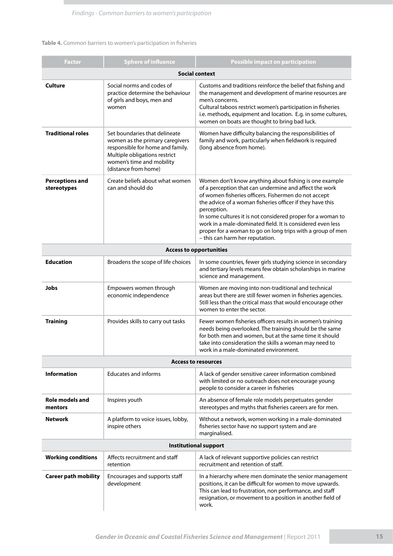### **Table 4.** Common barriers to women's participation in fisheries

| Factor                                | <b>Sphere of influence</b>                                                                                                                                                                 | <b>Possible impact on participation</b>                                                                                                                                                                                                                                                                                                                                                                                                                                            |  |  |  |  |  |  |  |
|---------------------------------------|--------------------------------------------------------------------------------------------------------------------------------------------------------------------------------------------|------------------------------------------------------------------------------------------------------------------------------------------------------------------------------------------------------------------------------------------------------------------------------------------------------------------------------------------------------------------------------------------------------------------------------------------------------------------------------------|--|--|--|--|--|--|--|
|                                       |                                                                                                                                                                                            | <b>Social context</b>                                                                                                                                                                                                                                                                                                                                                                                                                                                              |  |  |  |  |  |  |  |
| <b>Culture</b>                        | Social norms and codes of<br>practice determine the behaviour<br>of girls and boys, men and<br>women                                                                                       | Customs and traditions reinforce the belief that fishing and<br>the management and development of marine resources are<br>men's concerns.<br>Cultural taboos restrict women's participation in fisheries<br>i.e. methods, equipment and location. E.g. in some cultures,<br>women on boats are thought to bring bad luck.                                                                                                                                                          |  |  |  |  |  |  |  |
| <b>Traditional roles</b>              | Set boundaries that delineate<br>women as the primary caregivers<br>responsible for home and family.<br>Multiple obligations restrict<br>women's time and mobility<br>(distance from home) | Women have difficulty balancing the responsibilities of<br>family and work, particularly when fieldwork is required<br>(long absence from home).                                                                                                                                                                                                                                                                                                                                   |  |  |  |  |  |  |  |
| <b>Perceptions and</b><br>stereotypes | Create beliefs about what women<br>can and should do                                                                                                                                       | Women don't know anything about fishing is one example<br>of a perception that can undermine and affect the work<br>of women fisheries officers. Fishermen do not accept<br>the advice of a woman fisheries officer if they have this<br>perception.<br>In some cultures it is not considered proper for a woman to<br>work in a male-dominated field. It is considered even less<br>proper for a woman to go on long trips with a group of men<br>- this can harm her reputation. |  |  |  |  |  |  |  |
| <b>Access to opportunities</b>        |                                                                                                                                                                                            |                                                                                                                                                                                                                                                                                                                                                                                                                                                                                    |  |  |  |  |  |  |  |
| <b>Education</b>                      | Broadens the scope of life choices                                                                                                                                                         | In some countries, fewer girls studying science in secondary<br>and tertiary levels means few obtain scholarships in marine<br>science and management.                                                                                                                                                                                                                                                                                                                             |  |  |  |  |  |  |  |
| Jobs                                  | Empowers women through<br>economic independence                                                                                                                                            | Women are moving into non-traditional and technical<br>areas but there are still fewer women in fisheries agencies.<br>Still less than the critical mass that would encourage other<br>women to enter the sector.                                                                                                                                                                                                                                                                  |  |  |  |  |  |  |  |
| <b>Training</b>                       | Provides skills to carry out tasks                                                                                                                                                         | Fewer women fisheries officers results in women's training<br>needs being overlooked. The training should be the same<br>for both men and women, but at the same time it should<br>take into consideration the skills a woman may need to<br>work in a male-dominated environment.                                                                                                                                                                                                 |  |  |  |  |  |  |  |
|                                       |                                                                                                                                                                                            | <b>Access to resources</b>                                                                                                                                                                                                                                                                                                                                                                                                                                                         |  |  |  |  |  |  |  |
| <b>Information</b>                    | <b>Educates and informs</b>                                                                                                                                                                | A lack of gender sensitive career information combined<br>with limited or no outreach does not encourage young<br>people to consider a career in fisheries                                                                                                                                                                                                                                                                                                                         |  |  |  |  |  |  |  |
| Role models and<br>mentors            | Inspires youth                                                                                                                                                                             | An absence of female role models perpetuates gender<br>stereotypes and myths that fisheries careers are for men.                                                                                                                                                                                                                                                                                                                                                                   |  |  |  |  |  |  |  |
| <b>Network</b>                        | A platform to voice issues, lobby,<br>inspire others                                                                                                                                       | Without a network, women working in a male-dominated<br>fisheries sector have no support system and are<br>marginalised.                                                                                                                                                                                                                                                                                                                                                           |  |  |  |  |  |  |  |
|                                       |                                                                                                                                                                                            | <b>Institutional support</b>                                                                                                                                                                                                                                                                                                                                                                                                                                                       |  |  |  |  |  |  |  |
| <b>Working conditions</b>             | Affects recruitment and staff<br>retention                                                                                                                                                 | A lack of relevant supportive policies can restrict<br>recruitment and retention of staff.                                                                                                                                                                                                                                                                                                                                                                                         |  |  |  |  |  |  |  |
| <b>Career path mobility</b>           | Encourages and supports staff<br>development                                                                                                                                               | In a hierarchy where men dominate the senior management<br>positions, it can be difficult for women to move upwards.<br>This can lead to frustration, non performance, and staff<br>resignation, or movement to a position in another field of<br>work.                                                                                                                                                                                                                            |  |  |  |  |  |  |  |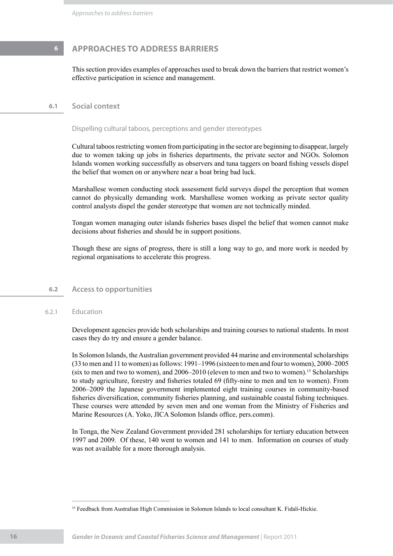# **6 APPROACHES TO ADDRESS BARRIERS**

This section provides examples of approaches used to break down the barriers that restrict women's effective participation in science and management.

### **6.1 Social context**

Dispelling cultural taboos, perceptions and gender stereotypes

Cultural taboos restricting women from participating in the sector are beginning to disappear, largely due to women taking up jobs in fisheries departments, the private sector and NGOs. Solomon Islands women working successfully as observers and tuna taggers on board fishing vessels dispel the belief that women on or anywhere near a boat bring bad luck.

Marshallese women conducting stock assessment field surveys dispel the perception that women cannot do physically demanding work. Marshallese women working as private sector quality control analysts dispel the gender stereotype that women are not technically minded.

Tongan women managing outer islands fisheries bases dispel the belief that women cannot make decisions about fisheries and should be in support positions.

Though these are signs of progress, there is still a long way to go, and more work is needed by regional organisations to accelerate this progress.

### **6.2 Access to opportunities**

### 6.2.1 Education

Development agencies provide both scholarships and training courses to national students. In most cases they do try and ensure a gender balance.

In Solomon Islands, the Australian government provided 44 marine and environmental scholarships (33 to men and 11 to women) as follows: 1991–1996 (sixteen to men and four to women), 2000–2005 (six to men and two to women), and  $2006-2010$  (eleven to men and two to women).<sup>15</sup> Scholarships to study agriculture, forestry and fisheries totaled 69 (fifty-nine to men and ten to women). From 2006–2009 the Japanese government implemented eight training courses in community-based fisheries diversification, community fisheries planning, and sustainable coastal fishing techniques. These courses were attended by seven men and one woman from the Ministry of Fisheries and Marine Resources (A. Yoko, JICA Solomon Islands office, pers.comm).

In Tonga, the New Zealand Government provided 281 scholarships for tertiary education between 1997 and 2009. Of these, 140 went to women and 141 to men. Information on courses of study was not available for a more thorough analysis.

<sup>&</sup>lt;sup>15</sup> Feedback from Australian High Commission in Solomon Islands to local consultant K. Fidali-Hickie.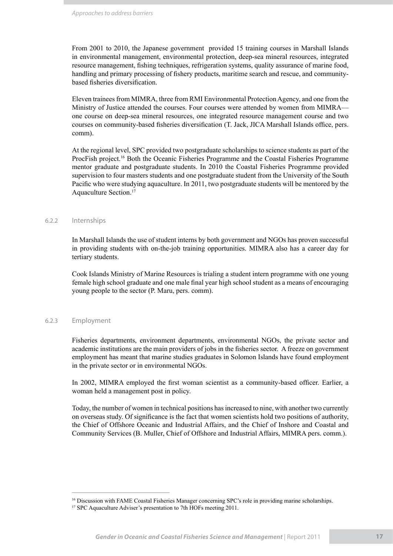From 2001 to 2010, the Japanese government provided 15 training courses in Marshall Islands in environmental management, environmental protection, deep-sea mineral resources, integrated resource management, fishing techniques, refrigeration systems, quality assurance of marine food, handling and primary processing of fishery products, maritime search and rescue, and communitybased fisheries diversification.

Eleven trainees from MIMRA, three from RMI Environmental Protection Agency, and one from the Ministry of Justice attended the courses. Four courses were attended by women from MIMRA one course on deep-sea mineral resources, one integrated resource management course and two courses on community-based fisheries diversification (T. Jack, JICA Marshall Islands office, pers. comm).

At the regional level, SPC provided two postgraduate scholarships to science students as part of the ProcFish project.16 Both the Oceanic Fisheries Programme and the Coastal Fisheries Programme mentor graduate and postgraduate students. In 2010 the Coastal Fisheries Programme provided supervision to four masters students and one postgraduate student from the University of the South Pacific who were studying aquaculture. In 2011, two postgraduate students will be mentored by the Aquaculture Section.17

### 6.2.2 Internships

In Marshall Islands the use of student interns by both government and NGOs has proven successful in providing students with on-the-job training opportunities. MIMRA also has a career day for tertiary students.

Cook Islands Ministry of Marine Resources is trialing a student intern programme with one young female high school graduate and one male final year high school student as a means of encouraging young people to the sector (P. Maru, pers. comm).

### 6.2.3 Employment

Fisheries departments, environment departments, environmental NGOs, the private sector and academic institutions are the main providers of jobs in the fisheries sector. A freeze on government employment has meant that marine studies graduates in Solomon Islands have found employment in the private sector or in environmental NGOs.

In 2002, MIMRA employed the first woman scientist as a community-based officer. Earlier, a woman held a management post in policy.

Today, the number of women in technical positions has increased to nine, with another two currently on overseas study. Of significance is the fact that women scientists hold two positions of authority, the Chief of Offshore Oceanic and Industrial Affairs, and the Chief of Inshore and Coastal and Community Services (B. Muller, Chief of Offshore and Industrial Affairs, MIMRA pers. comm.).

<sup>&</sup>lt;sup>16</sup> Discussion with FAME Coastal Fisheries Manager concerning SPC's role in providing marine scholarships.

<sup>&</sup>lt;sup>17</sup> SPC Aquaculture Adviser's presentation to 7th HOFs meeting 2011.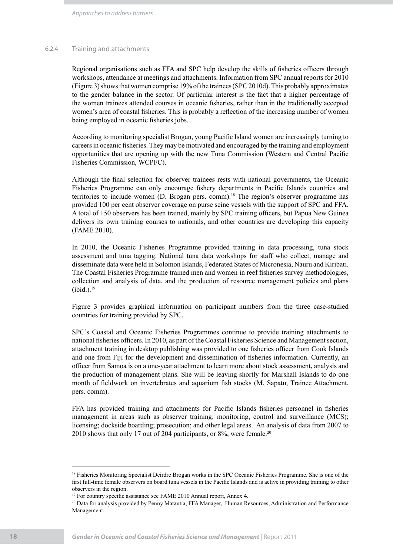*Approaches to address barriers*

### 6.2.4 Training and attachments

Regional organisations such as FFA and SPC help develop the skills of fisheries officers through workshops, attendance at meetings and attachments. Information from SPC annual reports for 2010 (Figure 3) shows that women comprise 19% of the trainees (SPC 2010d). This probably approximates to the gender balance in the sector. Of particular interest is the fact that a higher percentage of the women trainees attended courses in oceanic fisheries, rather than in the traditionally accepted women's area of coastal fisheries. This is probably a reflection of the increasing number of women being employed in oceanic fisheries jobs.

According to monitoring specialist Brogan, young Pacific Island women are increasingly turning to careers in oceanic fisheries. They may be motivated and encouraged by the training and employment opportunities that are opening up with the new Tuna Commission (Western and Central Pacific Fisheries Commission, WCPFC).

Although the final selection for observer trainees rests with national governments, the Oceanic Fisheries Programme can only encourage fishery departments in Pacific Islands countries and territories to include women (D. Brogan pers. comm).<sup>18</sup> The region's observer programme has provided 100 per cent observer coverage on purse seine vessels with the support of SPC and FFA. A total of 150 observers has been trained, mainly by SPC training officers, but Papua New Guinea delivers its own training courses to nationals, and other countries are developing this capacity (FAME 2010).

In 2010, the Oceanic Fisheries Programme provided training in data processing, tuna stock assessment and tuna tagging. National tuna data workshops for staff who collect, manage and disseminate data were held in Solomon Islands, Federated States of Micronesia, Nauru and Kiribati. The Coastal Fisheries Programme trained men and women in reef fisheries survey methodologies, collection and analysis of data, and the production of resource management policies and plans  $(ibid.).<sup>19</sup>$ 

Figure 3 provides graphical information on participant numbers from the three case-studied countries for training provided by SPC.

SPC's Coastal and Oceanic Fisheries Programmes continue to provide training attachments to national fisheries officers. In 2010, as part of the Coastal Fisheries Science and Management section, attachment training in desktop publishing was provided to one fisheries officer from Cook Islands and one from Fiji for the development and dissemination of fisheries information. Currently, an officer from Samoa is on a one-year attachment to learn more about stock assessment, analysis and the production of management plans. She will be leaving shortly for Marshall Islands to do one month of fieldwork on invertebrates and aquarium fish stocks (M. Sapatu, Trainee Attachment, pers. comm).

FFA has provided training and attachments for Pacific Islands fisheries personnel in fisheries management in areas such as observer training; monitoring, control and surveillance (MCS); licensing; dockside boarding; prosecution; and other legal areas. An analysis of data from 2007 to 2010 shows that only 17 out of 204 participants, or 8%, were female.<sup>20</sup>

<sup>&</sup>lt;sup>18</sup> Fisheries Monitoring Specialist Deirdre Brogan works in the SPC Oceanic Fisheries Programme. She is one of the first full-time female observers on board tuna vessels in the Pacific Islands and is active in providing training to other observers in the region.

<sup>&</sup>lt;sup>19</sup> For country specific assistance see FAME 2010 Annual report, Annex 4.

<sup>&</sup>lt;sup>20</sup> Data for analysis provided by Penny Matautia, FFA Manager, Human Resources, Administration and Performance Management.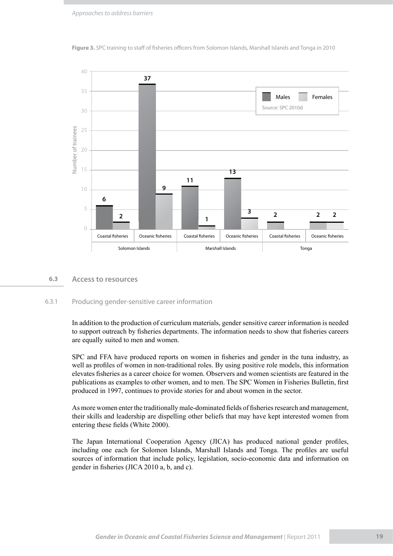

**Figure 3.** SPC training to staff of fisheries officers from Solomon Islands, Marshall Islands and Tonga in 2010

### **6.3 Access to resources**

### 6.3.1 Producing gender-sensitive career information

In addition to the production of curriculum materials, gender sensitive career information is needed to support outreach by fisheries departments. The information needs to show that fisheries careers are equally suited to men and women.

SPC and FFA have produced reports on women in fisheries and gender in the tuna industry, as well as profiles of women in non-traditional roles. By using positive role models, this information elevates fisheries as a career choice for women. Observers and women scientists are featured in the publications as examples to other women, and to men. The SPC Women in Fisheries Bulletin, first produced in 1997, continues to provide stories for and about women in the sector.

As more women enter the traditionally male-dominated fields of fisheries research and management, their skills and leadership are dispelling other beliefs that may have kept interested women from entering these fields (White 2000).

The Japan International Cooperation Agency (JICA) has produced national gender profiles, including one each for Solomon Islands, Marshall Islands and Tonga. The profiles are useful sources of information that include policy, legislation, socio-economic data and information on gender in fisheries (JICA 2010 a, b, and c).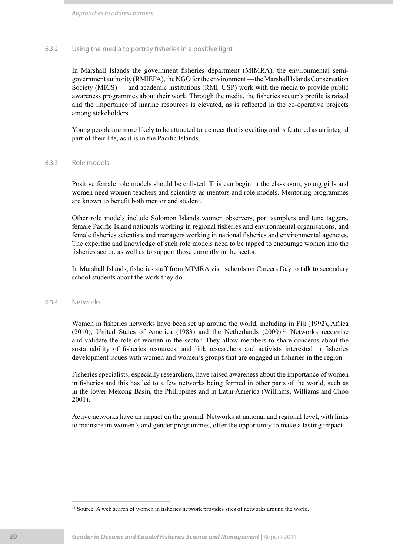### 6.3.2 Using the media to portray fisheries in a positive light

In Marshall Islands the government fisheries department (MIMRA), the environmental semigovernment authority (RMIEPA), the NGO for the environment — the Marshall Islands Conservation Society (MICS) — and academic institutions (RMI–USP) work with the media to provide public awareness programmes about their work. Through the media, the fisheries sector's profile is raised and the importance of marine resources is elevated, as is reflected in the co-operative projects among stakeholders.

Young people are more likely to be attracted to a career that is exciting and is featured as an integral part of their life, as it is in the Pacific Islands.

### 6.3.3 Role models

Positive female role models should be enlisted. This can begin in the classroom; young girls and women need women teachers and scientists as mentors and role models. Mentoring programmes are known to benefit both mentor and student.

Other role models include Solomon Islands women observers, port samplers and tuna taggers, female Pacific Island nationals working in regional fisheries and environmental organisations, and female fisheries scientists and managers working in national fisheries and environmental agencies. The expertise and knowledge of such role models need to be tapped to encourage women into the fisheries sector, as well as to support those currently in the sector.

In Marshall Islands, fisheries staff from MIMRA visit schools on Careers Day to talk to secondary school students about the work they do.

### 6.3.4 Networks

Women in fisheries networks have been set up around the world, including in Fiji (1992), Africa (2010), United States of America (1983) and the Netherlands (2000).<sup>21</sup> Networks recognise and validate the role of women in the sector. They allow members to share concerns about the sustainability of fisheries resources, and link researchers and activists interested in fisheries development issues with women and women's groups that are engaged in fisheries in the region.

Fisheries specialists, especially researchers, have raised awareness about the importance of women in fisheries and this has led to a few networks being formed in other parts of the world, such as in the lower Mekong Basin, the Philippines and in Latin America (Williams, Williams and Choo 2001).

Active networks have an impact on the ground. Networks at national and regional level, with links to mainstream women's and gender programmes, offer the opportunity to make a lasting impact.

<sup>&</sup>lt;sup>21</sup> Source: A web search of women in fisheries network provides sites of networks around the world.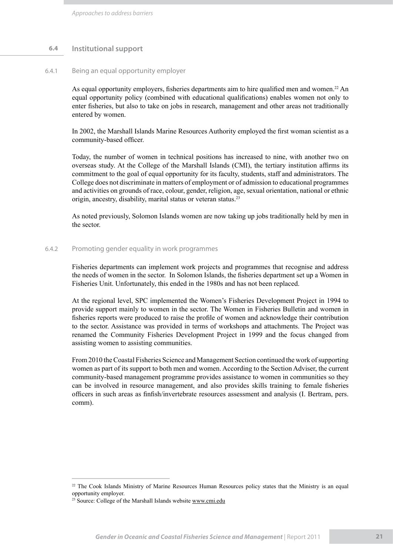### **6.4 Institutional support**

### 6.4.1 Being an equal opportunity employer

As equal opportunity employers, fisheries departments aim to hire qualified men and women.<sup>22</sup> An equal opportunity policy (combined with educational qualifications) enables women not only to enter fisheries, but also to take on jobs in research, management and other areas not traditionally entered by women.

In 2002, the Marshall Islands Marine Resources Authority employed the first woman scientist as a community-based officer.

Today, the number of women in technical positions has increased to nine, with another two on overseas study. At the College of the Marshall Islands (CMI), the tertiary institution affirms its commitment to the goal of equal opportunity for its faculty, students, staff and administrators. The College does not discriminate in matters of employment or of admission to educational programmes and activities on grounds of race, colour, gender, religion, age, sexual orientation, national or ethnic origin, ancestry, disability, marital status or veteran status.23

As noted previously, Solomon Islands women are now taking up jobs traditionally held by men in the sector.

### 6.4.2 Promoting gender equality in work programmes

Fisheries departments can implement work projects and programmes that recognise and address the needs of women in the sector. In Solomon Islands, the fisheries department set up a Women in Fisheries Unit. Unfortunately, this ended in the 1980s and has not been replaced.

At the regional level, SPC implemented the Women's Fisheries Development Project in 1994 to provide support mainly to women in the sector. The Women in Fisheries Bulletin and women in fisheries reports were produced to raise the profile of women and acknowledge their contribution to the sector. Assistance was provided in terms of workshops and attachments. The Project was renamed the Community Fisheries Development Project in 1999 and the focus changed from assisting women to assisting communities.

From 2010 the Coastal Fisheries Science and Management Section continued the work of supporting women as part of its support to both men and women. According to the Section Adviser, the current community-based management programme provides assistance to women in communities so they can be involved in resource management, and also provides skills training to female fisheries officers in such areas as finfish/invertebrate resources assessment and analysis (I. Bertram, pers. comm).

<sup>&</sup>lt;sup>22</sup> The Cook Islands Ministry of Marine Resources Human Resources policy states that the Ministry is an equal opportunity employer.

<sup>23</sup> Source: College of the Marshall Islands website www.cmi.edu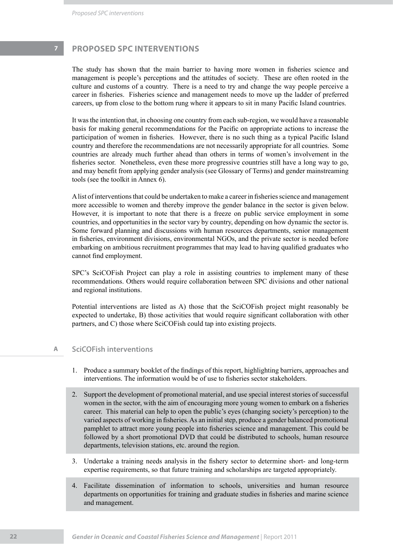*Proposed SPC interventions*

# **7 PROPOSED SPC INTERVENTIONS**

The study has shown that the main barrier to having more women in fisheries science and management is people's perceptions and the attitudes of society. These are often rooted in the culture and customs of a country. There is a need to try and change the way people perceive a career in fisheries. Fisheries science and management needs to move up the ladder of preferred careers, up from close to the bottom rung where it appears to sit in many Pacific Island countries.

It was the intention that, in choosing one country from each sub-region, we would have a reasonable basis for making general recommendations for the Pacific on appropriate actions to increase the participation of women in fisheries. However, there is no such thing as a typical Pacific Island country and therefore the recommendations are not necessarily appropriate for all countries. Some countries are already much further ahead than others in terms of women's involvement in the fisheries sector. Nonetheless, even these more progressive countries still have a long way to go, and may benefit from applying gender analysis (see Glossary of Terms) and gender mainstreaming tools (see the toolkit in Annex 6).

A list of interventions that could be undertaken to make a career in fisheries science and management more accessible to women and thereby improve the gender balance in the sector is given below. However, it is important to note that there is a freeze on public service employment in some countries, and opportunities in the sector vary by country, depending on how dynamic the sector is. Some forward planning and discussions with human resources departments, senior management in fisheries, environment divisions, environmental NGOs, and the private sector is needed before embarking on ambitious recruitment programmes that may lead to having qualified graduates who cannot find employment.

SPC's SciCOFish Project can play a role in assisting countries to implement many of these recommendations. Others would require collaboration between SPC divisions and other national and regional institutions.

Potential interventions are listed as A) those that the SciCOFish project might reasonably be expected to undertake, B) those activities that would require significant collaboration with other partners, and C) those where SciCOFish could tap into existing projects.

### **A SciCOFish interventions**

- 1. Produce a summary booklet of the findings of this report, highlighting barriers, approaches and interventions. The information would be of use to fisheries sector stakeholders.
- 2. Support the development of promotional material, and use special interest stories of successful women in the sector, with the aim of encouraging more young women to embark on a fisheries career. This material can help to open the public's eyes (changing society's perception) to the varied aspects of working in fisheries. As an initial step, produce a gender balanced promotional pamphlet to attract more young people into fisheries science and management. This could be followed by a short promotional DVD that could be distributed to schools, human resource departments, television stations, etc. around the region.
- Undertake a training needs analysis in the fishery sector to determine short- and long-term 3. expertise requirements, so that future training and scholarships are targeted appropriately.
- Facilitate dissemination of information to schools, universities and human resource 4. departments on opportunities for training and graduate studies in fisheries and marine science and management.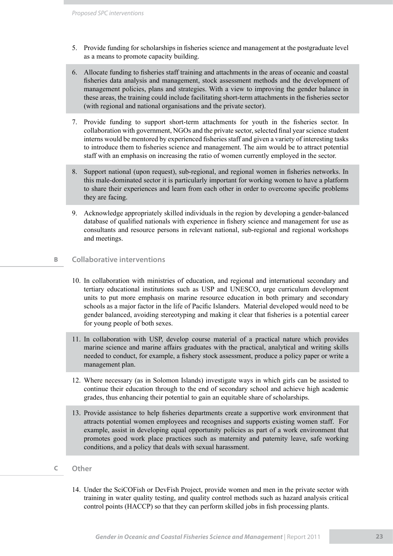- 5. Provide funding for scholarships in fisheries science and management at the postgraduate level as a means to promote capacity building.
- Allocate funding to fisheries staff training and attachments in the areas of oceanic and coastal 6. fisheries data analysis and management, stock assessment methods and the development of management policies, plans and strategies. With a view to improving the gender balance in these areas, the training could include facilitating short-term attachments in the fisheries sector (with regional and national organisations and the private sector).
- 7. Provide funding to support short-term attachments for youth in the fisheries sector. In collaboration with government, NGOs and the private sector, selected final year science student interns would be mentored by experienced fisheries staff and given a variety of interesting tasks to introduce them to fisheries science and management. The aim would be to attract potential staff with an emphasis on increasing the ratio of women currently employed in the sector.
- Support national (upon request), sub-regional, and regional women in fisheries networks. In 8. this male-dominated sector it is particularly important for working women to have a platform to share their experiences and learn from each other in order to overcome specific problems they are facing.
- Acknowledge appropriately skilled individuals in the region by developing a gender-balanced 9. database of qualified nationals with experience in fishery science and management for use as consultants and resource persons in relevant national, sub-regional and regional workshops and meetings.

### **B Collaborative interventions**

- 10. In collaboration with ministries of education, and regional and international secondary and tertiary educational institutions such as USP and UNESCO, urge curriculum development units to put more emphasis on marine resource education in both primary and secondary schools as a major factor in the life of Pacific Islanders. Material developed would need to be gender balanced, avoiding stereotyping and making it clear that fisheries is a potential career for young people of both sexes.
- In collaboration with USP, develop course material of a practical nature which provides 11. marine science and marine affairs graduates with the practical, analytical and writing skills needed to conduct, for example, a fishery stock assessment, produce a policy paper or write a management plan.
- 12. Where necessary (as in Solomon Islands) investigate ways in which girls can be assisted to continue their education through to the end of secondary school and achieve high academic grades, thus enhancing their potential to gain an equitable share of scholarships.
- 13. Provide assistance to help fisheries departments create a supportive work environment that attracts potential women employees and recognises and supports existing women staff. For example, assist in developing equal opportunity policies as part of a work environment that promotes good work place practices such as maternity and paternity leave, safe working conditions, and a policy that deals with sexual harassment.

### **C Other**

14. Under the SciCOFish or DevFish Project, provide women and men in the private sector with training in water quality testing, and quality control methods such as hazard analysis critical control points (HACCP) so that they can perform skilled jobs in fish processing plants.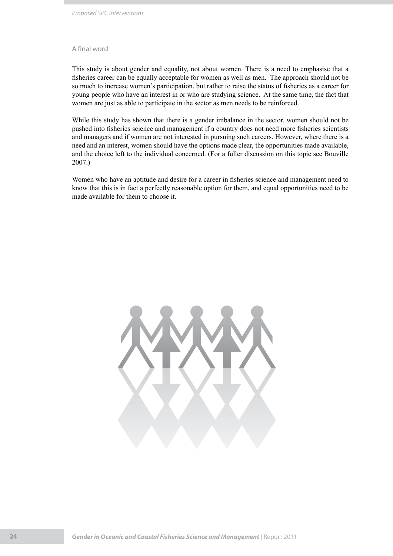### A final word

This study is about gender and equality, not about women. There is a need to emphasise that a fisheries career can be equally acceptable for women as well as men. The approach should not be so much to increase women's participation, but rather to raise the status of fisheries as a career for young people who have an interest in or who are studying science. At the same time, the fact that women are just as able to participate in the sector as men needs to be reinforced.

While this study has shown that there is a gender imbalance in the sector, women should not be pushed into fisheries science and management if a country does not need more fisheries scientists and managers and if women are not interested in pursuing such careers. However, where there is a need and an interest, women should have the options made clear, the opportunities made available, and the choice left to the individual concerned. (For a fuller discussion on this topic see Bouville 2007.)

Women who have an aptitude and desire for a career in fisheries science and management need to know that this is in fact a perfectly reasonable option for them, and equal opportunities need to be made available for them to choose it.

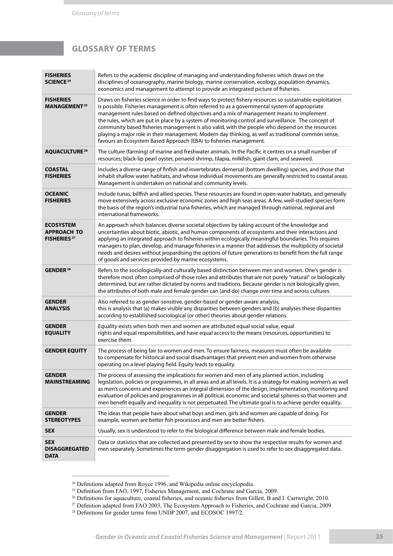# **GLOSSARY OF TERMS**

| <b>FISHERIES</b><br><b>SCIENCE<sup>24</sup></b>                          | Refers to the academic discipline of managing and understanding fisheries which draws on the<br>disciplines of oceanography, marine biology, marine conservation, ecology, population dynamics,<br>economics and management to attempt to provide an integrated picture of fisheries.                                                                                                                                                                                                                                                                                                                                                                                                          |
|--------------------------------------------------------------------------|------------------------------------------------------------------------------------------------------------------------------------------------------------------------------------------------------------------------------------------------------------------------------------------------------------------------------------------------------------------------------------------------------------------------------------------------------------------------------------------------------------------------------------------------------------------------------------------------------------------------------------------------------------------------------------------------|
| <b>FISHERIES</b><br><b>MANAGEMENT</b> <sup>25</sup>                      | Draws on fisheries science in order to find ways to protect fishery resources so sustainable exploitation<br>is possible. Fisheries management is often referred to as a governmental system of appropriate<br>management rules based on defined objectives and a mix of management means to implement<br>the rules, which are put in place by a system of monitoring control and surveillance. The concept of<br>community based fisheries management is also valid, with the people who depend on the resources<br>playing a major role in their management. Modern day thinking, as well as traditional common sense,<br>favours an Ecosystem Based Approach (EBA) to fisheries management. |
| <b>AQUACULTURE 26</b>                                                    | The culture (farming) of marine and freshwater animals. In the Pacific it centres on a small number of<br>resources; black-lip pearl oyster, penaeid shrimp, tilapia, milkfish, giant clam, and seaweed.                                                                                                                                                                                                                                                                                                                                                                                                                                                                                       |
| <b>COASTAL</b><br><b>FISHERIES</b>                                       | Includes a diverse range of finfish and invertebrates demersal (bottom dwelling) species, and those that<br>inhabit shallow water habitats, and whose individual movements are generally restricted to coastal areas.<br>Management is undertaken on national and community levels.                                                                                                                                                                                                                                                                                                                                                                                                            |
| <b>OCEANIC</b><br><b>FISHERIES</b>                                       | Include tunas, billfish and allied species. These resources are found in open-water habitats, and generally<br>move extensively across exclusive economic zones and high seas areas. A few, well-studied species form<br>the basis of the region's industrial tuna fisheries, which are managed through national, regional and<br>international frameworks.                                                                                                                                                                                                                                                                                                                                    |
| <b>ECOSYSTEM</b><br><b>APPROACH TO</b><br><b>FISHERIES</b> <sup>27</sup> | An approach which balances diverse societal objectives by taking account of the knowledge and<br>uncertainties about biotic, abiotic, and human components of ecosystems and their interactions and<br>applying an integrated approach to fisheries within ecologically meaningful boundaries. This requires<br>managers to plan, develop, and manage fisheries in a manner that addresses the multiplicity of societal<br>needs and desires without jeopardising the options of future generations to benefit from the full range<br>of goods and services provided by marine ecosystems.                                                                                                     |
| <b>GENDER<sup>28</sup></b>                                               | Refers to the sociologically-and culturally based distinction between men and women. One's gender is<br>therefore most often comprised of those roles and attributes that are not purely "natural" or biologically<br>determined, but are rather dictated by norms and traditions. Because gender is not biologically given,<br>the attributes of both male and female gender can (and do) change over time and across cultures.                                                                                                                                                                                                                                                               |
| <b>GENDER</b><br><b>ANALYSIS</b>                                         | Also referred to as gender-sensitive, gender-based or gender-aware analysis,<br>this is analysis that (a) makes visible any disparities between genders and (b) analyses these disparities<br>according to established sociological (or other) theories about gender relations.                                                                                                                                                                                                                                                                                                                                                                                                                |
| <b>GENDER</b><br><b>EQUALITY</b>                                         | Equality exists when both men and women are attributed equal social value, equal<br>rights and equal responsibilities, and have equal access to the means (resources, opportunities) to<br>exercise them.                                                                                                                                                                                                                                                                                                                                                                                                                                                                                      |
| <b>GENDER EQUITY</b>                                                     | The process of being fair to women and men. To ensure fairness, measures must often be available<br>to compensate for historical and social disadvantages that prevent men and women from otherwise<br>operating on a level playing field. Equity leads to equality.                                                                                                                                                                                                                                                                                                                                                                                                                           |
| <b>GENDER</b><br>MAINSTREAMING                                           | The process of assessing the implications for women and men of any planned action, including<br>legislation, policies or programmes, in all areas and at all levels. It is a strategy for making women's as well<br>as men's concerns and experiences an integral dimension of the design, implementation, monitoring and<br>evaluation of policies and programmes in all political, economic and societal spheres so that women and<br>men benefit equally and inequality is not perpetuated. The ultimate goal is to achieve gender equality.                                                                                                                                                |
| <b>GENDER</b><br><b>STEREOTYPES</b>                                      | The ideas that people have about what boys and men, girls and women are capable of doing. For<br>example, women are better fish processors and men are better fishers.                                                                                                                                                                                                                                                                                                                                                                                                                                                                                                                         |
| <b>SEX</b>                                                               | Usually, sex is understood to refer to the biological difference between male and female bodies.                                                                                                                                                                                                                                                                                                                                                                                                                                                                                                                                                                                               |
| <b>SEX</b><br><b>DISAGGREGATED</b><br><b>DATA</b>                        | Data or statistics that are collected and presented by sex to show the respective results for women and<br>men separately. Sometimes the term gender disaggregation is used to refer to sex disaggregated data.                                                                                                                                                                                                                                                                                                                                                                                                                                                                                |

<sup>&</sup>lt;sup>24</sup> Definitions adapted from Royce 1996, and Wikipedia online encyclopedia.

<sup>&</sup>lt;sup>25</sup> Definition from FAO, 1997, Fisheries Management, and Cochrane and Garcia, 2009.

 $26$  Definitions for aquaculture, coastal fisheries, and oceanic fisheries from Gillett, B and I. Cartwright. 2010.

<sup>&</sup>lt;sup>27</sup> Definition adapted from FAO 2003, The Ecosystem Approach to Fisheries, and Cochrane and Garcia, 2009.

 $^{28}$  Definitions for gender terms from UNDP 2007, and ECOSOC 1997/2.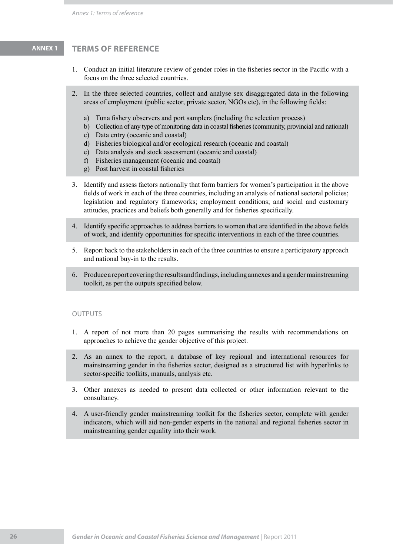# **ANNEX 1 TERMS OF REFERENCE**

- Conduct an initial literature review of gender roles in the fisheries sector in the Pacific with a 1. focus on the three selected countries.
- 2. In the three selected countries, collect and analyse sex disaggregated data in the following areas of employment (public sector, private sector, NGOs etc), in the following fields:
	- Tuna fishery observers and port samplers (including the selection process) a)
	- b) Collection of any type of monitoring data in coastal fisheries (community, provincial and national)
	- c) Data entry (oceanic and coastal)
	- Fisheries biological and/or ecological research (oceanic and coastal) d)
	- Data analysis and stock assessment (oceanic and coastal) e)
	- f) Fisheries management (oceanic and coastal)
	- Post harvest in coastal fisheries g)
- 3. Identify and assess factors nationally that form barriers for women's participation in the above fields of work in each of the three countries, including an analysis of national sectoral policies; legislation and regulatory frameworks; employment conditions; and social and customary attitudes, practices and beliefs both generally and for fisheries specifically.
- 4. Identify specific approaches to address barriers to women that are identified in the above fields of work, and identify opportunities for specific interventions in each of the three countries.
- Report back to the stakeholders in each of the three countries to ensure a participatory approach and national buy-in to the results. 5.
- Produce a report covering the results and findings, including annexes and a gender mainstreaming 6. toolkit, as per the outputs specified below.

### **OUTPUTS**

- A report of not more than 20 pages summarising the results with recommendations on 1. approaches to achieve the gender objective of this project.
- As an annex to the report, a database of key regional and international resources for 2. mainstreaming gender in the fisheries sector, designed as a structured list with hyperlinks to sector-specific toolkits, manuals, analysis etc.
- Other annexes as needed to present data collected or other information relevant to the 3. consultancy.
- A user-friendly gender mainstreaming toolkit for the fisheries sector, complete with gender 4.indicators, which will aid non-gender experts in the national and regional fisheries sector in mainstreaming gender equality into their work.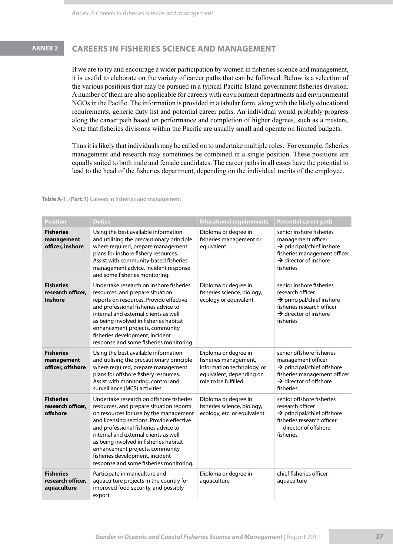# **ANNEX 2 CAREERS IN FISHERIES SCIENCE AND MANAGEMENT**

If we are to try and encourage a wider participation by women in fisheries science and management, it is useful to elaborate on the variety of career paths that can be followed. Below is a selection of the various positions that may be pursued in a typical Pacific Island government fisheries division. A number of them are also applicable for careers with environment departments and environmental NGOs in the Pacific. The information is provided in a tabular form, along with the likely educational requirements, generic duty list and potential career paths. An individual would probably progress along the career path based on performance and completion of higher degrees, such as a masters. Note that fisheries divisions within the Pacific are usually small and operate on limited budgets.

Thus it is likely that individuals may be called on to undertake multiple roles. For example, fisheries management and research may sometimes be combined in a single position. These positions are equally suited to both male and female candidates. The career paths in all cases have the potential to lead to the head of the fisheries department, depending on the individual merits of the employee.

### **Table A-1. (Part.1)** Careers in fisheries and management

| <b>Position</b>                                      | <b>Duties</b>                                                                                                                                                                                                                                                                                                                                                                                                           | <b>Educational requirements</b>                                                                                                 | <b>Potential career path</b>                                                                                                                                                 |  |
|------------------------------------------------------|-------------------------------------------------------------------------------------------------------------------------------------------------------------------------------------------------------------------------------------------------------------------------------------------------------------------------------------------------------------------------------------------------------------------------|---------------------------------------------------------------------------------------------------------------------------------|------------------------------------------------------------------------------------------------------------------------------------------------------------------------------|--|
| <b>Fisheries</b><br>management<br>officer, inshore   | Using the best available information<br>and utilising the precautionary principle<br>where required, prepare management<br>plans for inshore fishery resources.<br>Assist with community-based fisheries<br>management advice, incident response<br>and some fisheries monitoring.                                                                                                                                      | Diploma or degree in<br>fisheries management or<br>equivalent                                                                   | senior inshore fisheries<br>management officer<br>$\rightarrow$ principal/chief inshore<br>fisheries management officer<br>$\rightarrow$ director of inshore<br>fisheries    |  |
| <b>Fisheries</b><br>research officer.<br>Inshore     | Undertake research on inshore fisheries<br>resources, and prepare situation<br>reports on resources. Provide effective<br>and professional fisheries advice to<br>internal and external clients as well<br>as being involved in fisheries habitat<br>enhancement projects, community<br>fisheries development, incident<br>response and some fisheries monitoring.                                                      | Diploma or degree in<br>fisheries science, biology,<br>ecology or equivalent                                                    | senior inshore fisheries<br>research officer<br>$\rightarrow$ principal/chief inshore<br>fisheries research officer<br>$\rightarrow$ director of inshore<br>fisheries        |  |
| <b>Fisheries</b><br>management<br>officer, offshore  | Using the best available information<br>and utilising the precautionary principle<br>where required, prepare management<br>plans for offshore fishery resources.<br>Assist with monitoring, control and<br>surveillance (MCS) activities.                                                                                                                                                                               | Diploma or degree in<br>fisheries management,<br>information technology, or<br>equivalent, depending on<br>role to be fulfilled | senior offshore fisheries<br>management officer<br>$\rightarrow$ principal/chief offshore<br>fisheries management officer<br>$\rightarrow$ director of offshore<br>fisheries |  |
| <b>Fisheries</b><br>research officer,<br>offshore    | Undertake research on offshore fisheries<br>resources, and prepare situation reports<br>on resources for use by the management<br>and licensing sections. Provide effective<br>and professional fisheries advice to<br>internal and external clients as well<br>as being involved in fisheries habitat<br>enhancement projects, community<br>fisheries development, incident<br>response and some fisheries monitoring. | Diploma or degree in<br>fisheries science, biology,<br>ecology, etc. or equivalent                                              | senior offshore fisheries<br>research officer<br>$\rightarrow$ principal/chief offshore<br>fisheries research officer<br>director of offshore<br>fisheries                   |  |
| <b>Fisheries</b><br>research officer,<br>aquaculture | Participate in mariculture and<br>aquaculture projects in the country for<br>improved food security, and possibly<br>export.                                                                                                                                                                                                                                                                                            | Diploma or degree in<br>aquaculture                                                                                             | chief fisheries officer,<br>aquaculture                                                                                                                                      |  |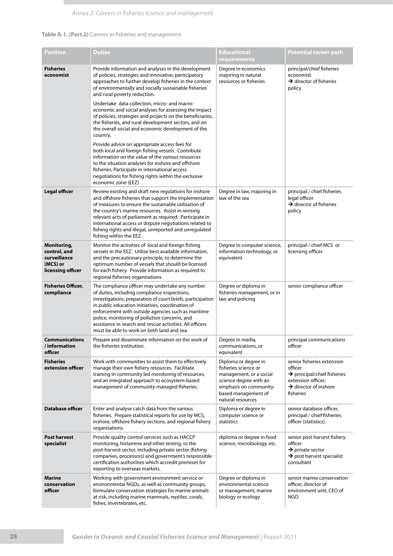### **Table A-1. (Part.2)** Careers in fisheries and management

| <b>Position</b>                                                              | <b>Duties</b>                                                                                                                                                                                                                                                                                                                                                                                                                                                                                                                                                                                                                                                                                                                                                                                                                        | <b>Educational</b><br>requirements                                                                                                                                      | <b>Potential career path</b>                                                                                                                             |
|------------------------------------------------------------------------------|--------------------------------------------------------------------------------------------------------------------------------------------------------------------------------------------------------------------------------------------------------------------------------------------------------------------------------------------------------------------------------------------------------------------------------------------------------------------------------------------------------------------------------------------------------------------------------------------------------------------------------------------------------------------------------------------------------------------------------------------------------------------------------------------------------------------------------------|-------------------------------------------------------------------------------------------------------------------------------------------------------------------------|----------------------------------------------------------------------------------------------------------------------------------------------------------|
| <b>Fisheries</b><br>economist                                                | Provide information and analyses in the development<br>of policies, strategies and innovative, participatory<br>approaches to further develop fisheries in the context<br>of environmentally and socially sustainable fisheries<br>and rural poverty reduction.<br>Undertake data collection, micro- and macro-<br>economic and social analyses for assessing the impact<br>of policies, strategies and projects on the beneficiaries,<br>the fisheries, and rural development sectors, and on<br>the overall social and economic development of the<br>country.<br>Provide advice on appropriate access fees for<br>both local and foreign fishing vessels. Contribute<br>information on the value of the various resources<br>to the situation analyses for inshore and offshore<br>fisheries. Participate in international access | Degree in economics<br>majoring in natural<br>resources or fisheries                                                                                                    | principal/chief fisheries<br>economist<br>$\rightarrow$ director of fisheries<br>policy                                                                  |
|                                                                              | negotiations for fishing rights within the exclusive<br>economic zone (EEZ).                                                                                                                                                                                                                                                                                                                                                                                                                                                                                                                                                                                                                                                                                                                                                         |                                                                                                                                                                         |                                                                                                                                                          |
| <b>Legal officer</b>                                                         | Review existing and draft new regulations for inshore<br>and offshore fisheries that support the implementation<br>of measures to ensure the sustainable utilisation of<br>the country's marine resources. Assist in revising<br>relevant acts of parliament as required. Participate in<br>international access or dispute negotiations related to<br>fishing rights and illegal, unreported and unregulated<br>fishing within the EEZ.                                                                                                                                                                                                                                                                                                                                                                                             | Degree in law, majoring in<br>law of the sea                                                                                                                            | principal / chief fisheries<br>legal officer<br>$\rightarrow$ director of fisheries<br>policy                                                            |
| Monitoring,<br>control, and<br>surveillance<br>(MCS) or<br>licensing officer | Monitor the activities of local and foreign fishing<br>vessels in the EEZ. Utilise best available information,<br>and the precautionary principle, to determine the<br>optimum number of vessels that should be licensed<br>for each fishery. Provide information as required to<br>regional fisheries organisations.                                                                                                                                                                                                                                                                                                                                                                                                                                                                                                                | Degree in computer science,<br>information technology, or<br>equivalent                                                                                                 | principal / chief MCS or<br>licensing officer                                                                                                            |
| <b>Fisheries Officer,</b><br>compliance                                      | The compliance officer may undertake any number<br>of duties, including compliance inspections,<br>investigations, preparation of court briefs, participation<br>in public education initiatives, coordination of<br>enforcement with outside agencies such as maritime<br>police, monitoring of pollution concerns, and<br>assistance in search and rescue activities. All officers<br>must be able to work on both land and sea.                                                                                                                                                                                                                                                                                                                                                                                                   | Degree or diploma in<br>fisheries management, or in<br>law and policing                                                                                                 | senior compliance officer                                                                                                                                |
| <b>Communications</b><br>/information<br>officer                             | Prepare and disseminate information on the work of<br>the fisheries institution.                                                                                                                                                                                                                                                                                                                                                                                                                                                                                                                                                                                                                                                                                                                                                     | Degree in media,<br>communications, or<br>equivalent                                                                                                                    | principal communications<br>officer                                                                                                                      |
| <b>Fisheries</b><br>extension officer                                        | Work with communities to assist them to effectively<br>manage their own fishery resources. Facilitate<br>training in community led monitoring of resources,<br>and an integrated approach to ecosystem-based<br>management of community-managed fisheries.                                                                                                                                                                                                                                                                                                                                                                                                                                                                                                                                                                           | Diploma or degree in<br>fisheries science or<br>management, or a social<br>science degree with an<br>emphasis on community-<br>based management of<br>natural resources | senior fisheries extension<br>officer<br>$\rightarrow$ principal/chief fisheries<br>extension officer;<br>$\rightarrow$ director of inshore<br>fisheries |
| <b>Database officer</b>                                                      | Enter and analyse catch data from the various<br>fisheries. Prepare statistical reports for use by MCS,<br>inshore, offshore fishery sections, and regional fishery<br>organisations.                                                                                                                                                                                                                                                                                                                                                                                                                                                                                                                                                                                                                                                | Diploma or degree in<br>computer science or<br>statistics                                                                                                               | senior database officer,<br>principal / chief fisheries<br>officer (statistics).                                                                         |
| <b>Post harvest</b><br>specialist                                            | Provide quality control services such as HACCP<br>monitoring, histamine and other testing, to the<br>post-harvest sector, including private sector (fishing<br>companies, processors) and government's responsible<br>certification authorities which accredit premises for<br>exporting to overseas markets.                                                                                                                                                                                                                                                                                                                                                                                                                                                                                                                        | diploma or degree in food<br>science, microbiology, etc.                                                                                                                | senior post harvest fishery<br>officer<br>$\rightarrow$ private sector<br>$\rightarrow$ post harvest specialist<br>consultant                            |
| <b>Marine</b><br>conservation<br>officer                                     | Working with government environment service or<br>environmental NGOs, as well as community groups,<br>formulate conservation strategies for marine animals<br>at risk, including marine mammals, reptiles, corals,<br>fishes, invertebrates, etc.                                                                                                                                                                                                                                                                                                                                                                                                                                                                                                                                                                                    | Degree or diploma in<br>environmental science<br>or management, marine<br>biology or ecology                                                                            | senior marine conservation<br>officer, director of<br>environment unit, CEO of<br><b>NGO</b>                                                             |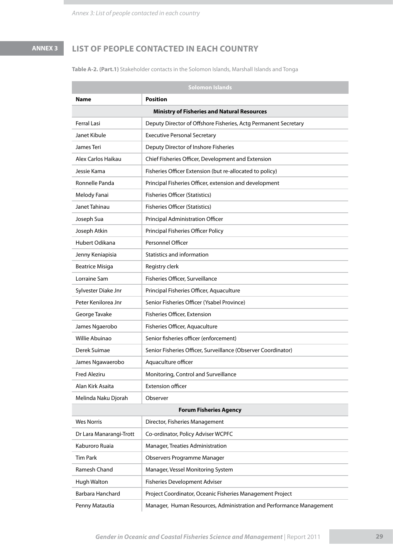# **ANNEX 3 List of people contacted in each country**

**Table A-2. (Part.1)** Stakeholder contacts in the Solomon Islands, Marshall Islands and Tonga

| <b>Solomon Islands</b>         |                                                                     |  |  |  |  |
|--------------------------------|---------------------------------------------------------------------|--|--|--|--|
| <b>Position</b><br><b>Name</b> |                                                                     |  |  |  |  |
|                                | <b>Ministry of Fisheries and Natural Resources</b>                  |  |  |  |  |
| <b>Ferral Lasi</b>             | Deputy Director of Offshore Fisheries, Actg Permanent Secretary     |  |  |  |  |
| Janet Kibule                   | <b>Executive Personal Secretary</b>                                 |  |  |  |  |
| James Teri                     | Deputy Director of Inshore Fisheries                                |  |  |  |  |
| Alex Carlos Haikau             | Chief Fisheries Officer, Development and Extension                  |  |  |  |  |
| Jessie Kama                    | Fisheries Officer Extension (but re-allocated to policy)            |  |  |  |  |
| Ronnelle Panda                 | Principal Fisheries Officer, extension and development              |  |  |  |  |
| Melody Fanai                   | <b>Fisheries Officer (Statistics)</b>                               |  |  |  |  |
| Janet Tahinau                  | <b>Fisheries Officer (Statistics)</b>                               |  |  |  |  |
| Joseph Sua                     | Principal Administration Officer                                    |  |  |  |  |
| Joseph Atkin                   | Principal Fisheries Officer Policy                                  |  |  |  |  |
| Hubert Odikana                 | Personnel Officer                                                   |  |  |  |  |
| Jenny Keniapisia               | Statistics and information                                          |  |  |  |  |
| <b>Beatrice Misiga</b>         | Registry clerk                                                      |  |  |  |  |
| Lorraine Sam                   | Fisheries Officer, Surveillance                                     |  |  |  |  |
| Sylvester Diake Jnr            | Principal Fisheries Officer, Aquaculture                            |  |  |  |  |
| Peter Kenilorea Jnr            | Senior Fisheries Officer (Ysabel Province)                          |  |  |  |  |
| George Tavake                  | Fisheries Officer, Extension                                        |  |  |  |  |
| James Ngaerobo                 | Fisheries Officer, Aquaculture                                      |  |  |  |  |
| Willie Abuinao                 | Senior fisheries officer (enforcement)                              |  |  |  |  |
| Derek Suimae                   | Senior Fisheries Officer, Surveillance (Observer Coordinator)       |  |  |  |  |
| James Ngawaerobo               | Aquaculture officer                                                 |  |  |  |  |
| <b>Fred Aleziru</b>            | Monitoring, Control and Surveillance                                |  |  |  |  |
| Alan Kirk Asaita               | <b>Extension officer</b>                                            |  |  |  |  |
| Melinda Naku Djorah            | Observer                                                            |  |  |  |  |
| <b>Forum Fisheries Agency</b>  |                                                                     |  |  |  |  |
| <b>Wes Norris</b>              | Director, Fisheries Management                                      |  |  |  |  |
| Dr Lara Manarangi-Trott        | Co-ordinator, Policy Adviser WCPFC                                  |  |  |  |  |
| Kaburoro Ruaia                 | Manager, Treaties Administration                                    |  |  |  |  |
| <b>Tim Park</b>                | Observers Programme Manager                                         |  |  |  |  |
| Ramesh Chand                   | Manager, Vessel Monitoring System                                   |  |  |  |  |
| Hugh Walton                    | Fisheries Development Adviser                                       |  |  |  |  |
| <b>Barbara Hanchard</b>        | Project Coordinator, Oceanic Fisheries Management Project           |  |  |  |  |
| Penny Matautia                 | Manager, Human Resources, Administration and Performance Management |  |  |  |  |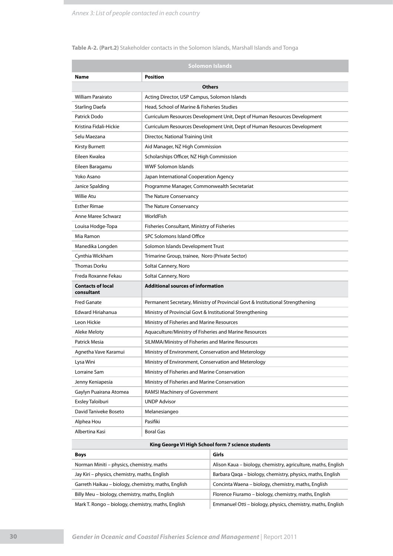### **Table A-2. (Part.2)** Stakeholder contacts in the Solomon Islands, Marshall Islands and Tonga

|                                        | <b>Solomon Islands</b>                                                         |  |  |  |  |
|----------------------------------------|--------------------------------------------------------------------------------|--|--|--|--|
| Name                                   | <b>Position</b>                                                                |  |  |  |  |
|                                        | <b>Others</b>                                                                  |  |  |  |  |
| <b>William Parairato</b>               | Acting Director, USP Campus, Solomon Islands                                   |  |  |  |  |
| Starling Daefa                         | Head, School of Marine & Fisheries Studies                                     |  |  |  |  |
| Patrick Dodo                           | Curriculum Resources Development Unit, Dept of Human Resources Development     |  |  |  |  |
| Kristina Fidali-Hickie                 | Curriculum Resources Development Unit, Dept of Human Resources Development     |  |  |  |  |
| Selu Maezana                           | Director, National Training Unit                                               |  |  |  |  |
| Kirsty Burnett                         | Aid Manager, NZ High Commission                                                |  |  |  |  |
| Eileen Kwalea                          | Scholarships Officer, NZ High Commission                                       |  |  |  |  |
| Eileen Baragamu                        | <b>WWF Solomon Islands</b>                                                     |  |  |  |  |
| Yoko Asano                             | Japan International Cooperation Agency                                         |  |  |  |  |
| Janice Spalding                        | Programme Manager, Commonwealth Secretariat                                    |  |  |  |  |
| Willie Atu                             | The Nature Conservancy                                                         |  |  |  |  |
| <b>Esther Rimae</b>                    | The Nature Conservancy                                                         |  |  |  |  |
| Anne Maree Schwarz                     | WorldFish                                                                      |  |  |  |  |
| Louisa Hodge-Topa                      | Fisheries Consultant, Ministry of Fisheries                                    |  |  |  |  |
| Mia Ramon                              | SPC Solomons Island Office                                                     |  |  |  |  |
| Manedika Longden                       | Solomon Islands Development Trust                                              |  |  |  |  |
| Cynthia Wickham                        | Trimarine Group, trainee, Noro (Private Sector)                                |  |  |  |  |
| Thomas Dorku                           | Soltai Cannery, Noro                                                           |  |  |  |  |
| Freda Roxanne Fekau                    | Soltai Cannery, Noro                                                           |  |  |  |  |
| <b>Contacts of local</b><br>consultant | <b>Additional sources of information</b>                                       |  |  |  |  |
| <b>Fred Ganate</b>                     | Permanent Secretary, Ministry of Provincial Govt & Institutional Strengthening |  |  |  |  |
| Edward Hiriahanua                      | Ministry of Provincial Govt & Institutional Strengthening                      |  |  |  |  |
| Leon Hickie                            | Ministry of Fisheries and Marine Resources                                     |  |  |  |  |
| Aleke Meloty                           | Aquaculture/Ministry of Fisheries and Marine Resources                         |  |  |  |  |
| Patrick Mesia                          | SILMMA/Ministry of Fisheries and Marine Resources                              |  |  |  |  |
| Agnetha Vave Karamui                   | Ministry of Environment, Conservation and Meterology                           |  |  |  |  |
| Lysa Wini                              | Ministry of Environment, Conservation and Meterology                           |  |  |  |  |
| Lorraine Sam                           | Ministry of Fisheries and Marine Conservation                                  |  |  |  |  |
| Jenny Keniapesia                       | Ministry of Fisheries and Marine Conservation                                  |  |  |  |  |
| Gaylyn Puairana Atomea                 | RAMSI Machinery of Government                                                  |  |  |  |  |
| Exsley Taloiburi                       | <b>UNDP Advisor</b>                                                            |  |  |  |  |
| David Taniveke Boseto                  | Melanesiangeo                                                                  |  |  |  |  |
| Alphea Hou                             | Pasifiki                                                                       |  |  |  |  |
| Albertina Kasi                         | Boral Gas                                                                      |  |  |  |  |

### **King George VI High School form 7 science students**

| <b>Boys</b>                                         | Girls                                                         |
|-----------------------------------------------------|---------------------------------------------------------------|
| Norman Miniti – physics, chemistry, maths           | Alison Kaua – biology, chemistry, agriculture, maths, English |
| Jay Kiri - physics, chemistry, maths, English       | Barbara Qaga – biology, chemistry, physics, maths, English    |
| Garreth Haikau – biology, chemistry, maths, English | Concinta Waena – biology, chemistry, maths, English           |
| Billy Meu – biology, chemistry, maths, English      | Florence Fiuramo – biology, chemistry, maths, English         |
| Mark T. Rongo – biology, chemistry, maths, English  | Emmanuel Otti – biology, physics, chemistry, maths, English   |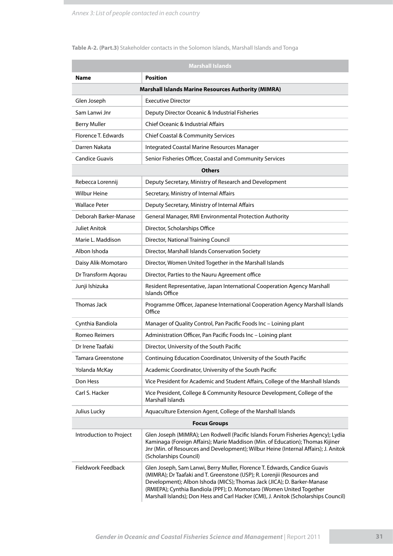### **Table A-2. (Part.3)** Stakeholder contacts in the Solomon Islands, Marshall Islands and Tonga

| <b>Marshall Islands</b>                                    |                                                                                                                                                                                                                                                                                                                                                                                                |  |  |  |
|------------------------------------------------------------|------------------------------------------------------------------------------------------------------------------------------------------------------------------------------------------------------------------------------------------------------------------------------------------------------------------------------------------------------------------------------------------------|--|--|--|
| <b>Position</b><br><b>Name</b>                             |                                                                                                                                                                                                                                                                                                                                                                                                |  |  |  |
| <b>Marshall Islands Marine Resources Authority (MIMRA)</b> |                                                                                                                                                                                                                                                                                                                                                                                                |  |  |  |
| Glen Joseph                                                | <b>Executive Director</b>                                                                                                                                                                                                                                                                                                                                                                      |  |  |  |
| Sam Lanwi Jnr                                              | Deputy Director Oceanic & Industrial Fisheries                                                                                                                                                                                                                                                                                                                                                 |  |  |  |
| <b>Berry Muller</b>                                        | <b>Chief Oceanic &amp; Industrial Affairs</b>                                                                                                                                                                                                                                                                                                                                                  |  |  |  |
| Florence T. Edwards                                        | <b>Chief Coastal &amp; Community Services</b>                                                                                                                                                                                                                                                                                                                                                  |  |  |  |
| Darren Nakata                                              | Integrated Coastal Marine Resources Manager                                                                                                                                                                                                                                                                                                                                                    |  |  |  |
| <b>Candice Guavis</b>                                      | Senior Fisheries Officer, Coastal and Community Services                                                                                                                                                                                                                                                                                                                                       |  |  |  |
|                                                            | <b>Others</b>                                                                                                                                                                                                                                                                                                                                                                                  |  |  |  |
| Rebecca Lorennij                                           | Deputy Secretary, Ministry of Research and Development                                                                                                                                                                                                                                                                                                                                         |  |  |  |
| <b>Wilbur Heine</b>                                        | Secretary, Ministry of Internal Affairs                                                                                                                                                                                                                                                                                                                                                        |  |  |  |
| <b>Wallace Peter</b>                                       | Deputy Secretary, Ministry of Internal Affairs                                                                                                                                                                                                                                                                                                                                                 |  |  |  |
| Deborah Barker-Manase                                      | General Manager, RMI Environmental Protection Authority                                                                                                                                                                                                                                                                                                                                        |  |  |  |
| Juliet Anitok                                              | Director, Scholarships Office                                                                                                                                                                                                                                                                                                                                                                  |  |  |  |
| Marie L. Maddison                                          | Director, National Training Council                                                                                                                                                                                                                                                                                                                                                            |  |  |  |
| Albon Ishoda                                               | Director, Marshall Islands Conservation Society                                                                                                                                                                                                                                                                                                                                                |  |  |  |
| Daisy Alik-Momotaro                                        | Director, Women United Together in the Marshall Islands                                                                                                                                                                                                                                                                                                                                        |  |  |  |
| Dr Transform Aqorau                                        | Director, Parties to the Nauru Agreement office                                                                                                                                                                                                                                                                                                                                                |  |  |  |
| Junji Ishizuka                                             | Resident Representative, Japan International Cooperation Agency Marshall<br>Islands Office                                                                                                                                                                                                                                                                                                     |  |  |  |
| Thomas Jack                                                | Programme Officer, Japanese International Cooperation Agency Marshall Islands<br>Office                                                                                                                                                                                                                                                                                                        |  |  |  |
| Cynthia Bandiola                                           | Manager of Quality Control, Pan Pacific Foods Inc - Loining plant                                                                                                                                                                                                                                                                                                                              |  |  |  |
| Romeo Reimers                                              | Administration Officer, Pan Pacific Foods Inc - Loining plant                                                                                                                                                                                                                                                                                                                                  |  |  |  |
| Dr Irene Taafaki                                           | Director, University of the South Pacific                                                                                                                                                                                                                                                                                                                                                      |  |  |  |
| Tamara Greenstone                                          | Continuing Education Coordinator, University of the South Pacific                                                                                                                                                                                                                                                                                                                              |  |  |  |
| Yolanda McKay                                              | Academic Coordinator, University of the South Pacific                                                                                                                                                                                                                                                                                                                                          |  |  |  |
| Don Hess                                                   | Vice President for Academic and Student Affairs, College of the Marshall Islands                                                                                                                                                                                                                                                                                                               |  |  |  |
| Carl S. Hacker                                             | Vice President, College & Community Resource Development, College of the<br>Marshall Islands                                                                                                                                                                                                                                                                                                   |  |  |  |
| Julius Lucky                                               | Aquaculture Extension Agent, College of the Marshall Islands                                                                                                                                                                                                                                                                                                                                   |  |  |  |
| <b>Focus Groups</b>                                        |                                                                                                                                                                                                                                                                                                                                                                                                |  |  |  |
| Introduction to Project                                    | Glen Joseph (MIMRA); Len Rodwell (Pacific Islands Forum Fisheries Agency); Lydia<br>Kaminaga (Foreign Affairs); Marie Maddison (Min. of Education); Thomas Kijiner<br>Jnr (Min. of Resources and Development); Wilbur Heine (Internal Affairs); J. Anitok<br>(Scholarships Council)                                                                                                            |  |  |  |
| Fieldwork Feedback                                         | Glen Joseph, Sam Lanwi, Berry Muller, Florence T. Edwards, Candice Guavis<br>(MIMRA); Dr Taafaki and T. Greenstone (USP); R. Lorenjii (Resources and<br>Development); Albon Ishoda (MICS); Thomas Jack (JICA); D. Barker-Manase<br>(RMIEPA); Cynthia Bandiola (PPF); D. Momotaro (Women United Together<br>Marshall Islands); Don Hess and Carl Hacker (CMI), J. Anitok (Scholarships Council) |  |  |  |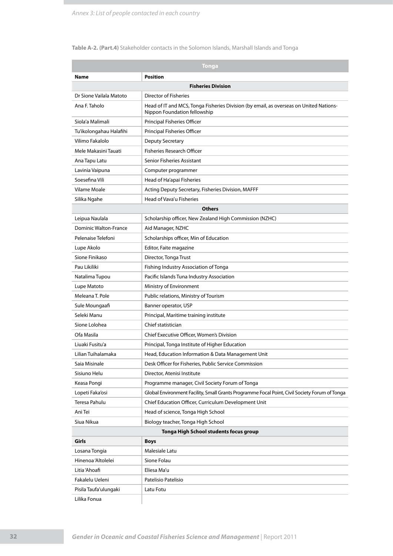### **Table A-2. (Part.4)** Stakeholder contacts in the Solomon Islands, Marshall Islands and Tonga

|                              | Tonga                                                                                                                  |  |  |  |  |
|------------------------------|------------------------------------------------------------------------------------------------------------------------|--|--|--|--|
| Name                         | <b>Position</b>                                                                                                        |  |  |  |  |
|                              | <b>Fisheries Division</b>                                                                                              |  |  |  |  |
| Dr Sione Vailala Matoto      | <b>Director of Fisheries</b>                                                                                           |  |  |  |  |
| Ana F. Taholo                | Head of IT and MCS, Tonga Fisheries Division (by email, as overseas on United Nations-<br>Nippon Foundation fellowship |  |  |  |  |
| Siola'a Malimali             | Principal Fisheries Officer                                                                                            |  |  |  |  |
| Tu'ikolongahau Halafihi      | Principal Fisheries Officer                                                                                            |  |  |  |  |
| Vilimo Fakalolo              | <b>Deputy Secretary</b>                                                                                                |  |  |  |  |
| Mele Makasini Tauati         | <b>Fisheries Research Officer</b>                                                                                      |  |  |  |  |
| Ana Tapu Latu                | Senior Fisheries Assistant                                                                                             |  |  |  |  |
| Lavinia Vaipuna              | Computer programmer                                                                                                    |  |  |  |  |
| Soesefina Vili               | Head of Ha'apai Fisheries                                                                                              |  |  |  |  |
| Vilame Moale                 | Acting Deputy Secretary, Fisheries Division, MAFFF                                                                     |  |  |  |  |
| Silika Ngahe                 | Head of Vava'u Fisheries                                                                                               |  |  |  |  |
|                              | <b>Others</b>                                                                                                          |  |  |  |  |
| Leipua Naulala               | Scholarship officer, New Zealand High Commission (NZHC)                                                                |  |  |  |  |
| <b>Dominic Walton-France</b> | Aid Manager, NZHC                                                                                                      |  |  |  |  |
| Pelenaise Telefoni           | Scholarships officer, Min of Education                                                                                 |  |  |  |  |
| Lupe Akolo                   | Editor, Faite magazine                                                                                                 |  |  |  |  |
| Sione Finikaso               | Director, Tonga Trust                                                                                                  |  |  |  |  |
| Pau Likiliki                 | Fishing Industry Association of Tonga                                                                                  |  |  |  |  |
| Natalima Tupou               | Pacific Islands Tuna Industry Association                                                                              |  |  |  |  |
| Lupe Matoto                  | Ministry of Environment                                                                                                |  |  |  |  |
| Meleana T. Pole              | Public relations, Ministry of Tourism                                                                                  |  |  |  |  |
| Sule Moungaafi               | Banner operator, USP                                                                                                   |  |  |  |  |
| Seleki Manu                  | Principal, Maritime training institute                                                                                 |  |  |  |  |
| Sione Lolohea                | Chief statistician                                                                                                     |  |  |  |  |
| Ofa Masila                   | Chief Executive Officer, Women's Division                                                                              |  |  |  |  |
| Liuaki Fusitu'a              | Principal, Tonga Institute of Higher Education                                                                         |  |  |  |  |
| Lilian Tuihalamaka           | Head, Education Information & Data Management Unit                                                                     |  |  |  |  |
| Saia Misinale                | Desk Officer for Fisheries, Public Service Commission                                                                  |  |  |  |  |
| Sisiuno Helu                 | Director, Atenisi Institute                                                                                            |  |  |  |  |
| Keasa Pongi                  | Programme manager, Civil Society Forum of Tonga                                                                        |  |  |  |  |
| Lopeti Faka'osi              | Global Environment Facility, Small Grants Programme Focal Point, Civil Society Forum of Tonga                          |  |  |  |  |
| Teresa Pahulu                | Chief Education Officer, Curriculum Development Unit                                                                   |  |  |  |  |
| Ani Tei                      | Head of science, Tonga High School                                                                                     |  |  |  |  |
| Siua Nikua                   | Biology teacher, Tonga High School                                                                                     |  |  |  |  |
|                              | Tonga High School students focus group                                                                                 |  |  |  |  |
| Girls                        | <b>Boys</b>                                                                                                            |  |  |  |  |
| Losana Tongia                | Malesiale Latu                                                                                                         |  |  |  |  |
| Hinenoa 'Altolelei           | Sione Folau                                                                                                            |  |  |  |  |
| Litia 'Ahoafi                | Eliesa Ma'u                                                                                                            |  |  |  |  |
| Fakalelu Ueleni              | Patelisio Patelisio                                                                                                    |  |  |  |  |
| Pisila Taufa'ulungaki        | Latu Fotu                                                                                                              |  |  |  |  |
| Lilika Fonua                 |                                                                                                                        |  |  |  |  |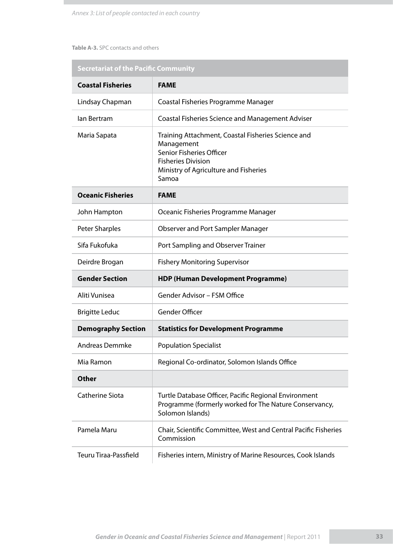### **Table A-3.** SPC contacts and others

|                           | <b>Secretariat of the Pacific Community</b>                                                                                                                                 |  |  |  |  |
|---------------------------|-----------------------------------------------------------------------------------------------------------------------------------------------------------------------------|--|--|--|--|
| <b>Coastal Fisheries</b>  | <b>FAME</b>                                                                                                                                                                 |  |  |  |  |
| Lindsay Chapman           | Coastal Fisheries Programme Manager                                                                                                                                         |  |  |  |  |
| lan Bertram               | <b>Coastal Fisheries Science and Management Adviser</b>                                                                                                                     |  |  |  |  |
| Maria Sapata              | Training Attachment, Coastal Fisheries Science and<br>Management<br>Senior Fisheries Officer<br><b>Fisheries Division</b><br>Ministry of Agriculture and Fisheries<br>Samoa |  |  |  |  |
| <b>Oceanic Fisheries</b>  | <b>FAME</b>                                                                                                                                                                 |  |  |  |  |
| John Hampton              | Oceanic Fisheries Programme Manager                                                                                                                                         |  |  |  |  |
| <b>Peter Sharples</b>     | <b>Observer and Port Sampler Manager</b>                                                                                                                                    |  |  |  |  |
| Sifa Fukofuka             | Port Sampling and Observer Trainer                                                                                                                                          |  |  |  |  |
| Deirdre Brogan            | <b>Fishery Monitoring Supervisor</b>                                                                                                                                        |  |  |  |  |
| <b>Gender Section</b>     | <b>HDP (Human Development Programme)</b>                                                                                                                                    |  |  |  |  |
| Aliti Vunisea             | Gender Advisor - FSM Office                                                                                                                                                 |  |  |  |  |
| <b>Brigitte Leduc</b>     | <b>Gender Officer</b>                                                                                                                                                       |  |  |  |  |
| <b>Demography Section</b> | <b>Statistics for Development Programme</b>                                                                                                                                 |  |  |  |  |
| <b>Andreas Demmke</b>     | <b>Population Specialist</b>                                                                                                                                                |  |  |  |  |
| Mia Ramon                 | Regional Co-ordinator, Solomon Islands Office                                                                                                                               |  |  |  |  |
| <b>Other</b>              |                                                                                                                                                                             |  |  |  |  |
| <b>Catherine Siota</b>    | Turtle Database Officer, Pacific Regional Environment<br>Programme (formerly worked for The Nature Conservancy,<br>Solomon Islands)                                         |  |  |  |  |
| Pamela Maru               | Chair, Scientific Committee, West and Central Pacific Fisheries<br>Commission                                                                                               |  |  |  |  |
| Teuru Tiraa-Passfield     | Fisheries intern, Ministry of Marine Resources, Cook Islands                                                                                                                |  |  |  |  |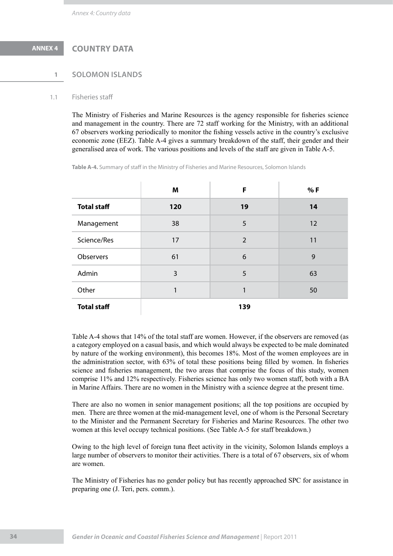# **ANNEX 4 COUNTRY DATA**

### **1 Solomon Islands**

### 1.1 Fisheries staff

The Ministry of Fisheries and Marine Resources is the agency responsible for fisheries science and management in the country. There are 72 staff working for the Ministry, with an additional 67 observers working periodically to monitor the fishing vessels active in the country's exclusive economic zone (EEZ). Table A-4 gives a summary breakdown of the staff, their gender and their generalised area of work. The various positions and levels of the staff are given in Table A-5.

**Table A-4.** Summary of staff in the Ministry of Fisheries and Marine Resources, Solomon Islands

|                    | Μ   | F              | % F |
|--------------------|-----|----------------|-----|
| <b>Total staff</b> | 120 | 19             | 14  |
| Management         | 38  | 5              | 12  |
| Science/Res        | 17  | $\overline{2}$ | 11  |
| Observers          | 61  | 6              | 9   |
| Admin              | 3   | 5              | 63  |
| Other              |     | 1              | 50  |
| <b>Total staff</b> |     | 139            |     |

Table A-4 shows that 14% of the total staff are women. However, if the observers are removed (as a category employed on a casual basis, and which would always be expected to be male dominated by nature of the working environment), this becomes 18%. Most of the women employees are in the administration sector, with 63% of total these positions being filled by women. In fisheries science and fisheries management, the two areas that comprise the focus of this study, women comprise 11% and 12% respectively. Fisheries science has only two women staff, both with a BA in Marine Affairs. There are no women in the Ministry with a science degree at the present time.

There are also no women in senior management positions; all the top positions are occupied by men. There are three women at the mid-management level, one of whom is the Personal Secretary to the Minister and the Permanent Secretary for Fisheries and Marine Resources. The other two women at this level occupy technical positions. (See Table A-5 for staff breakdown.)

Owing to the high level of foreign tuna fleet activity in the vicinity, Solomon Islands employs a large number of observers to monitor their activities. There is a total of 67 observers, six of whom are women.

The Ministry of Fisheries has no gender policy but has recently approached SPC for assistance in preparing one (J. Teri, pers. comm.).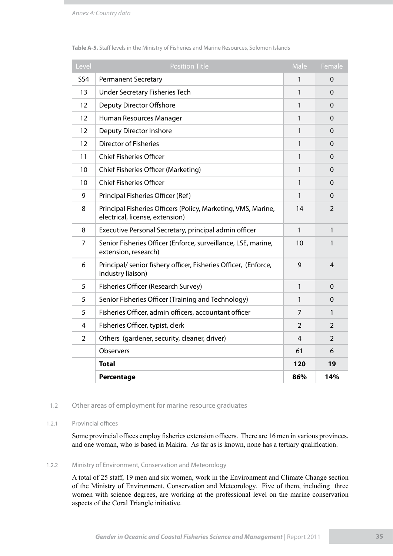| Level          | <b>Position Title</b>                                                                            | Male           | Female         |
|----------------|--------------------------------------------------------------------------------------------------|----------------|----------------|
| <b>SS4</b>     | <b>Permanent Secretary</b>                                                                       | 1              | $\Omega$       |
| 13             | <b>Under Secretary Fisheries Tech</b>                                                            | 1              | $\Omega$       |
| 12             | <b>Deputy Director Offshore</b>                                                                  | 1              | 0              |
| 12             | Human Resources Manager                                                                          | 1              | 0              |
| 12             | Deputy Director Inshore                                                                          | 1              | $\mathbf 0$    |
| 12             | <b>Director of Fisheries</b>                                                                     | 1              | $\Omega$       |
| 11             | <b>Chief Fisheries Officer</b>                                                                   | 1              | $\Omega$       |
| 10             | Chief Fisheries Officer (Marketing)                                                              | 1              | 0              |
| 10             | <b>Chief Fisheries Officer</b>                                                                   | 1              | $\mathbf 0$    |
| 9              | Principal Fisheries Officer (Ref)                                                                | $\mathbf{1}$   | $\Omega$       |
| 8              | Principal Fisheries Officers (Policy, Marketing, VMS, Marine,<br>electrical, license, extension) | 14             | $\overline{2}$ |
| 8              | Executive Personal Secretary, principal admin officer                                            | $\mathbf{1}$   | 1              |
| 7              | Senior Fisheries Officer (Enforce, surveillance, LSE, marine,<br>extension, research)            | 10             | 1              |
| 6              | Principal/ senior fishery officer, Fisheries Officer, (Enforce,<br>industry liaison)             | 9              | 4              |
| 5              | Fisheries Officer (Research Survey)                                                              | 1              | $\Omega$       |
| 5              | Senior Fisheries Officer (Training and Technology)                                               | 1              | $\Omega$       |
| 5              | Fisheries Officer, admin officers, accountant officer                                            | 7              | 1              |
| 4              | Fisheries Officer, typist, clerk                                                                 | $\overline{2}$ | 2              |
| $\overline{2}$ | Others (gardener, security, cleaner, driver)                                                     | 4              | $\overline{2}$ |
|                | Observers                                                                                        | 61             | 6              |
|                | <b>Total</b>                                                                                     | 120            | 19             |
|                | Percentage                                                                                       | 86%            | 14%            |

### **Table A-5.** Staff levels in the Ministry of Fisheries and Marine Resources, Solomon Islands

### 1.2 Other areas of employment for marine resource graduates

### 1.2.1 Provincial offices

Some provincial offices employ fisheries extension officers. There are 16 men in various provinces, and one woman, who is based in Makira. As far as is known, none has a tertiary qualification.

### 1.2.2 Ministry of Environment, Conservation and Meteorology

A total of 25 staff, 19 men and six women, work in the Environment and Climate Change section of the Ministry of Environment, Conservation and Meteorology. Five of them, including three women with science degrees, are working at the professional level on the marine conservation aspects of the Coral Triangle initiative.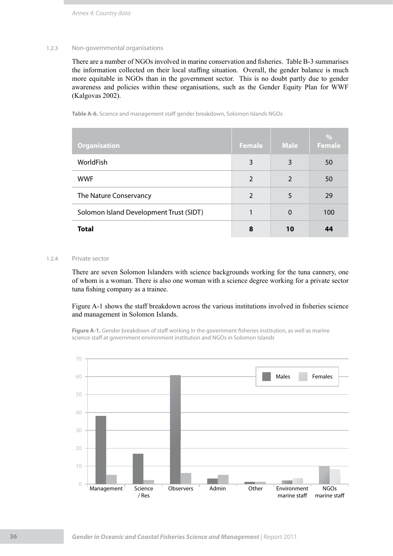### 1.2.3 Non-governmental organisations

There are a number of NGOs involved in marine conservation and fisheries. Table B-3 summarises the information collected on their local staffing situation. Overall, the gender balance is much more equitable in NGOs than in the government sector. This is no doubt partly due to gender awareness and policies within these organisations, such as the Gender Equity Plan for WWF (Kalgovas 2002).

**Table A-6.** Science and management staff gender breakdown, Solomon Islands NGOs

| <b>Organisation</b>                     | <b>Female</b>  | <b>Male</b>    | $\%$<br><b>Female</b> |
|-----------------------------------------|----------------|----------------|-----------------------|
| WorldFish                               | 3              | 3              | 50                    |
| <b>WWF</b>                              | $\overline{2}$ | $\overline{2}$ | 50                    |
| The Nature Conservancy                  | $\overline{2}$ | 5              | 29                    |
| Solomon Island Development Trust (SIDT) |                | $\Omega$       | 100                   |
| <b>Total</b>                            | 8              | 10             | 44                    |

### 1.2.4 Private sector

There are seven Solomon Islanders with science backgrounds working for the tuna cannery, one of whom is a woman. There is also one woman with a science degree working for a private sector tuna fishing company as a trainee.

Figure A-1 shows the staff breakdown across the various institutions involved in fisheries science and management in Solomon Islands.

**Figure A-1.** Gender breakdown of staff working in the government fisheries institution, as well as marine science staff at government environment institution and NGOs in Solomon Islands

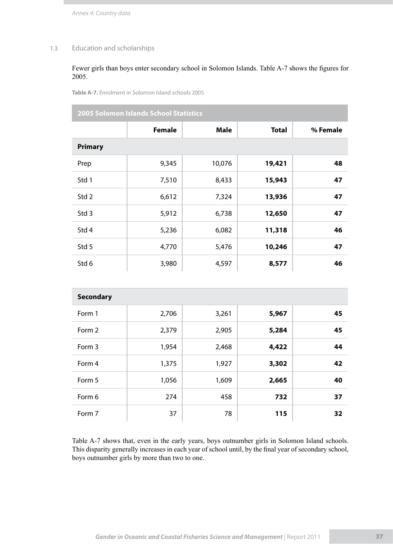*Annex 4: Country data*

### 1.3 Education and scholarships

### Fewer girls than boys enter secondary school in Solomon Islands. Table A-7 shows the figures for 2005.

**Table A-7.** Enrolment in Solomon Island schools 2005

**2005 Solomon Islands School Statistics**

|                  | <b>Female</b> | <b>Male</b> | <b>Total</b> | % Female |
|------------------|---------------|-------------|--------------|----------|
| <b>Primary</b>   |               |             |              |          |
| Prep             | 9,345         | 10,076      | 19,421       | 48       |
| Std 1            | 7,510         | 8,433       | 15,943       | 47       |
| Std 2            | 6,612         | 7,324       | 13,936       | 47       |
| Std <sub>3</sub> | 5,912         | 6,738       | 12,650       | 47       |
| Std 4            | 5,236         | 6,082       | 11,318       | 46       |
| Std 5            | 4,770         | 5,476       | 10,246       | 47       |
| Std 6            | 3,980         | 4,597       | 8,577        | 46       |

| <b>Secondary</b> |       |       |       |    |
|------------------|-------|-------|-------|----|
| Form 1           | 2,706 | 3,261 | 5,967 | 45 |
| Form 2           | 2,379 | 2,905 | 5,284 | 45 |
| Form 3           | 1,954 | 2,468 | 4,422 | 44 |
| Form 4           | 1,375 | 1,927 | 3,302 | 42 |
| Form 5           | 1,056 | 1,609 | 2,665 | 40 |
| Form 6           | 274   | 458   | 732   | 37 |
| Form 7           | 37    | 78    | 115   | 32 |

Table A-7 shows that, even in the early years, boys outnumber girls in Solomon Island schools. This disparity generally increases in each year of school until, by the final year of secondary school, boys outnumber girls by more than two to one.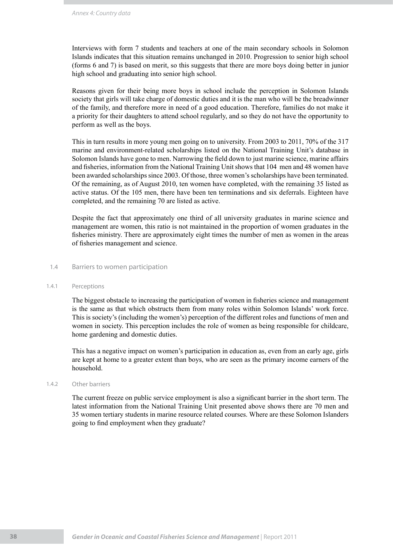Interviews with form 7 students and teachers at one of the main secondary schools in Solomon Islands indicates that this situation remains unchanged in 2010. Progression to senior high school (forms 6 and 7) is based on merit, so this suggests that there are more boys doing better in junior high school and graduating into senior high school.

Reasons given for their being more boys in school include the perception in Solomon Islands society that girls will take charge of domestic duties and it is the man who will be the breadwinner of the family, and therefore more in need of a good education. Therefore, families do not make it a priority for their daughters to attend school regularly, and so they do not have the opportunity to perform as well as the boys.

This in turn results in more young men going on to university. From 2003 to 2011, 70% of the 317 marine and environment-related scholarships listed on the National Training Unit's database in Solomon Islands have gone to men. Narrowing the field down to just marine science, marine affairs and fisheries, information from the National Training Unit shows that 104 men and 48 women have been awarded scholarships since 2003. Of those, three women's scholarships have been terminated. Of the remaining, as of August 2010, ten women have completed, with the remaining 35 listed as active status. Of the 105 men, there have been ten terminations and six deferrals. Eighteen have completed, and the remaining 70 are listed as active.

Despite the fact that approximately one third of all university graduates in marine science and management are women, this ratio is not maintained in the proportion of women graduates in the fisheries ministry. There are approximately eight times the number of men as women in the areas of fisheries management and science.

### 1.4 Barriers to women participation

### 1.4.1 Perceptions

The biggest obstacle to increasing the participation of women in fisheries science and management is the same as that which obstructs them from many roles within Solomon Islands' work force. This is society's (including the women's) perception of the different roles and functions of men and women in society. This perception includes the role of women as being responsible for childcare, home gardening and domestic duties.

This has a negative impact on women's participation in education as, even from an early age, girls are kept at home to a greater extent than boys, who are seen as the primary income earners of the household.

### 1.4.2 Other barriers

The current freeze on public service employment is also a significant barrier in the short term. The latest information from the National Training Unit presented above shows there are 70 men and 35 women tertiary students in marine resource related courses. Where are these Solomon Islanders going to find employment when they graduate?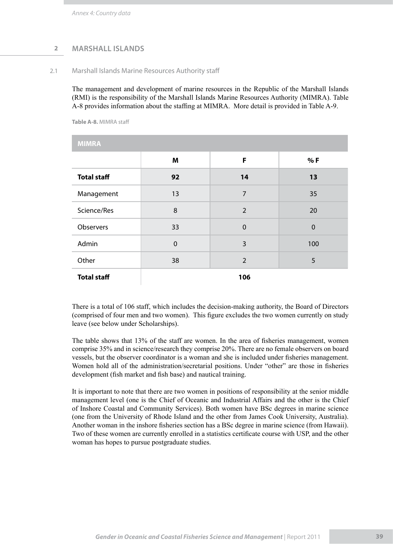### **2 marshall Islands**

2.1 Marshall Islands Marine Resources Authority staff

The management and development of marine resources in the Republic of the Marshall Islands (RMI) is the responsibility of the Marshall Islands Marine Resources Authority (MIMRA). Table A-8 provides information about the staffing at MIMRA. More detail is provided in Table A-9.

**Table A-8.** MIMRA staff

| <b>MIMRA</b>       |             |                |             |
|--------------------|-------------|----------------|-------------|
|                    | M           | F              | %F          |
| <b>Total staff</b> | 92          | 14             | 13          |
| Management         | 13          | $\overline{7}$ | 35          |
| Science/Res        | 8           | $\overline{2}$ | 20          |
| Observers          | 33          | $\mathbf 0$    | $\mathbf 0$ |
| Admin              | $\mathbf 0$ | 3              | 100         |
| Other              | 38          | $\overline{2}$ | 5           |
| <b>Total staff</b> |             | 106            |             |

There is a total of 106 staff, which includes the decision-making authority, the Board of Directors (comprised of four men and two women). This figure excludes the two women currently on study leave (see below under Scholarships).

The table shows that 13% of the staff are women. In the area of fisheries management, women comprise 35% and in science/research they comprise 20%. There are no female observers on board vessels, but the observer coordinator is a woman and she is included under fisheries management. Women hold all of the administration/secretarial positions. Under "other" are those in fisheries development (fish market and fish base) and nautical training.

It is important to note that there are two women in positions of responsibility at the senior middle management level (one is the Chief of Oceanic and Industrial Affairs and the other is the Chief of Inshore Coastal and Community Services). Both women have BSc degrees in marine science (one from the University of Rhode Island and the other from James Cook University, Australia). Another woman in the inshore fisheries section has a BSc degree in marine science (from Hawaii). Two of these women are currently enrolled in a statistics certificate course with USP, and the other woman has hopes to pursue postgraduate studies.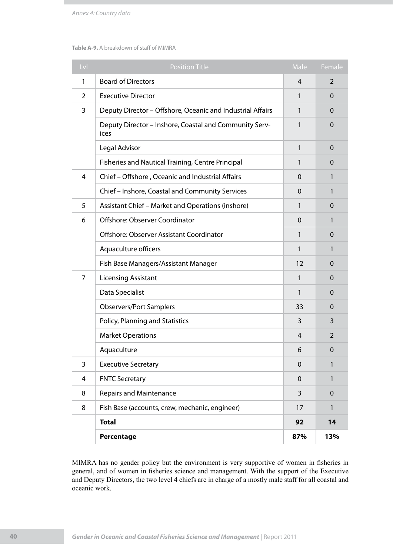### **Table A-9.** A breakdown of staff of MIMRA

| Lvl | <b>Position Title</b>                                          | Male           | Female       |
|-----|----------------------------------------------------------------|----------------|--------------|
| 1   | <b>Board of Directors</b>                                      | $\overline{4}$ | 2            |
| 2   | <b>Executive Director</b>                                      | 1              | $\Omega$     |
| 3   | Deputy Director - Offshore, Oceanic and Industrial Affairs     | 1              | $\Omega$     |
|     | Deputy Director - Inshore, Coastal and Community Serv-<br>ices | 1              | $\Omega$     |
|     | Legal Advisor                                                  | 1              | $\mathbf 0$  |
|     | Fisheries and Nautical Training, Centre Principal              | 1              | $\Omega$     |
| 4   | Chief - Offshore, Oceanic and Industrial Affairs               | $\Omega$       | 1            |
|     | Chief - Inshore, Coastal and Community Services                | $\Omega$       | 1            |
| 5   | Assistant Chief - Market and Operations (inshore)              | 1              | $\Omega$     |
| 6   | Offshore: Observer Coordinator                                 | $\Omega$       | 1            |
|     | Offshore: Observer Assistant Coordinator                       | 1              | $\mathbf 0$  |
|     | Aquaculture officers                                           | 1              | 1            |
|     | Fish Base Managers/Assistant Manager                           | 12             | $\Omega$     |
| 7   | <b>Licensing Assistant</b>                                     | 1              | $\Omega$     |
|     | Data Specialist                                                | 1              | $\Omega$     |
|     | <b>Observers/Port Samplers</b>                                 | 33             | $\Omega$     |
|     | Policy, Planning and Statistics                                | 3              | 3            |
|     | <b>Market Operations</b>                                       | 4              | 2            |
|     | Aquaculture                                                    | 6              | $\mathbf 0$  |
| 3   | <b>Executive Secretary</b>                                     | $\mathbf 0$    | 1            |
| 4   | <b>FNTC Secretary</b>                                          | $\mathbf 0$    | $\mathbf{1}$ |
| 8   | <b>Repairs and Maintenance</b>                                 | 3              | $\mathbf 0$  |
| 8   | Fish Base (accounts, crew, mechanic, engineer)                 | 17             | 1            |
|     | <b>Total</b>                                                   | 92             | 14           |
|     | Percentage                                                     | 87%            | 13%          |

MIMRA has no gender policy but the environment is very supportive of women in fisheries in general, and of women in fisheries science and management. With the support of the Executive and Deputy Directors, the two level 4 chiefs are in charge of a mostly male staff for all coastal and oceanic work.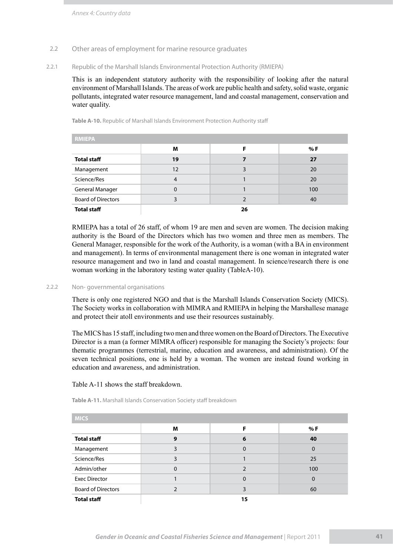### 2.2 Other areas of employment for marine resource graduates

### 2.2.1 Republic of the Marshall Islands Environmental Protection Authority (RMIEPA)

This is an independent statutory authority with the responsibility of looking after the natural environment of Marshall Islands. The areas of work are public health and safety, solid waste, organic pollutants, integrated water resource management, land and coastal management, conservation and water quality.

**Table A-10.** Republic of Marshall Islands Environment Protection Authority staff

| <b>RMIEPA</b>             |    |    |     |
|---------------------------|----|----|-----|
|                           | M  | F  | % F |
| <b>Total staff</b>        | 19 | 7  | 27  |
| Management                | 12 | 3  | 20  |
| Science/Res               | 4  |    | 20  |
| <b>General Manager</b>    | 0  |    | 100 |
| <b>Board of Directors</b> | ٩  |    | 40  |
| <b>Total staff</b>        |    | 26 |     |

RMIEPA has a total of 26 staff, of whom 19 are men and seven are women. The decision making authority is the Board of the Directors which has two women and three men as members. The General Manager, responsible for the work of the Authority, is a woman (with a BA in environment and management). In terms of environmental management there is one woman in integrated water resource management and two in land and coastal management. In science/research there is one woman working in the laboratory testing water quality (TableA-10).

### 2.2.2 Non- governmental organisations

There is only one registered NGO and that is the Marshall Islands Conservation Society (MICS). The Society works in collaboration with MIMRA and RMIEPA in helping the Marshallese manage and protect their atoll environments and use their resources sustainably.

The MICS has 15 staff, including two men and three women on the Board of Directors. The Executive Director is a man (a former MIMRA officer) responsible for managing the Society's projects: four thematic programmes (terrestrial, marine, education and awareness, and administration). Of the seven technical positions, one is held by a woman. The women are instead found working in education and awareness, and administration.

### Table A-11 shows the staff breakdown.

**Table A-11.** Marshall Islands Conservation Society staff breakdown

| <b>MICS</b>               |   |          |          |
|---------------------------|---|----------|----------|
|                           | M | F        | % F      |
| <b>Total staff</b>        | 9 | 6        | 40       |
| Management                |   | $\Omega$ | $\Omega$ |
| Science/Res               | 3 |          | 25       |
| Admin/other               | 0 |          | 100      |
| <b>Exec Director</b>      |   | $\Omega$ | $\Omega$ |
| <b>Board of Directors</b> |   | ξ        | 60       |
| <b>Total staff</b>        |   | 15       |          |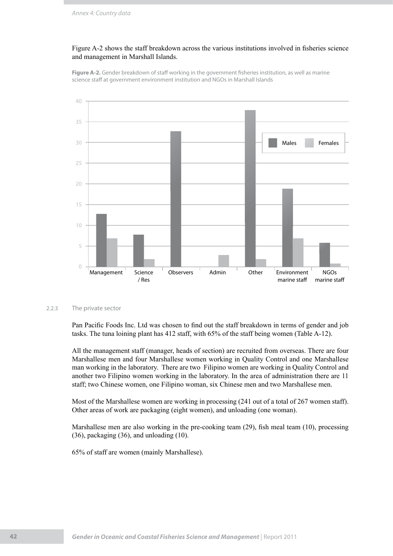### Figure A-2 shows the staff breakdown across the various institutions involved in fisheries science and management in Marshall Islands.

**Figure A-2.** Gender breakdown of staff working in the government fisheries institution, as well as marine science staff at government environment institution and NGOs in Marshall Islands



### 2.2.3 The private sector

Pan Pacific Foods Inc. Ltd was chosen to find out the staff breakdown in terms of gender and job tasks. The tuna loining plant has 412 staff, with 65% of the staff being women (Table A-12).

All the management staff (manager, heads of section) are recruited from overseas. There are four Marshallese men and four Marshallese women working in Quality Control and one Marshallese man working in the laboratory. There are two Filipino women are working in Quality Control and another two Filipino women working in the laboratory. In the area of administration there are 11 staff; two Chinese women, one Filipino woman, six Chinese men and two Marshallese men.

Most of the Marshallese women are working in processing (241 out of a total of 267 women staff). Other areas of work are packaging (eight women), and unloading (one woman).

Marshallese men are also working in the pre-cooking team (29), fish meal team (10), processing (36), packaging (36), and unloading (10).

65% of staff are women (mainly Marshallese).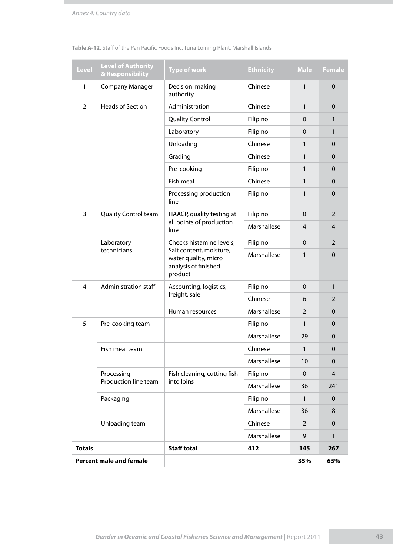| <b>Level</b>   | <b>Level of Authority</b><br>& Responsibility | <b>Type of work</b>                                                                                            | <b>Ethnicity</b> | <b>Male</b>    | <b>Female</b>  |
|----------------|-----------------------------------------------|----------------------------------------------------------------------------------------------------------------|------------------|----------------|----------------|
| $\mathbf{1}$   | <b>Company Manager</b>                        | Decision making<br>authority                                                                                   | Chinese          | 1              | $\mathbf 0$    |
| $\overline{2}$ | <b>Heads of Section</b>                       | Administration                                                                                                 | Chinese          | 1              | $\Omega$       |
|                |                                               | <b>Quality Control</b>                                                                                         | Filipino         | 0              | $\mathbf{1}$   |
|                |                                               | Laboratory                                                                                                     | Filipino         | $\mathbf{0}$   | $\mathbf{1}$   |
|                |                                               | Unloading                                                                                                      | Chinese          | 1              | $\mathbf{0}$   |
|                |                                               | Grading                                                                                                        | Chinese          | 1              | $\Omega$       |
|                |                                               | Pre-cooking                                                                                                    | Filipino         | 1              | 0              |
|                |                                               | Fish meal                                                                                                      | Chinese          | 1              | $\Omega$       |
|                |                                               | Processing production<br>line                                                                                  | Filipino         | $\mathbf{1}$   | $\Omega$       |
| 3              | Quality Control team                          | HAACP, quality testing at                                                                                      | Filipino         | $\Omega$       | $\overline{2}$ |
|                |                                               | all points of production<br>line                                                                               | Marshallese      | 4              | 4              |
|                | Laboratory<br>technicians                     | Checks histamine levels,<br>Salt content, moisture,<br>water quality, micro<br>analysis of finished<br>product | Filipino         | $\mathbf{0}$   | $\overline{2}$ |
|                |                                               |                                                                                                                | Marshallese      | 1              | $\Omega$       |
| 4              | Administration staff                          | Accounting, logistics,                                                                                         | Filipino         | $\Omega$       | $\mathbf{1}$   |
|                |                                               | freight, sale                                                                                                  | Chinese          | 6              | $\overline{2}$ |
|                |                                               | Human resources                                                                                                | Marshallese      | $\overline{2}$ | 0              |
| 5              | Pre-cooking team                              |                                                                                                                | Filipino         | 1              | $\Omega$       |
|                |                                               |                                                                                                                | Marshallese      | 29             | $\Omega$       |
|                | Fish meal team                                |                                                                                                                | Chinese          | 1              | $\mathbf 0$    |
|                |                                               |                                                                                                                | Marshallese      | 10             | $\mathbf 0$    |
|                | Processing                                    | Fish cleaning, cutting fish                                                                                    | Filipino         | $\mathbf 0$    | $\overline{4}$ |
|                | Production line team                          | into loins                                                                                                     | Marshallese      | 36             | 241            |
|                | Packaging                                     |                                                                                                                | Filipino         | $\mathbf{1}$   | $\mathbf 0$    |
|                |                                               |                                                                                                                | Marshallese      | 36             | 8              |
|                | Unloading team                                |                                                                                                                | Chinese          | $\overline{2}$ | $\Omega$       |
|                |                                               |                                                                                                                | Marshallese      | 9              | $\mathbf{1}$   |
| <b>Totals</b>  |                                               | <b>Staff total</b>                                                                                             | 412              | 145            | 267            |
|                | <b>Percent male and female</b>                |                                                                                                                |                  | 35%            | 65%            |

**Table A-12.** Staff of the Pan Pacific Foods Inc. Tuna Loining Plant, Marshall Islands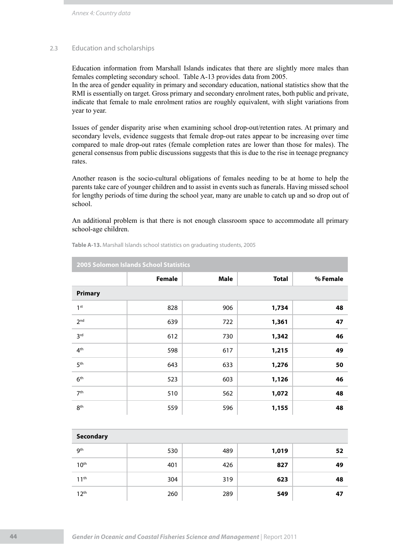*Annex 4: Country data*

### 2.3 Education and scholarships

Education information from Marshall Islands indicates that there are slightly more males than females completing secondary school. Table A-13 provides data from 2005.

In the area of gender equality in primary and secondary education, national statistics show that the RMI is essentially on target. Gross primary and secondary enrolment rates, both public and private, indicate that female to male enrolment ratios are roughly equivalent, with slight variations from year to year.

Issues of gender disparity arise when examining school drop-out/retention rates. At primary and secondary levels, evidence suggests that female drop-out rates appear to be increasing over time compared to male drop-out rates (female completion rates are lower than those for males). The general consensus from public discussions suggests that this is due to the rise in teenage pregnancy rates.

Another reason is the socio-cultural obligations of females needing to be at home to help the parents take care of younger children and to assist in events such as funerals. Having missed school for lengthy periods of time during the school year, many are unable to catch up and so drop out of school.

An additional problem is that there is not enough classroom space to accommodate all primary school-age children.

| 2005 Solomon Islands School Statistics |               |             |              |          |  |
|----------------------------------------|---------------|-------------|--------------|----------|--|
|                                        | <b>Female</b> | <b>Male</b> | <b>Total</b> | % Female |  |
| <b>Primary</b>                         |               |             |              |          |  |
| 1 <sup>st</sup>                        | 828           | 906         | 1,734        | 48       |  |
| 2 <sub>nd</sub>                        | 639           | 722         | 1,361        | 47       |  |
| 3 <sup>rd</sup>                        | 612           | 730         | 1,342        | 46       |  |
| 4 <sup>th</sup>                        | 598           | 617         | 1,215        | 49       |  |
| 5 <sup>th</sup>                        | 643           | 633         | 1,276        | 50       |  |
| 6 <sup>th</sup>                        | 523           | 603         | 1,126        | 46       |  |
| 7 <sup>th</sup>                        | 510           | 562         | 1,072        | 48       |  |
| 8 <sup>th</sup>                        | 559           | 596         | 1,155        | 48       |  |

**Table A-13.** Marshall Islands school statistics on graduating students, 2005

| <b>Secondary</b> |     |     |       |    |
|------------------|-----|-----|-------|----|
| 9 <sup>th</sup>  | 530 | 489 | 1,019 | 52 |
| 10 <sup>th</sup> | 401 | 426 | 827   | 49 |
| 11 <sup>th</sup> | 304 | 319 | 623   | 48 |
| 12 <sup>th</sup> | 260 | 289 | 549   | 47 |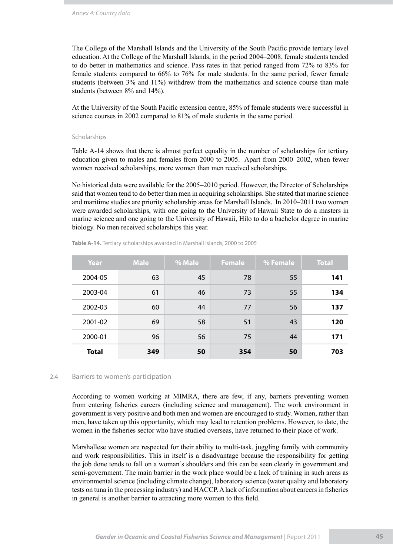The College of the Marshall Islands and the University of the South Pacific provide tertiary level education. At the College of the Marshall Islands, in the period 2004–2008, female students tended to do better in mathematics and science. Pass rates in that period ranged from 72% to 83% for female students compared to 66% to 76% for male students. In the same period, fewer female students (between 3% and 11%) withdrew from the mathematics and science course than male students (between 8% and 14%).

At the University of the South Pacific extension centre, 85% of female students were successful in science courses in 2002 compared to 81% of male students in the same period.

### Scholarships

Table A-14 shows that there is almost perfect equality in the number of scholarships for tertiary education given to males and females from 2000 to 2005. Apart from 2000–2002, when fewer women received scholarships, more women than men received scholarships.

No historical data were available for the 2005–2010 period. However, the Director of Scholarships said that women tend to do better than men in acquiring scholarships. She stated that marine science and maritime studies are priority scholarship areas for Marshall Islands. In 2010–2011 two women were awarded scholarships, with one going to the University of Hawaii State to do a masters in marine science and one going to the University of Hawaii, Hilo to do a bachelor degree in marine biology. No men received scholarships this year.

| Year         | <b>Male</b> | % Male | <b>Female</b> | % Female | <b>Total</b> |
|--------------|-------------|--------|---------------|----------|--------------|
| 2004-05      | 63          | 45     | 78            | 55       | 141          |
| 2003-04      | 61          | 46     | 73            | 55       | 134          |
| 2002-03      | 60          | 44     | 77            | 56       | 137          |
| 2001-02      | 69          | 58     | 51            | 43       | 120          |
| 2000-01      | 96          | 56     | 75            | 44       | 171          |
| <b>Total</b> | 349         | 50     | 354           | 50       | 703          |

**Table A-14.** Tertiary scholarships awarded in Marshall Islands, 2000 to 2005

### 2.4 Barriers to women's participation

According to women working at MIMRA, there are few, if any, barriers preventing women from entering fisheries careers (including science and management). The work environment in government is very positive and both men and women are encouraged to study. Women, rather than men, have taken up this opportunity, which may lead to retention problems. However, to date, the women in the fisheries sector who have studied overseas, have returned to their place of work.

Marshallese women are respected for their ability to multi-task, juggling family with community and work responsibilities. This in itself is a disadvantage because the responsibility for getting the job done tends to fall on a woman's shoulders and this can be seen clearly in government and semi-government. The main barrier in the work place would be a lack of training in such areas as environmental science (including climate change), laboratory science (water quality and laboratory tests on tuna in the processing industry) and HACCP. A lack of information about careers in fisheries in general is another barrier to attracting more women to this field.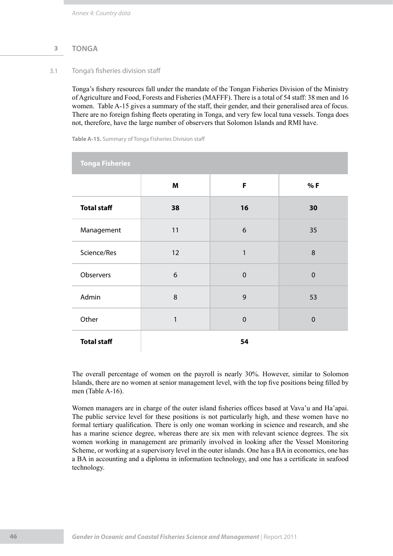### **3 TONGA**

### 3.1 Tonga's fisheries division staff

Tonga's fishery resources fall under the mandate of the Tongan Fisheries Division of the Ministry of Agriculture and Food, Forests and Fisheries (MAFFF). There is a total of 54 staff: 38 men and 16 women. Table A-15 gives a summary of the staff, their gender, and their generalised area of focus. There are no foreign fishing fleets operating in Tonga, and very few local tuna vessels. Tonga does not, therefore, have the large number of observers that Solomon Islands and RMI have.

**Table A-15.** Summary of Tonga Fisheries Division staff

| <b>Tonga Fisheries</b> |              |              |                  |
|------------------------|--------------|--------------|------------------|
|                        | M            | F            | %F               |
| <b>Total staff</b>     | 38           | 16           | 30               |
| Management             | 11           | 6            | 35               |
| Science/Res            | 12           | $\mathbf{1}$ | 8                |
| Observers              | 6            | $\mathbf 0$  | $\mathbf 0$      |
| Admin                  | 8            | 9            | 53               |
| Other                  | $\mathbf{1}$ | $\mathbf 0$  | $\boldsymbol{0}$ |
| <b>Total staff</b>     |              | 54           |                  |

The overall percentage of women on the payroll is nearly 30%. However, similar to Solomon Islands, there are no women at senior management level, with the top five positions being filled by men (Table A-16).

Women managers are in charge of the outer island fisheries offices based at Vava'u and Ha'apai. The public service level for these positions is not particularly high, and these women have no formal tertiary qualification. There is only one woman working in science and research, and she has a marine science degree, whereas there are six men with relevant science degrees. The six women working in management are primarily involved in looking after the Vessel Monitoring Scheme, or working at a supervisory level in the outer islands. One has a BA in economics, one has a BA in accounting and a diploma in information technology, and one has a certificate in seafood technology.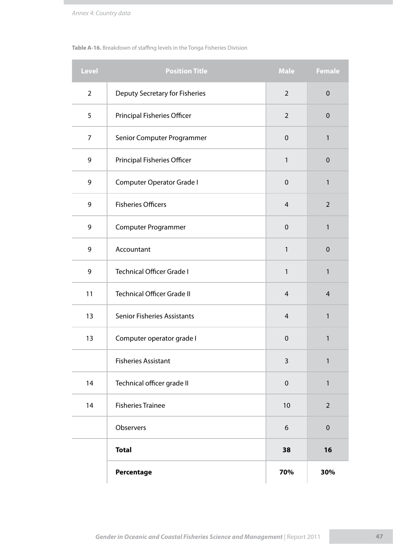### **Table A-16.** Breakdown of staffing levels in the Tonga Fisheries Division

| <b>Level</b>   | <b>Position Title</b>              | <b>Male</b>    | <b>Female</b>  |
|----------------|------------------------------------|----------------|----------------|
| $\overline{2}$ | Deputy Secretary for Fisheries     | $\overline{2}$ | $\mathbf 0$    |
| 5              | <b>Principal Fisheries Officer</b> | $\overline{2}$ | $\mathbf 0$    |
| 7              | Senior Computer Programmer         | $\mathbf 0$    | 1              |
| 9              | Principal Fisheries Officer        | 1              | $\pmb{0}$      |
| 9              | Computer Operator Grade I          | $\mathbf 0$    | 1              |
| 9              | <b>Fisheries Officers</b>          | $\overline{4}$ | $\overline{2}$ |
| 9              | Computer Programmer                | $\mathbf 0$    | 1              |
| 9              | Accountant                         | 1              | $\mathbf 0$    |
| 9              | <b>Technical Officer Grade I</b>   | 1              | 1              |
| 11             | <b>Technical Officer Grade II</b>  | $\overline{4}$ | $\overline{4}$ |
| 13             | <b>Senior Fisheries Assistants</b> | 4              | 1              |
| 13             | Computer operator grade I          | $\mathbf 0$    | 1              |
|                | <b>Fisheries Assistant</b>         | $\mathsf{3}$   | 1              |
| 14             | Technical officer grade II         | $\pmb{0}$      | $\mathbf{1}$   |
| 14             | <b>Fisheries Trainee</b>           | 10             | $\overline{2}$ |
|                | Observers                          | 6              | $\pmb{0}$      |
|                | <b>Total</b>                       | 38             | 16             |
|                | Percentage                         | 70%            | 30%            |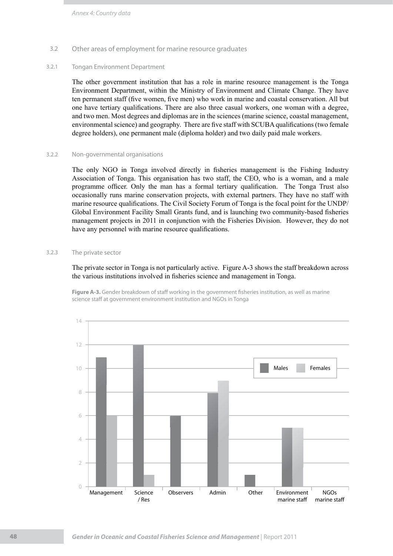### 3.2 Other areas of employment for marine resource graduates

### 3.2.1 Tongan Environment Department

The other government institution that has a role in marine resource management is the Tonga Environment Department, within the Ministry of Environment and Climate Change. They have ten permanent staff (five women, five men) who work in marine and coastal conservation. All but one have tertiary qualifications. There are also three casual workers, one woman with a degree, and two men. Most degrees and diplomas are in the sciences (marine science, coastal management, environmental science) and geography. There are five staff with SCUBA qualifications (two female degree holders), one permanent male (diploma holder) and two daily paid male workers.

### 3.2.2 Non-governmental organisations

The only NGO in Tonga involved directly in fisheries management is the Fishing Industry Association of Tonga. This organisation has two staff, the CEO, who is a woman, and a male programme officer. Only the man has a formal tertiary qualification. The Tonga Trust also occasionally runs marine conservation projects, with external partners. They have no staff with marine resource qualifications. The Civil Society Forum of Tonga is the focal point for the UNDP/ Global Environment Facility Small Grants fund, and is launching two community-based fisheries management projects in 2011 in conjunction with the Fisheries Division. However, they do not have any personnel with marine resource qualifications.

### 3.2.3 The private sector

The private sector in Tonga is not particularly active. Figure A-3 shows the staff breakdown across the various institutions involved in fisheries science and management in Tonga.

**Figure A-3.** Gender breakdown of staff working in the government fisheries institution, as well as marine science staff at government environment institution and NGOs in Tonga

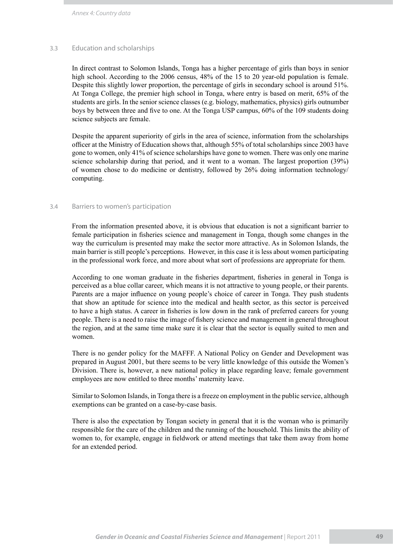*Annex 4: Country data*

### 3.3 Education and scholarships

In direct contrast to Solomon Islands, Tonga has a higher percentage of girls than boys in senior high school. According to the 2006 census, 48% of the 15 to 20 year-old population is female. Despite this slightly lower proportion, the percentage of girls in secondary school is around 51%. At Tonga College, the premier high school in Tonga, where entry is based on merit, 65% of the students are girls. In the senior science classes (e.g. biology, mathematics, physics) girls outnumber boys by between three and five to one. At the Tonga USP campus, 60% of the 109 students doing science subjects are female.

Despite the apparent superiority of girls in the area of science, information from the scholarships officer at the Ministry of Education shows that, although 55% of total scholarships since 2003 have gone to women, only 41% of science scholarships have gone to women. There was only one marine science scholarship during that period, and it went to a woman. The largest proportion (39%) of women chose to do medicine or dentistry, followed by 26% doing information technology/ computing.

### 3.4 Barriers to women's participation

From the information presented above, it is obvious that education is not a significant barrier to female participation in fisheries science and management in Tonga, though some changes in the way the curriculum is presented may make the sector more attractive. As in Solomon Islands, the main barrier is still people's perceptions. However, in this case it is less about women participating in the professional work force, and more about what sort of professions are appropriate for them.

According to one woman graduate in the fisheries department, fisheries in general in Tonga is perceived as a blue collar career, which means it is not attractive to young people, or their parents. Parents are a major influence on young people's choice of career in Tonga. They push students that show an aptitude for science into the medical and health sector, as this sector is perceived to have a high status. A career in fisheries is low down in the rank of preferred careers for young people. There is a need to raise the image of fishery science and management in general throughout the region, and at the same time make sure it is clear that the sector is equally suited to men and women.

There is no gender policy for the MAFFF. A National Policy on Gender and Development was prepared in August 2001, but there seems to be very little knowledge of this outside the Women's Division. There is, however, a new national policy in place regarding leave; female government employees are now entitled to three months' maternity leave.

Similar to Solomon Islands, in Tonga there is a freeze on employment in the public service, although exemptions can be granted on a case-by-case basis.

There is also the expectation by Tongan society in general that it is the woman who is primarily responsible for the care of the children and the running of the household. This limits the ability of women to, for example, engage in fieldwork or attend meetings that take them away from home for an extended period.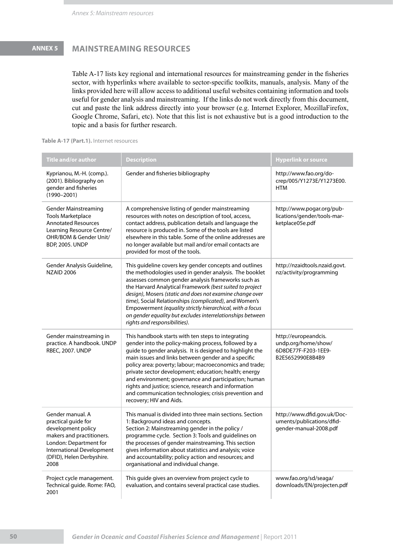# **ANNEX 5 MAINSTREAMING RESOURCES**

Table A-17 lists key regional and international resources for mainstreaming gender in the fisheries sector, with hyperlinks where available to sector-specific toolkits, manuals, analysis. Many of the links provided here will allow access to additional useful websites containing information and tools useful for gender analysis and mainstreaming. If the links do not work directly from this document, cut and paste the link address directly into your browser (e.g. Internet Explorer, MozillaFirefox, Google Chrome, Safari, etc). Note that this list is not exhaustive but is a good introduction to the topic and a basis for further research.

| Table A-17 (Part.1). Internet resources |  |  |  |
|-----------------------------------------|--|--|--|
|-----------------------------------------|--|--|--|

| <b>Title and/or author</b>                                                                                                                                                             | <b>Description</b>                                                                                                                                                                                                                                                                                                                                                                                                                                                                                                                                      | <b>Hyperlink or source</b>                                                             |
|----------------------------------------------------------------------------------------------------------------------------------------------------------------------------------------|---------------------------------------------------------------------------------------------------------------------------------------------------------------------------------------------------------------------------------------------------------------------------------------------------------------------------------------------------------------------------------------------------------------------------------------------------------------------------------------------------------------------------------------------------------|----------------------------------------------------------------------------------------|
| Kyprianou, M.-H. (comp.).<br>(2001). Bibliography on<br>gender and fisheries<br>$(1990 - 2001)$                                                                                        | Gender and fisheries bibliography                                                                                                                                                                                                                                                                                                                                                                                                                                                                                                                       | http://www.fao.org/do-<br>crep/005/Y1273E/Y1273E00.<br><b>HTM</b>                      |
| <b>Gender Mainstreaming</b><br><b>Tools Marketplace</b><br><b>Annotated Resources</b><br>Learning Resource Centre/<br>OHR/BOM & Gender Unit/<br><b>BDP, 2005. UNDP</b>                 | A comprehensive listing of gender mainstreaming<br>resources with notes on description of tool, access,<br>contact address, publication details and language the<br>resource is produced in. Some of the tools are listed<br>elsewhere in this table. Some of the online addresses are<br>no longer available but mail and/or email contacts are<br>provided for most of the tools.                                                                                                                                                                     | http://www.pogar.org/pub-<br>lications/gender/tools-mar-<br>ketplace05e.pdf            |
| Gender Analysis Guideline,<br><b>NZAID 2006</b>                                                                                                                                        | This guideline covers key gender concepts and outlines<br>the methodologies used in gender analysis. The booklet<br>assesses common gender analysis frameworks such as<br>the Harvard Analytical Framework (best suited to project<br>design), Mosers (static and does not examine change over<br>time), Social Relationships (complicated), and Women's<br>Empowerment (equality strictly hierarchical, with a focus<br>on gender equality but excludes interrelationships between<br>rights and responsibilities).                                    | http://nzaidtools.nzaid.govt.<br>nz/activity/programming                               |
| Gender mainstreaming in<br>practice. A handbook. UNDP<br><b>RBEC, 2007. UNDP</b>                                                                                                       | This handbook starts with ten steps to integrating<br>gender into the policy-making process, followed by a<br>guide to gender analysis. It is designed to highlight the<br>main issues and links between gender and a specific<br>policy area: poverty; labour; macroeconomics and trade;<br>private sector development; education; health; energy<br>and environment; governance and participation; human<br>rights and justice; science, research and information<br>and communication technologies; crisis prevention and<br>recovery; HIV and Aids. | http://europeandcis.<br>undp.org/home/show/<br>6D8DE77F-F203-1EE9-<br>B2E5652990E8B4B9 |
| Gender manual. A<br>practical guide for<br>development policy<br>makers and practitioners.<br>London: Department for<br>International Development<br>(DFID), Helen Derbyshire.<br>2008 | This manual is divided into three main sections. Section<br>1: Background ideas and concepts.<br>Section 2: Mainstreaming gender in the policy /<br>programme cycle. Section 3: Tools and guidelines on<br>the processes of gender mainstreaming. This section<br>gives information about statistics and analysis; voice<br>and accountability; policy action and resources; and<br>organisational and individual change.                                                                                                                               | http://www.dfid.gov.uk/Doc-<br>uments/publications/dfid-<br>gender-manual-2008.pdf     |
| Project cycle management.<br>Technical guide. Rome: FAO,<br>2001                                                                                                                       | This guide gives an overview from project cycle to<br>evaluation, and contains several practical case studies.                                                                                                                                                                                                                                                                                                                                                                                                                                          | www.fao.org/sd/seaga/<br>downloads/EN/projecten.pdf                                    |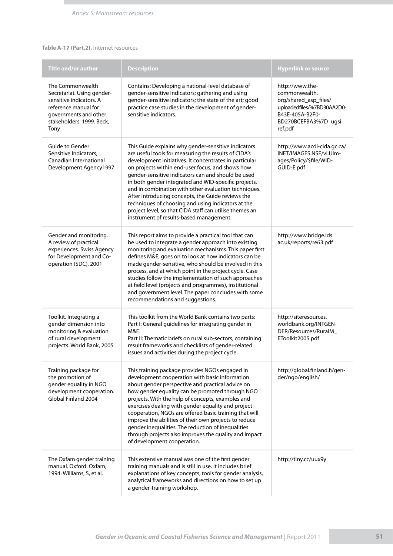### **Table A-17 (Part.2).** Internet resources

| <b>Title and/or author</b>                                                                                                                                      | <b>Description</b>                                                                                                                                                                                                                                                                                                                                                                                                                                                                                                                                                                                               | <b>Hyperlink or source</b>                                                                                                                     |
|-----------------------------------------------------------------------------------------------------------------------------------------------------------------|------------------------------------------------------------------------------------------------------------------------------------------------------------------------------------------------------------------------------------------------------------------------------------------------------------------------------------------------------------------------------------------------------------------------------------------------------------------------------------------------------------------------------------------------------------------------------------------------------------------|------------------------------------------------------------------------------------------------------------------------------------------------|
| The Commonwealth<br>Secretariat. Using gender-<br>sensitive indicators. A<br>reference manual for<br>governments and other<br>stakeholders. 1999. Beck,<br>Tony | Contains: Developing a national-level database of<br>gender-sensitive indicators; gathering and using<br>gender-sensitive indicators; the state of the art; good<br>practice case studies in the development of gender-<br>sensitive indicators.                                                                                                                                                                                                                                                                                                                                                                 | http://www.the-<br>commonwealth.<br>org/shared_asp_files/<br>uploadedfiles/%7BD30AA2D0-<br>B43E-405A-B2F0-<br>BD270BCEFBA3%7D_ugsi_<br>ref.pdf |
| Guide to Gender<br>Sensitive Indicators,<br>Canadian International<br>Development Agency1997                                                                    | This Guide explains why gender-sensitive indicators<br>are useful tools for measuring the results of CIDA's<br>development initiatives. It concentrates in particular<br>on projects within end-user focus, and shows how<br>gender-sensitive indicators can and should be used<br>in both gender integrated and WID-specific projects,<br>and in combination with other evaluation techniques.<br>After introducing concepts, the Guide reviews the<br>techniques of choosing and using indicators at the<br>project level, so that CIDA staff can utilise themes an<br>instrument of results-based management. | http://www.acdi-cida.gc.ca/<br>INET/IMAGES.NSF/vLUIm-<br>ages/Policy/\$file/WID-<br>GUID-E.pdf                                                 |
| Gender and monitoring.<br>A review of practical<br>experiences. Swiss Agency<br>for Development and Co-<br>operation (SDC), 2001                                | This report aims to provide a practical tool that can<br>be used to integrate a gender approach into existing<br>monitoring and evaluation mechanisms. This paper first<br>defines M&E, goes on to look at how indicators can be<br>made gender-sensitive, who should be involved in this<br>process, and at which point in the project cycle. Case<br>studies follow the implementation of such approaches<br>at field level (projects and programmes), institutional<br>and government level. The paper concludes with some<br>recommendations and suggestions.                                                | http://www.bridge.ids.<br>ac.uk/reports/re63.pdf                                                                                               |
| Toolkit. Integrating a<br>gender dimension into<br>monitoring & evaluation<br>of rural development<br>projects. World Bank, 2005                                | This toolkit from the World Bank contains two parts:<br>Part I: General guidelines for integrating gender in<br>M&E.<br>Part II: Thematic briefs on rural sub-sectors, containing<br>result frameworks and checklists of gender-related<br>issues and activities during the project cycle.                                                                                                                                                                                                                                                                                                                       | http://siteresources.<br>worldbank.org/INTGEN-<br>DER/Resources/RuralM<br>EToolkit2005.pdf                                                     |
| Training package for<br>the promotion of<br>gender equality in NGO<br>development cooperation.<br>Global Finland 2004                                           | This training package provides NGOs engaged in<br>development cooperation with basic information<br>about gender perspective and practical advice on<br>how gender equality can be promoted through NGO<br>projects. With the help of concepts, examples and<br>exercises dealing with gender equality and project<br>cooperation, NGOs are offered basic training that will<br>improve the abilities of their own projects to reduce<br>gender inequalities. The reduction of inequalities<br>through projects also improves the quality and impact<br>of development cooperation.                              | http://global.finland.fi/gen-<br>der/ngo/english/                                                                                              |
| The Oxfam gender training<br>manual. Oxford: Oxfam,<br>1994. Williams, S, et al.                                                                                | This extensive manual was one of the first gender<br>training manuals and is still in use. It includes brief<br>explanations of key concepts, tools for gender analysis,<br>analytical frameworks and directions on how to set up<br>a gender-training workshop.                                                                                                                                                                                                                                                                                                                                                 | http://tiny.cc/uux9y                                                                                                                           |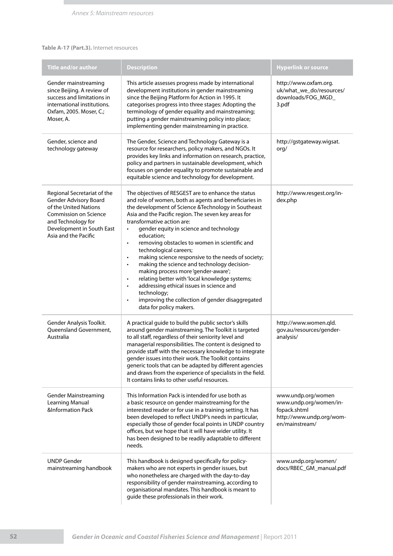### **Table A-17 (Part.3).** Internet resources

| <b>Title and/or author</b>                                                                                                                                                               | <b>Description</b>                                                                                                                                                                                                                                                                                                                                                                                                                                                                                                                                                                                                                                                                                                                                                                                                         | <b>Hyperlink or source</b>                                                                                 |
|------------------------------------------------------------------------------------------------------------------------------------------------------------------------------------------|----------------------------------------------------------------------------------------------------------------------------------------------------------------------------------------------------------------------------------------------------------------------------------------------------------------------------------------------------------------------------------------------------------------------------------------------------------------------------------------------------------------------------------------------------------------------------------------------------------------------------------------------------------------------------------------------------------------------------------------------------------------------------------------------------------------------------|------------------------------------------------------------------------------------------------------------|
| Gender mainstreaming<br>since Beijing. A review of<br>success and limitations in<br>international institutions.<br>Oxfam, 2005. Moser, C.;<br>Moser, A.                                  | This article assesses progress made by international<br>development institutions in gender mainstreaming<br>since the Beijing Platform for Action in 1995. It<br>categorises progress into three stages: Adopting the<br>terminology of gender equality and mainstreaming;<br>putting a gender mainstreaming policy into place;<br>implementing gender mainstreaming in practice.                                                                                                                                                                                                                                                                                                                                                                                                                                          | http://www.oxfam.org.<br>uk/what_we_do/resources/<br>downloads/FOG_MGD_<br>3.pdf                           |
| Gender, science and<br>technology gateway                                                                                                                                                | The Gender, Science and Technology Gateway is a<br>resource for researchers, policy makers, and NGOs. It<br>provides key links and information on research, practice,<br>policy and partners in sustainable development, which<br>focuses on gender equality to promote sustainable and<br>equitable science and technology for development.                                                                                                                                                                                                                                                                                                                                                                                                                                                                               | http://gstgateway.wigsat.<br>org/                                                                          |
| Regional Secretariat of the<br>Gender Advisory Board<br>of the United Nations<br><b>Commission on Science</b><br>and Technology for<br>Development in South East<br>Asia and the Pacific | The objectives of RESGEST are to enhance the status<br>and role of women, both as agents and beneficiaries in<br>the development of Science & Technology in Southeast<br>Asia and the Pacific region. The seven key areas for<br>transformative action are:<br>gender equity in science and technology<br>$\bullet$<br>education;<br>removing obstacles to women in scientific and<br>$\bullet$<br>technological careers;<br>making science responsive to the needs of society;<br>$\bullet$<br>making the science and technology decision-<br>٠<br>making process more 'gender-aware';<br>relating better with 'local knowledge systems;<br>$\bullet$<br>addressing ethical issues in science and<br>$\bullet$<br>technology;<br>improving the collection of gender disaggregated<br>$\bullet$<br>data for policy makers. | http://www.resgest.org/in-<br>dex.php                                                                      |
| Gender Analysis Toolkit.<br>Queensland Government,<br>Australia                                                                                                                          | A practical guide to build the public sector's skills<br>around gender mainstreaming. The Toolkit is targeted<br>to all staff, regardless of their seniority level and<br>managerial responsibilities. The content is designed to<br>provide staff with the necessary knowledge to integrate<br>gender issues into their work. The Toolkit contains<br>generic tools that can be adapted by different agencies<br>and draws from the experience of specialists in the field.<br>It contains links to other useful resources.                                                                                                                                                                                                                                                                                               | http://www.women.qld.<br>gov.au/resources/gender-<br>analysis/                                             |
| <b>Gender Mainstreaming</b><br>Learning Manual<br><b>&amp;Information Pack</b>                                                                                                           | This Information Pack is intended for use both as<br>a basic resource on gender mainstreaming for the<br>interested reader or for use in a training setting. It has<br>been developed to reflect UNDP's needs in particular,<br>especially those of gender focal points in UNDP country<br>offices, but we hope that it will have wider utility. It<br>has been designed to be readily adaptable to different<br>needs.                                                                                                                                                                                                                                                                                                                                                                                                    | www.undp.org/women<br>www.undp.org/women/in-<br>fopack.shtml<br>http://www.undp.org/wom-<br>en/mainstream/ |
| <b>UNDP</b> Gender<br>mainstreaming handbook                                                                                                                                             | This handbook is designed specifically for policy-<br>makers who are not experts in gender issues, but<br>who nonetheless are charged with the day-to-day<br>responsibility of gender mainstreaming, according to<br>organisational mandates. This handbook is meant to<br>guide these professionals in their work.                                                                                                                                                                                                                                                                                                                                                                                                                                                                                                        | www.undp.org/women/<br>docs/RBEC_GM_manual.pdf                                                             |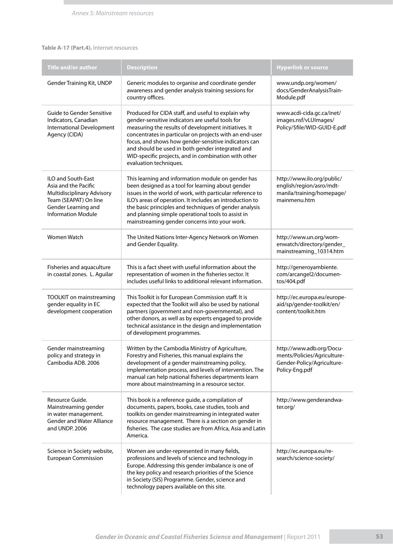### **Table A-17 (Part.4).** Internet resources

| Title and/or author                                                                                                                                          | <b>Description</b>                                                                                                                                                                                                                                                                                                                                                                                                      | <b>Hyperlink or source</b>                                                                              |
|--------------------------------------------------------------------------------------------------------------------------------------------------------------|-------------------------------------------------------------------------------------------------------------------------------------------------------------------------------------------------------------------------------------------------------------------------------------------------------------------------------------------------------------------------------------------------------------------------|---------------------------------------------------------------------------------------------------------|
| Gender Training Kit, UNDP                                                                                                                                    | Generic modules to organise and coordinate gender<br>awareness and gender analysis training sessions for<br>country offices.                                                                                                                                                                                                                                                                                            | www.undp.org/women/<br>docs/GenderAnalysisTrain-<br>Module.pdf                                          |
| Guide to Gender Sensitive<br>Indicators, Canadian<br>International Development<br>Agency (CIDA)                                                              | Produced for CIDA staff, and useful to explain why<br>gender-sensitive indicators are useful tools for<br>measuring the results of development initiatives. It<br>concentrates in particular on projects with an end-user<br>focus, and shows how gender-sensitive indicators can<br>and should be used in both gender integrated and<br>WID-specific projects, and in combination with other<br>evaluation techniques. | www.acdi-cida.gc.ca/inet/<br>images.nsf/vLUImages/<br>Policy/\$file/WID-GUID-E.pdf                      |
| <b>ILO and South-East</b><br>Asia and the Pacific<br>Multidisciplinary Advisory<br>Team (SEAPAT) On line<br>Gender Learning and<br><b>Information Module</b> | This learning and information module on gender has<br>been designed as a tool for learning about gender<br>issues in the world of work, with particular reference to<br>ILO's areas of operation. It includes an introduction to<br>the basic principles and techniques of gender analysis<br>and planning simple operational tools to assist in<br>mainstreaming gender concerns into your work.                       | http://www.ilo.org/public/<br>english/region/asro/mdt-<br>manila/training/homepage/<br>mainmenu.htm     |
| Women Watch                                                                                                                                                  | The United Nations Inter-Agency Network on Women<br>and Gender Equality.                                                                                                                                                                                                                                                                                                                                                | http://www.un.org/wom-<br>enwatch/directory/gender_<br>mainstreaming_10314.htm                          |
| Fisheries and aquaculture<br>in coastal zones. L. Aguilar                                                                                                    | This is a fact sheet with useful information about the<br>representation of women in the fisheries sector. It<br>includes useful links to additional relevant information.                                                                                                                                                                                                                                              | http://generoyambiente.<br>com/arcangel2/documen-<br>tos/404.pdf                                        |
| TOOLKIT on mainstreaming<br>gender equality in EC<br>development cooperation                                                                                 | This Toolkit is for European Commission staff. It is<br>expected that the Toolkit will also be used by national<br>partners (government and non-governmental), and<br>other donors, as well as by experts engaged to provide<br>technical assistance in the design and implementation<br>of development programmes.                                                                                                     | http://ec.europa.eu/europe-<br>aid/sp/gender-toolkit/en/<br>content/toolkit.htm                         |
| Gender mainstreaming<br>policy and strategy in<br>Cambodia ADB, 2006                                                                                         | Written by the Cambodia Ministry of Agriculture,<br>Forestry and Fisheries, this manual explains the<br>development of a gender mainstreaming policy,<br>implementation process, and levels of intervention. The<br>manual can help national fisheries departments learn<br>more about mainstreaming in a resource sector.                                                                                              | http://www.adb.org/Docu-<br>ments/Policies/Agriculture-<br>Gender-Policy/Agriculture-<br>Policy-Eng.pdf |
| Resource Guide.<br>Mainstreaming gender<br>in water management.<br><b>Gender and Water Alliance</b><br>and UNDP. 2006                                        | This book is a reference guide, a compilation of<br>documents, papers, books, case studies, tools and<br>toolkits on gender mainstreaming in integrated water<br>resource management. There is a section on gender in<br>fisheries. The case studies are from Africa, Asia and Latin<br>America.                                                                                                                        | http://www.genderandwa-<br>ter.org/                                                                     |
| Science in Society website,<br><b>European Commission</b>                                                                                                    | Women are under-represented in many fields,<br>professions and levels of science and technology in<br>Europe. Addressing this gender imbalance is one of<br>the key policy and research priorities of the Science<br>in Society (SIS) Programme. Gender, science and<br>technology papers available on this site.                                                                                                       | http://ec.europa.eu/re-<br>search/science-society/                                                      |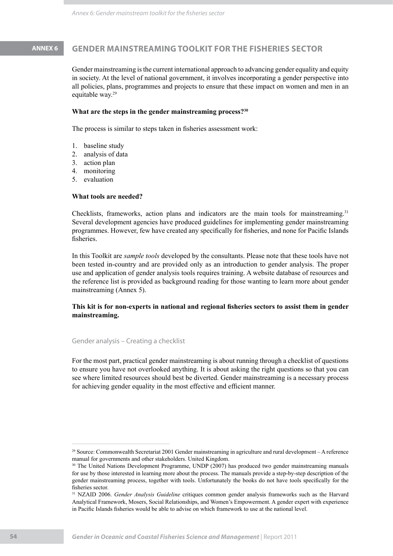# **ANNEX 6 GENDER MAINSTREAMING TOOLKIT FOR THE FISHERIES SECTOR**

Gender mainstreaming is the current international approach to advancing gender equality and equity in society. At the level of national government, it involves incorporating a gender perspective into all policies, plans, programmes and projects to ensure that these impact on women and men in an equitable way.29

### **What are the steps in the gender mainstreaming process?<sup>30</sup>**

The process is similar to steps taken in fisheries assessment work:

- baseline study 1.
- analysis of data 2.
- 3. action plan
- 4. monitoring
- 5. evaluation

### **What tools are needed?**

Checklists, frameworks, action plans and indicators are the main tools for mainstreaming.<sup>31</sup> Several development agencies have produced guidelines for implementing gender mainstreaming programmes. However, few have created any specifically for fisheries, and none for Pacific Islands fisheries.

In this Toolkit are *sample tools* developed by the consultants. Please note that these tools have not been tested in-country and are provided only as an introduction to gender analysis. The proper use and application of gender analysis tools requires training. A website database of resources and the reference list is provided as background reading for those wanting to learn more about gender mainstreaming (Annex 5).

### **This kit is for non-experts in national and regional fisheries sectors to assist them in gender mainstreaming.**

Gender analysis – Creating a checklist

For the most part, practical gender mainstreaming is about running through a checklist of questions to ensure you have not overlooked anything. It is about asking the right questions so that you can see where limited resources should best be diverted. Gender mainstreaming is a necessary process for achieving gender equality in the most effective and efficient manner.

<sup>29</sup> Source: Commonwealth Secretariat 2001 Gender mainstreaming in agriculture and rural development – A reference manual for governments and other stakeholders. United Kingdom.

<sup>&</sup>lt;sup>30</sup> The United Nations Development Programme, UNDP (2007) has produced two gender mainstreaming manuals for use by those interested in learning more about the process. The manuals provide a step-by-step description of the gender mainstreaming process, together with tools. Unfortunately the books do not have tools specifically for the fisheries sector.

<sup>31</sup> NZAID 2006. *Gender Analysis Guideline* critiques common gender analysis frameworks such as the Harvard Analytical Framework, Mosers, Social Relationships, and Women's Empowerment. A gender expert with experience in Pacific Islands fisheries would be able to advise on which framework to use at the national level.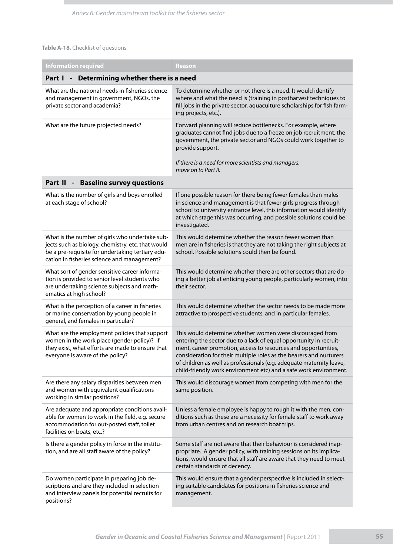### **Table A-18.** Checklist of questions

| <b>Information required</b>                                                                                                                                                                            | Reason                                                                                                                                                                                                                                                                                                                                                                                                               |  |  |  |
|--------------------------------------------------------------------------------------------------------------------------------------------------------------------------------------------------------|----------------------------------------------------------------------------------------------------------------------------------------------------------------------------------------------------------------------------------------------------------------------------------------------------------------------------------------------------------------------------------------------------------------------|--|--|--|
| Determining whether there is a need<br>Part I<br>$\overline{\phantom{a}}$                                                                                                                              |                                                                                                                                                                                                                                                                                                                                                                                                                      |  |  |  |
| What are the national needs in fisheries science<br>and management in government, NGOs, the<br>private sector and academia?                                                                            | To determine whether or not there is a need. It would identify<br>where and what the need is (training in postharvest techniques to<br>fill jobs in the private sector, aquaculture scholarships for fish farm-<br>ing projects, etc.).                                                                                                                                                                              |  |  |  |
| What are the future projected needs?                                                                                                                                                                   | Forward planning will reduce bottlenecks. For example, where<br>graduates cannot find jobs due to a freeze on job recruitment, the<br>government, the private sector and NGOs could work together to<br>provide support.<br>If there is a need for more scientists and managers,<br>move on to Part II.                                                                                                              |  |  |  |
| Part II - Baseline survey questions                                                                                                                                                                    |                                                                                                                                                                                                                                                                                                                                                                                                                      |  |  |  |
| What is the number of girls and boys enrolled<br>at each stage of school?                                                                                                                              | If one possible reason for there being fewer females than males<br>in science and management is that fewer girls progress through<br>school to university entrance level, this information would identify<br>at which stage this was occurring, and possible solutions could be<br>investigated.                                                                                                                     |  |  |  |
| What is the number of girls who undertake sub-<br>jects such as biology, chemistry, etc. that would<br>be a pre-requisite for undertaking tertiary edu-<br>cation in fisheries science and management? | This would determine whether the reason fewer women than<br>men are in fisheries is that they are not taking the right subjects at<br>school. Possible solutions could then be found.                                                                                                                                                                                                                                |  |  |  |
| What sort of gender sensitive career informa-<br>tion is provided to senior level students who<br>are undertaking science subjects and math-<br>ematics at high school?                                | This would determine whether there are other sectors that are do-<br>ing a better job at enticing young people, particularly women, into<br>their sector.                                                                                                                                                                                                                                                            |  |  |  |
| What is the perception of a career in fisheries<br>or marine conservation by young people in<br>general, and females in particular?                                                                    | This would determine whether the sector needs to be made more<br>attractive to prospective students, and in particular females.                                                                                                                                                                                                                                                                                      |  |  |  |
| What are the employment policies that support<br>women in the work place (gender policy)? If<br>they exist, what efforts are made to ensure that<br>everyone is aware of the policy?                   | This would determine whether women were discouraged from<br>entering the sector due to a lack of equal opportunity in recruit-<br>ment, career promotion, access to resources and opportunities,<br>consideration for their multiple roles as the bearers and nurturers<br>of children as well as professionals (e.g. adequate maternity leave,<br>child-friendly work environment etc) and a safe work environment. |  |  |  |
| Are there any salary disparities between men<br>and women with equivalent qualifications<br>working in similar positions?                                                                              | This would discourage women from competing with men for the<br>same position.                                                                                                                                                                                                                                                                                                                                        |  |  |  |
| Are adequate and appropriate conditions avail-<br>able for women to work in the field, e.g. secure<br>accommodation for out-posted staff, toilet<br>facilities on boats, etc.?                         | Unless a female employee is happy to rough it with the men, con-<br>ditions such as these are a necessity for female staff to work away<br>from urban centres and on research boat trips.                                                                                                                                                                                                                            |  |  |  |
| Is there a gender policy in force in the institu-<br>tion, and are all staff aware of the policy?                                                                                                      | Some staff are not aware that their behaviour is considered inap-<br>propriate. A gender policy, with training sessions on its implica-<br>tions, would ensure that all staff are aware that they need to meet<br>certain standards of decency.                                                                                                                                                                      |  |  |  |
| Do women participate in preparing job de-<br>scriptions and are they included in selection<br>and interview panels for potential recruits for<br>positions?                                            | This would ensure that a gender perspective is included in select-<br>ing suitable candidates for positions in fisheries science and<br>management.                                                                                                                                                                                                                                                                  |  |  |  |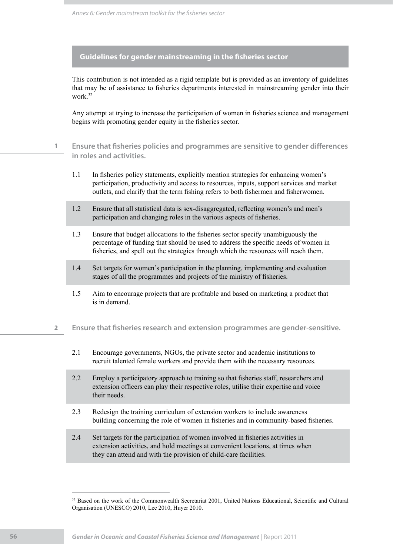**Guidelines for gender mainstreaming in the fisheries sector**

This contribution is not intended as a rigid template but is provided as an inventory of guidelines that may be of assistance to fisheries departments interested in mainstreaming gender into their work.32

Any attempt at trying to increase the participation of women in fisheries science and management begins with promoting gender equity in the fisheries sector.

- **1 Ensure that fisheries policies and programmes are sensitive to gender differences in roles and activities.**
	- 1.1 In fisheries policy statements, explicitly mention strategies for enhancing women's participation, productivity and access to resources, inputs, support services and market outlets, and clarify that the term fishing refers to both fishermen and fisherwomen.
	- 1.2 Ensure that all statistical data is sex-disaggregated, reflecting women's and men's participation and changing roles in the various aspects of fisheries.
	- 1.3 Ensure that budget allocations to the fisheries sector specify unambiguously the percentage of funding that should be used to address the specific needs of women in fisheries, and spell out the strategies through which the resources will reach them.
	- 1.4 Set targets for women's participation in the planning, implementing and evaluation stages of all the programmes and projects of the ministry of fisheries.
	- 1.5 Aim to encourage projects that are profitable and based on marketing a product that is in demand.
- **2 Ensure that fisheries research and extension programmes are gender-sensitive.**
	- 2.1 Encourage governments, NGOs, the private sector and academic institutions to recruit talented female workers and provide them with the necessary resources.
	- 2.2 Employ a participatory approach to training so that fisheries staff, researchers and extension officers can play their respective roles, utilise their expertise and voice their needs.
	- 2.3 Redesign the training curriculum of extension workers to include awareness building concerning the role of women in fisheries and in community-based fisheries.
	- 2.4 Set targets for the participation of women involved in fisheries activities in extension activities, and hold meetings at convenient locations, at times when they can attend and with the provision of child-care facilities.

<sup>&</sup>lt;sup>32</sup> Based on the work of the Commonwealth Secretariat 2001, United Nations Educational, Scientific and Cultural Organisation (UNESCO) 2010, Lee 2010, Huyer 2010.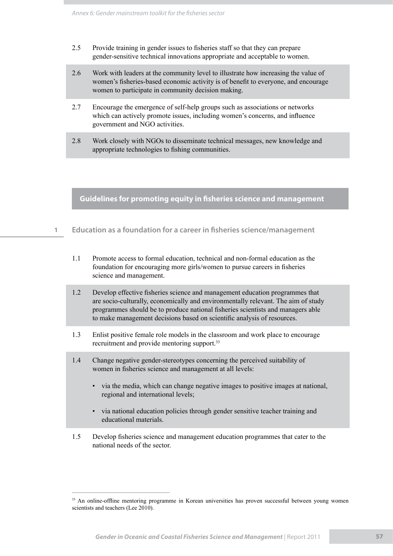- 2.5 Provide training in gender issues to fisheries staff so that they can prepare gender-sensitive technical innovations appropriate and acceptable to women.
- 2.6 Work with leaders at the community level to illustrate how increasing the value of women's fisheries-based economic activity is of benefit to everyone, and encourage women to participate in community decision making.
- 2.7 Encourage the emergence of self-help groups such as associations or networks which can actively promote issues, including women's concerns, and influence government and NGO activities.
- 2.8 Work closely with NGOs to disseminate technical messages, new knowledge and appropriate technologies to fishing communities.

**Guidelines for promoting equity in fisheries science and management**

- **1 Education as a foundation for a career in fisheries science/management**
	- 1.1 Promote access to formal education, technical and non-formal education as the foundation for encouraging more girls/women to pursue careers in fisheries science and management.
	- 1.2 Develop effective fisheries science and management education programmes that are socio-culturally, economically and environmentally relevant. The aim of study programmes should be to produce national fisheries scientists and managers able to make management decisions based on scientific analysis of resources.
	- 1.3 Enlist positive female role models in the classroom and work place to encourage recruitment and provide mentoring support.<sup>33</sup>
	- 1.4 Change negative gender-stereotypes concerning the perceived suitability of women in fisheries science and management at all levels:
		- via the media, which can change negative images to positive images at national, regional and international levels;
		- via national education policies through gender sensitive teacher training and educational materials.
	- 1.5 Develop fisheries science and management education programmes that cater to the national needs of the sector.

<sup>&</sup>lt;sup>33</sup> An online-offline mentoring programme in Korean universities has proven successful between young women scientists and teachers (Lee 2010).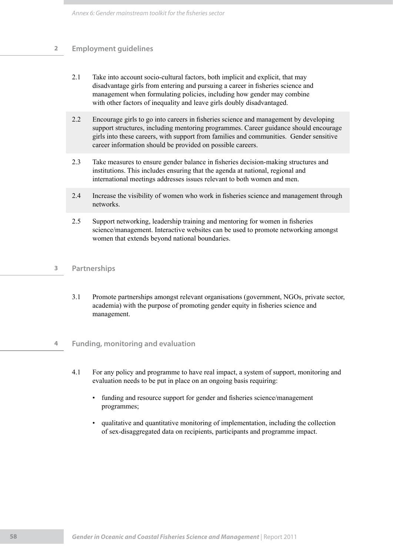### **2 Employment guidelines**

- 2.1 Take into account socio-cultural factors, both implicit and explicit, that may disadvantage girls from entering and pursuing a career in fisheries science and management when formulating policies, including how gender may combine with other factors of inequality and leave girls doubly disadvantaged.
- 2.2 Encourage girls to go into careers in fisheries science and management by developing support structures, including mentoring programmes. Career guidance should encourage girls into these careers, with support from families and communities. Gender sensitive career information should be provided on possible careers.
- 2.3 Take measures to ensure gender balance in fisheries decision-making structures and institutions. This includes ensuring that the agenda at national, regional and international meetings addresses issues relevant to both women and men.
- 2.4 Increase the visibility of women who work in fisheries science and management through networks.
- 2.5 Support networking, leadership training and mentoring for women in fisheries science/management. Interactive websites can be used to promote networking amongst women that extends beyond national boundaries.

### **3 Partnerships**

- 3.1 Promote partnerships amongst relevant organisations (government, NGOs, private sector, academia) with the purpose of promoting gender equity in fisheries science and management.
- **4 Funding, monitoring and evaluation**
	- 4.1 For any policy and programme to have real impact, a system of support, monitoring and evaluation needs to be put in place on an ongoing basis requiring:
		- funding and resource support for gender and fisheries science/management programmes;
		- qualitative and quantitative monitoring of implementation, including the collection of sex-disaggregated data on recipients, participants and programme impact.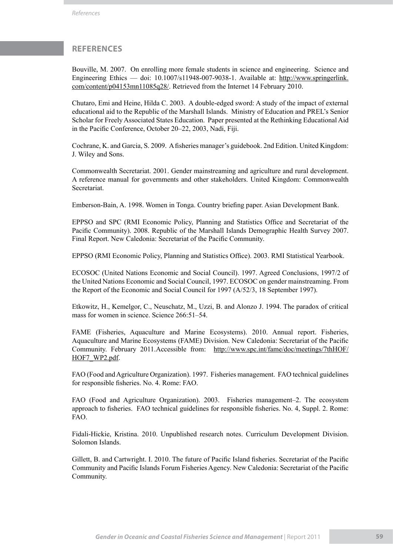### **REFERENCES**

Bouville, M. 2007. On enrolling more female students in science and engineering. Science and Engineering Ethics — doi: 10.1007/s11948-007-9038-1. Available at: http://www.springerlink. com/content/p04153mn11085q28/. Retrieved from the Internet 14 February 2010.

Chutaro, Emi and Heine, Hilda C. 2003. A double-edged sword: A study of the impact of external educational aid to the Republic of the Marshall Islands. Ministry of Education and PREL's Senior Scholar for Freely Associated States Education. Paper presented at the Rethinking Educational Aid in the Pacific Conference, October 20–22, 2003, Nadi, Fiji.

Cochrane, K. and Garcia, S. 2009. A fisheries manager's guidebook. 2nd Edition. United Kingdom: J. Wiley and Sons.

Commonwealth Secretariat. 2001. Gender mainstreaming and agriculture and rural development. A reference manual for governments and other stakeholders. United Kingdom: Commonwealth Secretariat.

Emberson-Bain, A. 1998. Women in Tonga. Country briefing paper. Asian Development Bank.

EPPSO and SPC (RMI Economic Policy, Planning and Statistics Office and Secretariat of the Pacific Community). 2008. Republic of the Marshall Islands Demographic Health Survey 2007. Final Report. New Caledonia: Secretariat of the Pacific Community.

EPPSO (RMI Economic Policy, Planning and Statistics Office). 2003. RMI Statistical Yearbook.

ECOSOC (United Nations Economic and Social Council). 1997. Agreed Conclusions, 1997/2 of the United Nations Economic and Social Council, 1997. ECOSOC on gender mainstreaming. From the Report of the Economic and Social Council for 1997 (A/52/3, 18 September 1997).

Etkowitz, H., Kemelgor, C., Neuschatz, M., Uzzi, B. and Alonzo J. 1994. The paradox of critical mass for women in science. Science 266:51–54.

FAME (Fisheries, Aquaculture and Marine Ecosystems). 2010. Annual report. Fisheries, Aquaculture and Marine Ecosystems (FAME) Division. New Caledonia: Secretariat of the Pacific Community. February 2011.Accessible from: http://www.spc.int/fame/doc/meetings/7thHOF/ HOF7\_WP2.pdf.

FAO (Food and Agriculture Organization). 1997. Fisheries management. FAO technical guidelines for responsible fisheries. No. 4. Rome: FAO.

FAO (Food and Agriculture Organization). 2003. Fisheries management–2. The ecosystem approach to fisheries. FAO technical guidelines for responsible fisheries. No. 4, Suppl. 2. Rome: FAO.

Fidali-Hickie, Kristina. 2010. Unpublished research notes. Curriculum Development Division. Solomon Islands.

Gillett, B. and Cartwright. I. 2010. The future of Pacific Island fisheries. Secretariat of the Pacific Community and Pacific Islands Forum Fisheries Agency. New Caledonia: Secretariat of the Pacific Community.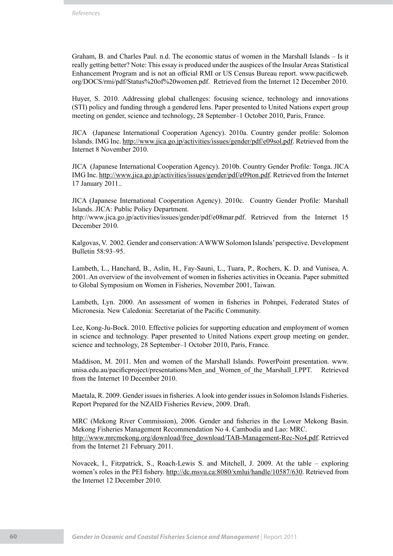Graham, B. and Charles Paul. n.d. The economic status of women in the Marshall Islands – Is it really getting better? Note: This essay is produced under the auspices of the Insular Areas Statistical Enhancement Program and is not an official RMI or US Census Bureau report. www.pacificweb. org/DOCS/rmi/pdf/Status%20of%20women.pdf. Retrieved from the Internet 12 December 2010.

Huyer, S. 2010. Addressing global challenges: focusing science, technology and innovations (STI) policy and funding through a gendered lens. Paper presented to United Nations expert group meeting on gender, science and technology, 28 September–1 October 2010, Paris, France.

JICA (Japanese International Cooperation Agency). 2010a. Country gender profile: Solomon Islands. IMG Inc. http://www.jica.go.jp/activities/issues/gender/pdf/e09sol.pdf. Retrieved from the Internet 8 November 2010.

JICA (Japanese International Cooperation Agency). 2010b. Country Gender Profile: Tonga. JICA IMG Inc. http://www.jica.go.jp/activities/issues/gender/pdf/e09ton.pdf. Retrieved from the Internet 17 January 2011..

JICA (Japanese International Cooperation Agency). 2010c. Country Gender Profile: Marshall Islands. JICA: Public Policy Department.

http://www.jica.go.jp/activities/issues/gender/pdf/e08mar.pdf. Retrieved from the Internet 15 December 2010.

Kalgovas, V. 2002. Gender and conservation: A WWW Solomon Islands' perspective. Development Bulletin 58:93–95.

Lambeth, L., Hanchard, B., Aslin, H., Fay-Sauni, L., Tuara, P., Rochers, K. D. and Vunisea, A. 2001. An overview of the involvement of women in fisheries activities in Oceania. Paper submitted to Global Symposium on Women in Fisheries, November 2001, Taiwan.

Lambeth, Lyn. 2000. An assessment of women in fisheries in Pohnpei, Federated States of Micronesia. New Caledonia: Secretariat of the Pacific Community.

Lee, Kong-Ju-Bock. 2010. Effective policies for supporting education and employment of women in science and technology. Paper presented to United Nations expert group meeting on gender, science and technology, 28 September–1 October 2010, Paris, France.

Maddison, M. 2011. Men and women of the Marshall Islands. PowerPoint presentation. www. unisa.edu.au/pacificproject/presentations/Men\_and\_Women\_of\_the\_Marshall\_I.PPT. Retrieved from the Internet 10 December 2010.

Maetala, R. 2009. Gender issues in fisheries. A look into gender issues in Solomon Islands Fisheries. Report Prepared for the NZAID Fisheries Review, 2009. Draft.

MRC (Mekong River Commission), 2006. Gender and fisheries in the Lower Mekong Basin. Mekong Fisheries Management Recommendation No 4. Cambodia and Lao: MRC. http://www.mrcmekong.org/download/free\_download/TAB-Management-Rec-No4.pdf. Retrieved from the Internet 21 February 2011.

Novacek, I., Fitzpatrick, S., Roach-Lewis S. and Mitchell, J. 2009. At the table – exploring women's roles in the PEI fishery. http://dc.msvu.ca:8080/xmlui/handle/10587/630. Retrieved from the Internet 12 December 2010.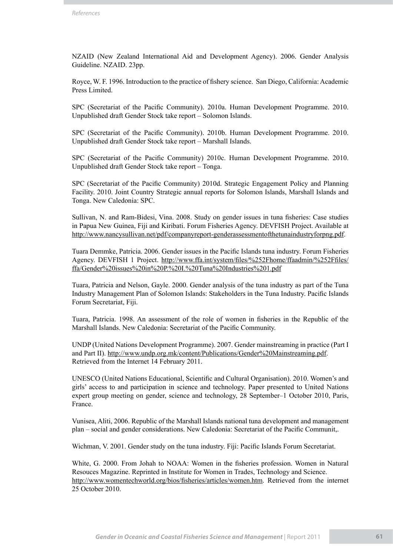NZAID (New Zealand International Aid and Development Agency). 2006. Gender Analysis Guideline. NZAID. 23pp.

Royce, W. F. 1996. Introduction to the practice of fishery science. San Diego, California: Academic Press Limited.

SPC (Secretariat of the Pacific Community). 2010a. Human Development Programme. 2010. Unpublished draft Gender Stock take report – Solomon Islands.

SPC (Secretariat of the Pacific Community). 2010b. Human Development Programme. 2010. Unpublished draft Gender Stock take report – Marshall Islands.

SPC (Secretariat of the Pacific Community) 2010c. Human Development Programme. 2010. Unpublished draft Gender Stock take report – Tonga.

SPC (Secretariat of the Pacific Community) 2010d. Strategic Engagement Policy and Planning Facility. 2010. Joint Country Strategic annual reports for Solomon Islands, Marshall Islands and Tonga. New Caledonia: SPC.

Sullivan, N. and Ram-Bidesi, Vina. 2008. Study on gender issues in tuna fisheries: Case studies in Papua New Guinea, Fiji and Kiribati. Forum Fisheries Agency. DEVFISH Project. Available at http://www.nancysullivan.net/pdf/companyreport-genderassessmentofthetunaindustryforpng.pdf.

Tuara Demmke, Patricia. 2006. Gender issues in the Pacific Islands tuna industry. Forum Fisheries Agency. DEVFISH 1 Project. http://www.ffa.int/system/files/%252Fhome/ffaadmin/%252Ffiles/ ffa/Gender%20issues%20in%20P.%20I.%20Tuna%20Industries%201.pdf

Tuara, Patricia and Nelson, Gayle. 2000. Gender analysis of the tuna industry as part of the Tuna Industry Management Plan of Solomon Islands: Stakeholders in the Tuna Industry. Pacific Islands Forum Secretariat, Fiji.

Tuara, Patricia. 1998. An assessment of the role of women in fisheries in the Republic of the Marshall Islands. New Caledonia: Secretariat of the Pacific Community.

UNDP (United Nations Development Programme). 2007. Gender mainstreaming in practice (Part I and Part II). http://www.undp.org.mk/content/Publications/Gender%20Mainstreaming.pdf. Retrieved from the Internet 14 February 2011.

UNESCO (United Nations Educational, Scientific and Cultural Organisation). 2010. Women's and girls' access to and participation in science and technology. Paper presented to United Nations expert group meeting on gender, science and technology, 28 September–1 October 2010, Paris, France.

Vunisea, Aliti, 2006. Republic of the Marshall Islands national tuna development and management plan – social and gender considerations. New Caledonia: Secretariat of the Pacific Communit,.

Wichman, V. 2001. Gender study on the tuna industry. Fiji: Pacific Islands Forum Secretariat.

White, G. 2000. From Johah to NOAA: Women in the fisheries profession. Women in Natural Resouces Magazine. Reprinted in Institute for Women in Trades, Technology and Science. http://www.womentechworld.org/bios/fisheries/articles/women.htm. Retrieved from the internet 25 October 2010.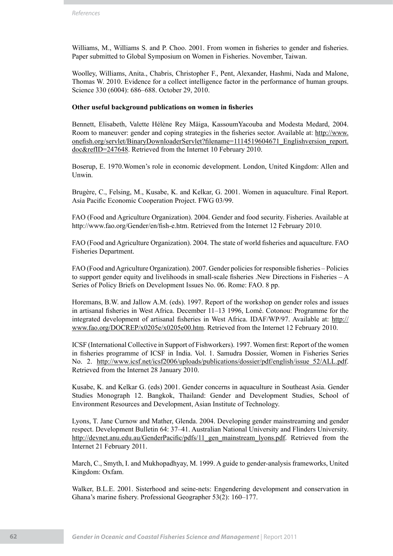Williams, M., Williams S. and P. Choo. 2001. From women in fisheries to gender and fisheries. Paper submitted to Global Symposium on Women in Fisheries. November, Taiwan.

Woolley, Williams, Anita., Chabris, Christopher F., Pent, Alexander, Hashmi, Nada and Malone, Thomas W. 2010. Evidence for a collect intelligence factor in the performance of human groups. Science 330 (6004): 686–688. October 29, 2010.

### **Other useful background publications on women in fisheries**

Bennett, Elisabeth, Valette Hélène Rey Mäiga, KassoumYacouba and Modesta Medard, 2004. Room to maneuver: gender and coping strategies in the fisheries sector. Available at: http://www. onefish.org/servlet/BinaryDownloaderServlet?filename=1114519604671\_Englishversion\_report. doc&refID=247648. Retrieved from the Internet 10 February 2010.

Boserup, E. 1970.Women's role in economic development. London, United Kingdom: Allen and Unwin.

Brugère, C., Felsing, M., Kusabe, K. and Kelkar, G. 2001. Women in aquaculture. Final Report. Asia Pacific Economic Cooperation Project. FWG 03/99.

FAO (Food and Agriculture Organization). 2004. Gender and food security. Fisheries. Available at http://www.fao.org/Gender/en/fish-e.htm. Retrieved from the Internet 12 February 2010.

FAO (Food and Agriculture Organization). 2004. The state of world fisheries and aquaculture. FAO Fisheries Department.

FAO (Food and Agriculture Organization). 2007. Gender policies for responsible fisheries – Policies to support gender equity and livelihoods in small-scale fisheries .New Directions in Fisheries – A Series of Policy Briefs on Development Issues No. 06. Rome: FAO. 8 pp.

Horemans, B.W. and Jallow A.M. (eds). 1997. Report of the workshop on gender roles and issues in artisanal fisheries in West Africa. December 11–13 1996, Lomé. Cotonou: Programme for the integrated development of artisanal fisheries in West Africa. IDAF/WP/97. Available at: http:// www.fao.org/DOCREP/x0205e/x0205e00.htm. Retrieved from the Internet 12 February 2010.

ICSF (International Collective in Support of Fishworkers). 1997. Women first: Report of the women in fisheries programme of ICSF in India. Vol. 1. Samudra Dossier, Women in Fisheries Series No. 2. http://www.icsf.net/icsf2006/uploads/publications/dossier/pdf/english/issue\_52/ALL.pdf. Retrieved from the Internet 28 January 2010.

Kusabe, K. and Kelkar G. (eds) 2001. Gender concerns in aquaculture in Southeast Asia. Gender Studies Monograph 12. Bangkok, Thailand: Gender and Development Studies, School of Environment Resources and Development, Asian Institute of Technology.

Lyons, T. Jane Curnow and Mather, Glenda. 2004. Developing gender mainstreaming and gender respect. Development Bulletin 64: 37–41. Australian National University and Flinders University. http://devnet.anu.edu.au/GenderPacific/pdfs/11\_gen\_mainstream\_lyons.pdf. Retrieved from the Internet 21 February 2011.

March, C., Smyth, I. and Mukhopadhyay, M. 1999. A guide to gender-analysis frameworks, United Kingdom: Oxfam.

Walker, B.L.E. 2001. Sisterhood and seine-nets: Engendering development and conservation in Ghana's marine fishery. Professional Geographer 53(2): 160–177.